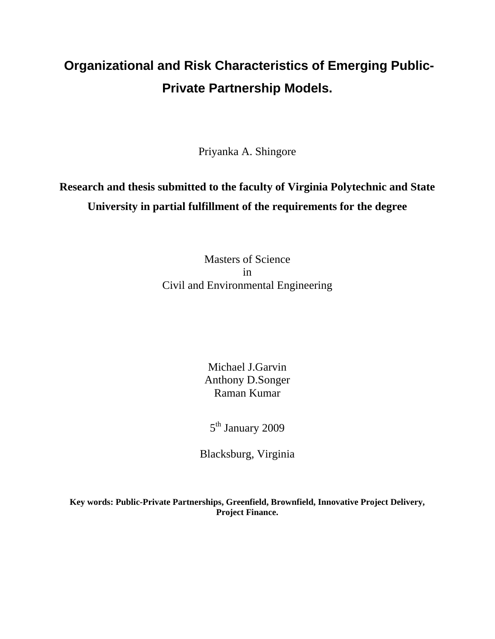# **Organizational and Risk Characteristics of Emerging Public-Private Partnership Models.**

Priyanka A. Shingore

# **Research and thesis submitted to the faculty of Virginia Polytechnic and State University in partial fulfillment of the requirements for the degree**

Masters of Science in Civil and Environmental Engineering

> Michael J.Garvin Anthony D.Songer Raman Kumar

5<sup>th</sup> January 2009

Blacksburg, Virginia

**Key words: Public-Private Partnerships, Greenfield, Brownfield, Innovative Project Delivery, Project Finance.**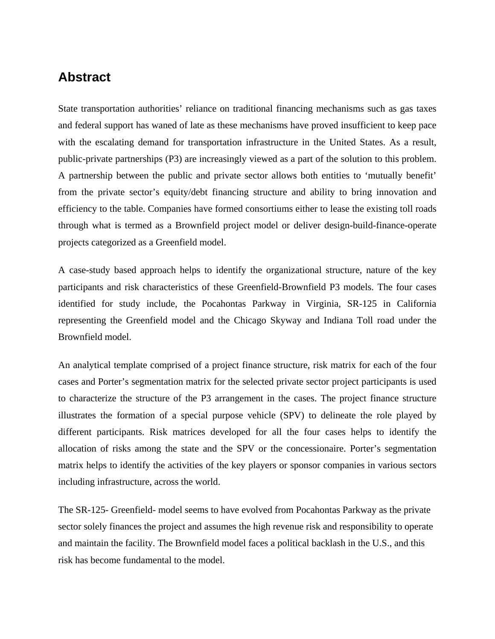# **Abstract**

State transportation authorities' reliance on traditional financing mechanisms such as gas taxes and federal support has waned of late as these mechanisms have proved insufficient to keep pace with the escalating demand for transportation infrastructure in the United States. As a result, public-private partnerships (P3) are increasingly viewed as a part of the solution to this problem. A partnership between the public and private sector allows both entities to 'mutually benefit' from the private sector's equity/debt financing structure and ability to bring innovation and efficiency to the table. Companies have formed consortiums either to lease the existing toll roads through what is termed as a Brownfield project model or deliver design-build-finance-operate projects categorized as a Greenfield model.

A case-study based approach helps to identify the organizational structure, nature of the key participants and risk characteristics of these Greenfield-Brownfield P3 models. The four cases identified for study include, the Pocahontas Parkway in Virginia, SR-125 in California representing the Greenfield model and the Chicago Skyway and Indiana Toll road under the Brownfield model.

An analytical template comprised of a project finance structure, risk matrix for each of the four cases and Porter's segmentation matrix for the selected private sector project participants is used to characterize the structure of the P3 arrangement in the cases. The project finance structure illustrates the formation of a special purpose vehicle (SPV) to delineate the role played by different participants. Risk matrices developed for all the four cases helps to identify the allocation of risks among the state and the SPV or the concessionaire. Porter's segmentation matrix helps to identify the activities of the key players or sponsor companies in various sectors including infrastructure, across the world.

The SR-125- Greenfield- model seems to have evolved from Pocahontas Parkway as the private sector solely finances the project and assumes the high revenue risk and responsibility to operate and maintain the facility. The Brownfield model faces a political backlash in the U.S., and this risk has become fundamental to the model.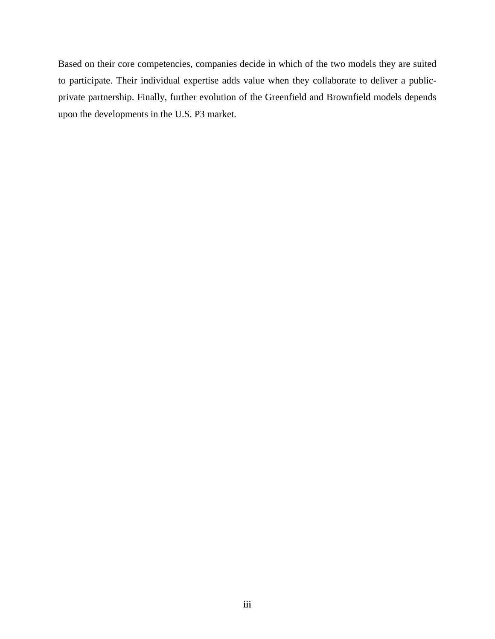Based on their core competencies, companies decide in which of the two models they are suited to participate. Their individual expertise adds value when they collaborate to deliver a publicprivate partnership. Finally, further evolution of the Greenfield and Brownfield models depends upon the developments in the U.S. P3 market.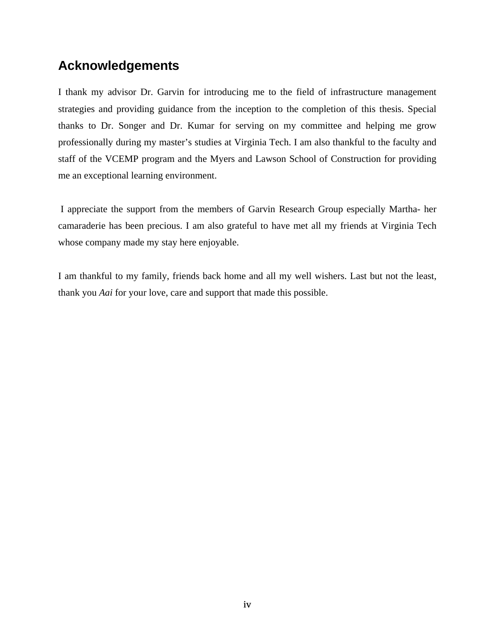# **Acknowledgements**

I thank my advisor Dr. Garvin for introducing me to the field of infrastructure management strategies and providing guidance from the inception to the completion of this thesis. Special thanks to Dr. Songer and Dr. Kumar for serving on my committee and helping me grow professionally during my master's studies at Virginia Tech. I am also thankful to the faculty and staff of the VCEMP program and the Myers and Lawson School of Construction for providing me an exceptional learning environment.

 I appreciate the support from the members of Garvin Research Group especially Martha- her camaraderie has been precious. I am also grateful to have met all my friends at Virginia Tech whose company made my stay here enjoyable.

I am thankful to my family, friends back home and all my well wishers. Last but not the least, thank you *Aai* for your love, care and support that made this possible.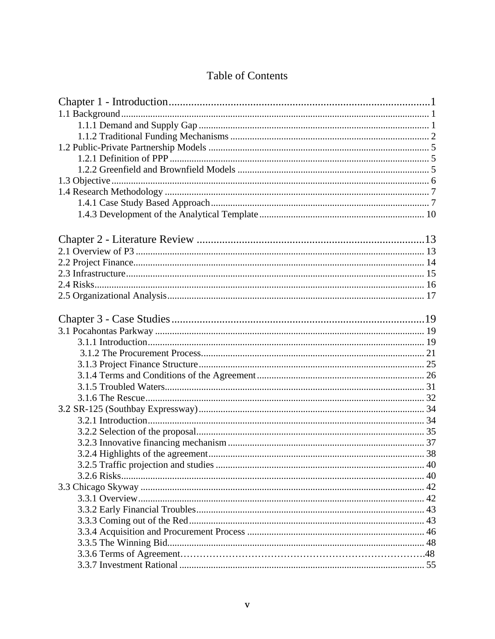# Table of Contents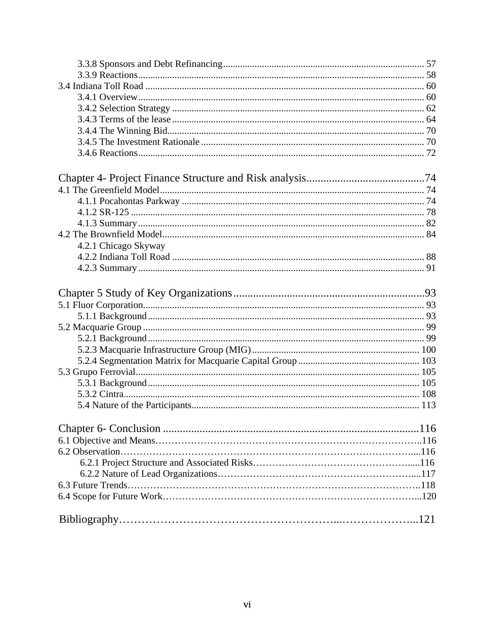| 4.2.1 Chicago Skyway |  |
|----------------------|--|
|                      |  |
|                      |  |
|                      |  |
|                      |  |
|                      |  |
|                      |  |
|                      |  |
|                      |  |
|                      |  |
|                      |  |
|                      |  |
|                      |  |
|                      |  |
|                      |  |
|                      |  |
|                      |  |
|                      |  |
|                      |  |
|                      |  |
|                      |  |
|                      |  |
|                      |  |
|                      |  |
|                      |  |
|                      |  |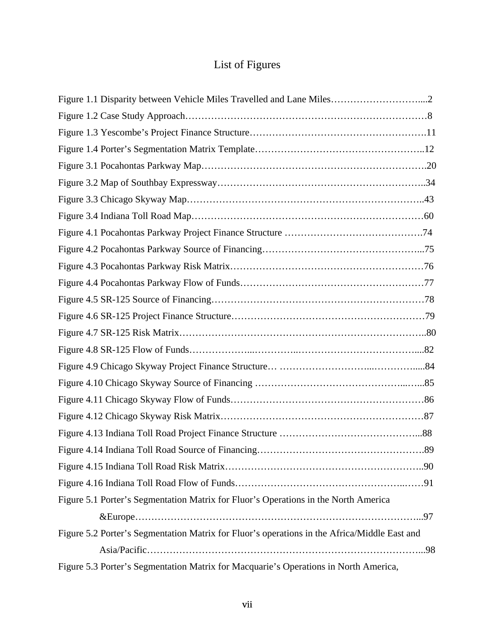# List of Figures

| Figure 5.1 Porter's Segmentation Matrix for Fluor's Operations in the North America          |
|----------------------------------------------------------------------------------------------|
|                                                                                              |
| Figure 5.2 Porter's Segmentation Matrix for Fluor's operations in the Africa/Middle East and |
|                                                                                              |
| Figure 5.3 Porter's Segmentation Matrix for Macquarie's Operations in North America,         |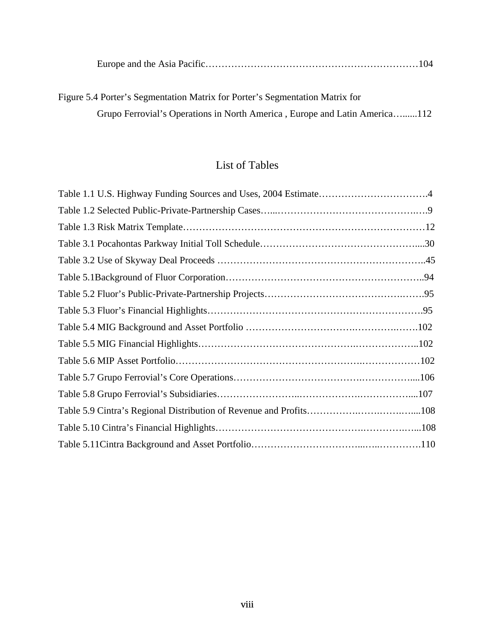|--|--|

Figure 5.4 Porter's Segmentation Matrix for Porter's Segmentation Matrix for Grupo Ferrovial's Operations in North America , Europe and Latin America…......112

# List of Tables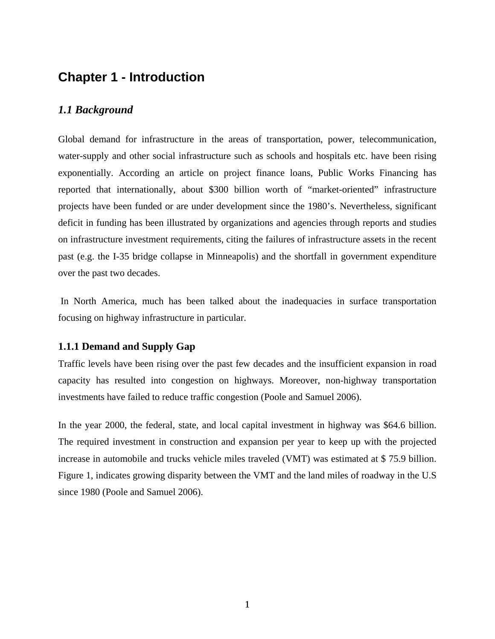# **Chapter 1 - Introduction**

# *1.1 Background*

Global demand for infrastructure in the areas of transportation, power, telecommunication, water-supply and other social infrastructure such as schools and hospitals etc. have been rising exponentially. According an article on project finance loans, Public Works Financing has reported that internationally, about \$300 billion worth of "market-oriented" infrastructure projects have been funded or are under development since the 1980's. Nevertheless, significant deficit in funding has been illustrated by organizations and agencies through reports and studies on infrastructure investment requirements, citing the failures of infrastructure assets in the recent past (e.g. the I-35 bridge collapse in Minneapolis) and the shortfall in government expenditure over the past two decades.

 In North America, much has been talked about the inadequacies in surface transportation focusing on highway infrastructure in particular.

### **1.1.1 Demand and Supply Gap**

Traffic levels have been rising over the past few decades and the insufficient expansion in road capacity has resulted into congestion on highways. Moreover, non-highway transportation investments have failed to reduce traffic congestion (Poole and Samuel 2006).

In the year 2000, the federal, state, and local capital investment in highway was \$64.6 billion. The required investment in construction and expansion per year to keep up with the projected increase in automobile and trucks vehicle miles traveled (VMT) was estimated at \$ 75.9 billion. Figure 1, indicates growing disparity between the VMT and the land miles of roadway in the U.S since 1980 (Poole and Samuel 2006).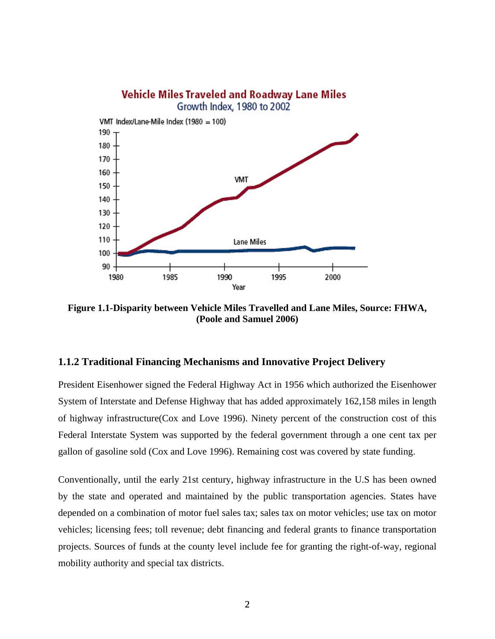

**Figure 1.1-Disparity between Vehicle Miles Travelled and Lane Miles, Source: FHWA, (Poole and Samuel 2006)** 

### **1.1.2 Traditional Financing Mechanisms and Innovative Project Delivery**

President Eisenhower signed the Federal Highway Act in 1956 which authorized the Eisenhower System of Interstate and Defense Highway that has added approximately 162,158 miles in length of highway infrastructure(Cox and Love 1996). Ninety percent of the construction cost of this Federal Interstate System was supported by the federal government through a one cent tax per gallon of gasoline sold (Cox and Love 1996). Remaining cost was covered by state funding.

Conventionally, until the early 21st century, highway infrastructure in the U.S has been owned by the state and operated and maintained by the public transportation agencies. States have depended on a combination of motor fuel sales tax; sales tax on motor vehicles; use tax on motor vehicles; licensing fees; toll revenue; debt financing and federal grants to finance transportation projects. Sources of funds at the county level include fee for granting the right-of-way, regional mobility authority and special tax districts.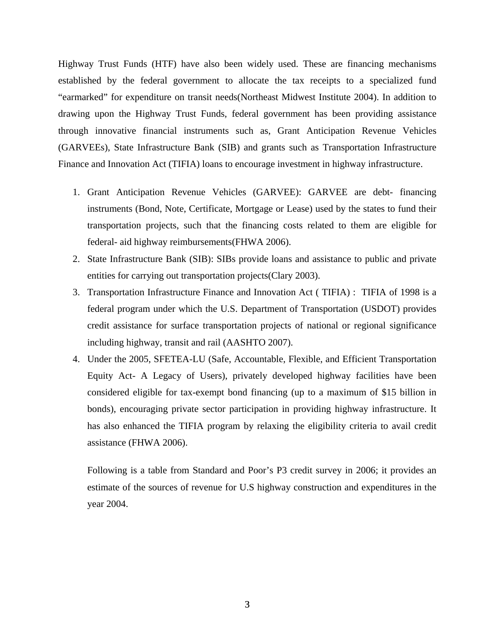Highway Trust Funds (HTF) have also been widely used. These are financing mechanisms established by the federal government to allocate the tax receipts to a specialized fund "earmarked" for expenditure on transit needs(Northeast Midwest Institute 2004). In addition to drawing upon the Highway Trust Funds, federal government has been providing assistance through innovative financial instruments such as, Grant Anticipation Revenue Vehicles (GARVEEs), State Infrastructure Bank (SIB) and grants such as Transportation Infrastructure Finance and Innovation Act (TIFIA) loans to encourage investment in highway infrastructure.

- 1. Grant Anticipation Revenue Vehicles (GARVEE): GARVEE are debt- financing instruments (Bond, Note, Certificate, Mortgage or Lease) used by the states to fund their transportation projects, such that the financing costs related to them are eligible for federal- aid highway reimbursements(FHWA 2006).
- 2. State Infrastructure Bank (SIB): SIBs provide loans and assistance to public and private entities for carrying out transportation projects(Clary 2003).
- 3. Transportation Infrastructure Finance and Innovation Act ( TIFIA) : TIFIA of 1998 is a federal program under which the U.S. Department of Transportation (USDOT) provides credit assistance for surface transportation projects of national or regional significance including highway, transit and rail (AASHTO 2007).
- 4. Under the 2005, SFETEA-LU (Safe, Accountable, Flexible, and Efficient Transportation Equity Act- A Legacy of Users), privately developed highway facilities have been considered eligible for tax-exempt bond financing (up to a maximum of \$15 billion in bonds), encouraging private sector participation in providing highway infrastructure. It has also enhanced the TIFIA program by relaxing the eligibility criteria to avail credit assistance (FHWA 2006).

Following is a table from Standard and Poor's P3 credit survey in 2006; it provides an estimate of the sources of revenue for U.S highway construction and expenditures in the year 2004.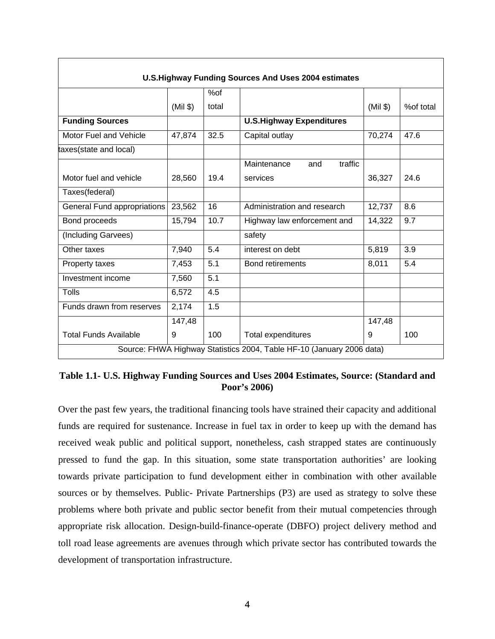| <b>U.S. Highway Funding Sources And Uses 2004 estimates</b> |          |       |                                                                       |          |           |
|-------------------------------------------------------------|----------|-------|-----------------------------------------------------------------------|----------|-----------|
|                                                             |          | %of   |                                                                       |          |           |
|                                                             | $(Mil \$ | total |                                                                       | $(Mil \$ | %of total |
| <b>Funding Sources</b>                                      |          |       | <b>U.S.Highway Expenditures</b>                                       |          |           |
| Motor Fuel and Vehicle                                      | 47,874   | 32.5  | Capital outlay                                                        | 70,274   | 47.6      |
| taxes(state and local)                                      |          |       |                                                                       |          |           |
|                                                             |          |       | traffic<br>Maintenance<br>and                                         |          |           |
| Motor fuel and vehicle                                      | 28,560   | 19.4  | services                                                              | 36,327   | 24.6      |
| Taxes(federal)                                              |          |       |                                                                       |          |           |
| General Fund appropriations                                 | 23,562   | 16    | Administration and research                                           | 12,737   | 8.6       |
| Bond proceeds                                               | 15,794   | 10.7  | Highway law enforcement and                                           | 14,322   | 9.7       |
| (Including Garvees)                                         |          |       | safety                                                                |          |           |
| Other taxes                                                 | 7,940    | 5.4   | interest on debt                                                      | 5,819    | 3.9       |
| Property taxes                                              | 7,453    | 5.1   | <b>Bond retirements</b>                                               | 8,011    | 5.4       |
| Investment income                                           | 7,560    | 5.1   |                                                                       |          |           |
| Tolls                                                       | 6,572    | 4.5   |                                                                       |          |           |
| Funds drawn from reserves                                   | 2,174    | 1.5   |                                                                       |          |           |
|                                                             | 147,48   |       |                                                                       | 147,48   |           |
| <b>Total Funds Available</b>                                | 9        | 100   | Total expenditures                                                    | 9        | 100       |
|                                                             |          |       | Source: FHWA Highway Statistics 2004, Table HF-10 (January 2006 data) |          |           |

### **Table 1.1- U.S. Highway Funding Sources and Uses 2004 Estimates, Source: (Standard and Poor's 2006)**

Over the past few years, the traditional financing tools have strained their capacity and additional funds are required for sustenance. Increase in fuel tax in order to keep up with the demand has received weak public and political support, nonetheless, cash strapped states are continuously pressed to fund the gap. In this situation, some state transportation authorities' are looking towards private participation to fund development either in combination with other available sources or by themselves. Public- Private Partnerships (P3) are used as strategy to solve these problems where both private and public sector benefit from their mutual competencies through appropriate risk allocation. Design-build-finance-operate (DBFO) project delivery method and toll road lease agreements are avenues through which private sector has contributed towards the development of transportation infrastructure.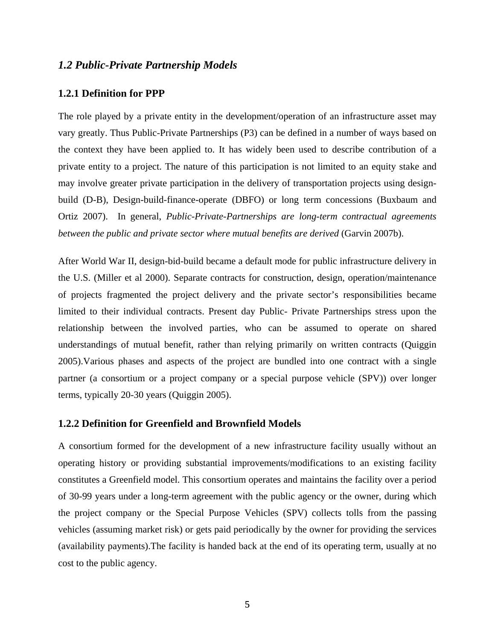#### *1.2 Public-Private Partnership Models*

### **1.2.1 Definition for PPP**

The role played by a private entity in the development/operation of an infrastructure asset may vary greatly. Thus Public-Private Partnerships (P3) can be defined in a number of ways based on the context they have been applied to. It has widely been used to describe contribution of a private entity to a project. The nature of this participation is not limited to an equity stake and may involve greater private participation in the delivery of transportation projects using designbuild (D-B), Design-build-finance-operate (DBFO) or long term concessions (Buxbaum and Ortiz 2007). In general, *Public-Private-Partnerships are long-term contractual agreements between the public and private sector where mutual benefits are derived* (Garvin 2007b).

After World War II, design-bid-build became a default mode for public infrastructure delivery in the U.S. (Miller et al 2000). Separate contracts for construction, design, operation/maintenance of projects fragmented the project delivery and the private sector's responsibilities became limited to their individual contracts. Present day Public- Private Partnerships stress upon the relationship between the involved parties, who can be assumed to operate on shared understandings of mutual benefit, rather than relying primarily on written contracts (Quiggin 2005).Various phases and aspects of the project are bundled into one contract with a single partner (a consortium or a project company or a special purpose vehicle (SPV)) over longer terms, typically 20-30 years (Quiggin 2005).

### **1.2.2 Definition for Greenfield and Brownfield Models**

A consortium formed for the development of a new infrastructure facility usually without an operating history or providing substantial improvements/modifications to an existing facility constitutes a Greenfield model. This consortium operates and maintains the facility over a period of 30-99 years under a long-term agreement with the public agency or the owner, during which the project company or the Special Purpose Vehicles (SPV) collects tolls from the passing vehicles (assuming market risk) or gets paid periodically by the owner for providing the services (availability payments).The facility is handed back at the end of its operating term, usually at no cost to the public agency.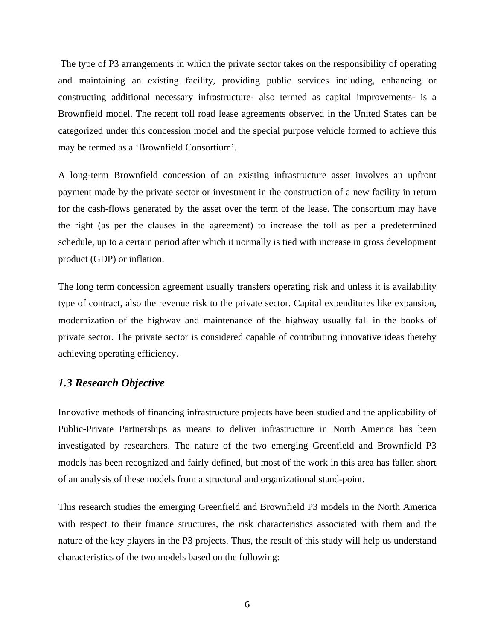The type of P3 arrangements in which the private sector takes on the responsibility of operating and maintaining an existing facility, providing public services including, enhancing or constructing additional necessary infrastructure- also termed as capital improvements- is a Brownfield model. The recent toll road lease agreements observed in the United States can be categorized under this concession model and the special purpose vehicle formed to achieve this may be termed as a 'Brownfield Consortium'.

A long-term Brownfield concession of an existing infrastructure asset involves an upfront payment made by the private sector or investment in the construction of a new facility in return for the cash-flows generated by the asset over the term of the lease. The consortium may have the right (as per the clauses in the agreement) to increase the toll as per a predetermined schedule, up to a certain period after which it normally is tied with increase in gross development product (GDP) or inflation.

The long term concession agreement usually transfers operating risk and unless it is availability type of contract, also the revenue risk to the private sector. Capital expenditures like expansion, modernization of the highway and maintenance of the highway usually fall in the books of private sector. The private sector is considered capable of contributing innovative ideas thereby achieving operating efficiency.

# *1.3 Research Objective*

Innovative methods of financing infrastructure projects have been studied and the applicability of Public-Private Partnerships as means to deliver infrastructure in North America has been investigated by researchers. The nature of the two emerging Greenfield and Brownfield P3 models has been recognized and fairly defined, but most of the work in this area has fallen short of an analysis of these models from a structural and organizational stand-point.

This research studies the emerging Greenfield and Brownfield P3 models in the North America with respect to their finance structures, the risk characteristics associated with them and the nature of the key players in the P3 projects. Thus, the result of this study will help us understand characteristics of the two models based on the following: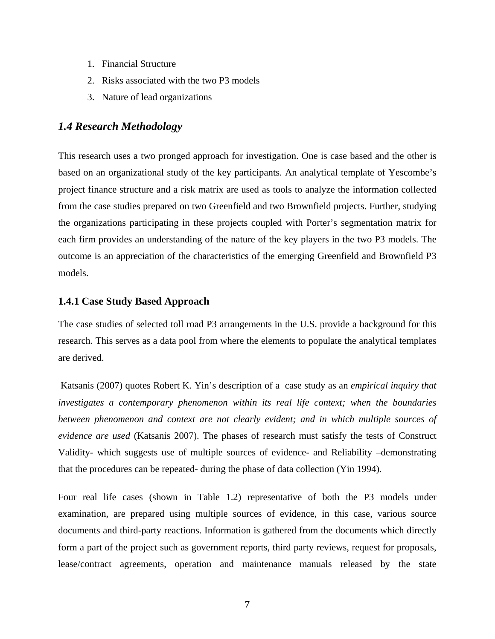- 1. Financial Structure
- 2. Risks associated with the two P3 models
- 3. Nature of lead organizations

# *1.4 Research Methodology*

This research uses a two pronged approach for investigation. One is case based and the other is based on an organizational study of the key participants. An analytical template of Yescombe's project finance structure and a risk matrix are used as tools to analyze the information collected from the case studies prepared on two Greenfield and two Brownfield projects. Further, studying the organizations participating in these projects coupled with Porter's segmentation matrix for each firm provides an understanding of the nature of the key players in the two P3 models. The outcome is an appreciation of the characteristics of the emerging Greenfield and Brownfield P3 models.

### **1.4.1 Case Study Based Approach**

The case studies of selected toll road P3 arrangements in the U.S. provide a background for this research. This serves as a data pool from where the elements to populate the analytical templates are derived.

 Katsanis (2007) quotes Robert K. Yin's description of a case study as an *empirical inquiry that investigates a contemporary phenomenon within its real life context; when the boundaries between phenomenon and context are not clearly evident; and in which multiple sources of evidence are used* (Katsanis 2007). The phases of research must satisfy the tests of Construct Validity- which suggests use of multiple sources of evidence- and Reliability –demonstrating that the procedures can be repeated- during the phase of data collection (Yin 1994).

Four real life cases (shown in Table 1.2) representative of both the P3 models under examination, are prepared using multiple sources of evidence, in this case, various source documents and third-party reactions. Information is gathered from the documents which directly form a part of the project such as government reports, third party reviews, request for proposals, lease/contract agreements, operation and maintenance manuals released by the state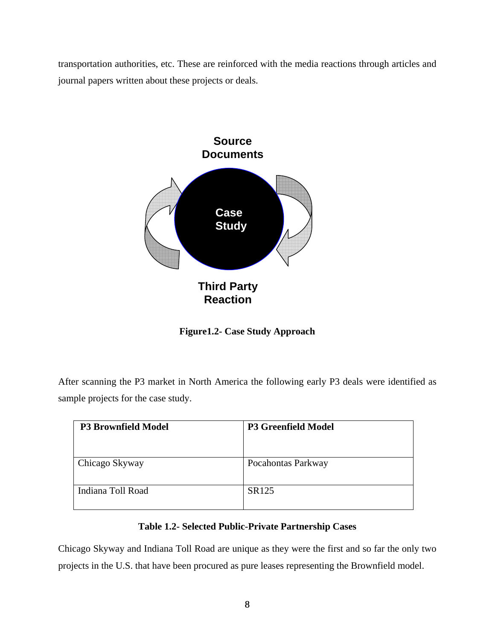transportation authorities, etc. These are reinforced with the media reactions through articles and journal papers written about these projects or deals.



**Figure1.2- Case Study Approach** 

After scanning the P3 market in North America the following early P3 deals were identified as sample projects for the case study.

| <b>P3 Brownfield Model</b> | <b>P3 Greenfield Model</b> |
|----------------------------|----------------------------|
| Chicago Skyway             | Pocahontas Parkway         |
| Indiana Toll Road          | SR125                      |

## **Table 1.2- Selected Public-Private Partnership Cases**

Chicago Skyway and Indiana Toll Road are unique as they were the first and so far the only two projects in the U.S. that have been procured as pure leases representing the Brownfield model.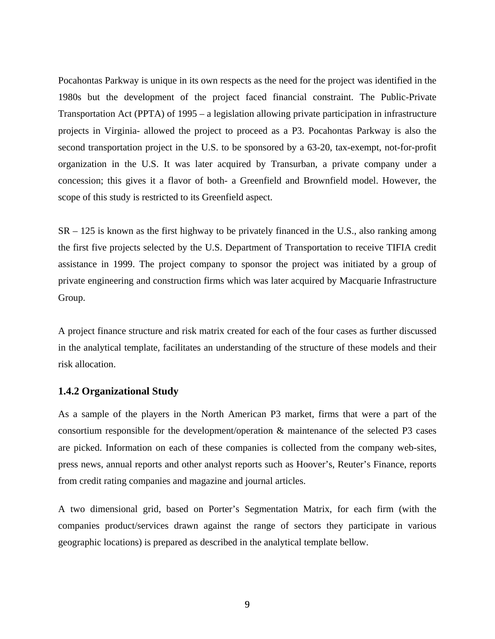Pocahontas Parkway is unique in its own respects as the need for the project was identified in the 1980s but the development of the project faced financial constraint. The Public-Private Transportation Act (PPTA) of 1995 – a legislation allowing private participation in infrastructure projects in Virginia- allowed the project to proceed as a P3. Pocahontas Parkway is also the second transportation project in the U.S. to be sponsored by a 63-20, tax-exempt, not-for-profit organization in the U.S. It was later acquired by Transurban, a private company under a concession; this gives it a flavor of both- a Greenfield and Brownfield model. However, the scope of this study is restricted to its Greenfield aspect.

SR – 125 is known as the first highway to be privately financed in the U.S., also ranking among the first five projects selected by the U.S. Department of Transportation to receive TIFIA credit assistance in 1999. The project company to sponsor the project was initiated by a group of private engineering and construction firms which was later acquired by Macquarie Infrastructure Group.

A project finance structure and risk matrix created for each of the four cases as further discussed in the analytical template, facilitates an understanding of the structure of these models and their risk allocation.

### **1.4.2 Organizational Study**

As a sample of the players in the North American P3 market, firms that were a part of the consortium responsible for the development/operation & maintenance of the selected P3 cases are picked. Information on each of these companies is collected from the company web-sites, press news, annual reports and other analyst reports such as Hoover's, Reuter's Finance, reports from credit rating companies and magazine and journal articles.

A two dimensional grid, based on Porter's Segmentation Matrix, for each firm (with the companies product/services drawn against the range of sectors they participate in various geographic locations) is prepared as described in the analytical template bellow.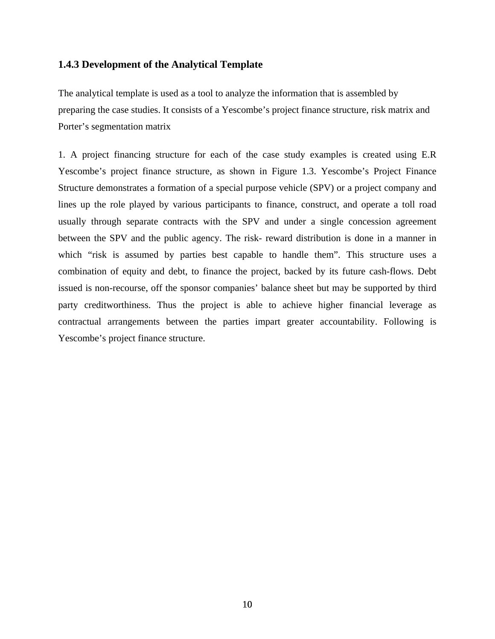### **1.4.3 Development of the Analytical Template**

The analytical template is used as a tool to analyze the information that is assembled by preparing the case studies. It consists of a Yescombe's project finance structure, risk matrix and Porter's segmentation matrix

1. A project financing structure for each of the case study examples is created using E.R Yescombe's project finance structure, as shown in Figure 1.3. Yescombe's Project Finance Structure demonstrates a formation of a special purpose vehicle (SPV) or a project company and lines up the role played by various participants to finance, construct, and operate a toll road usually through separate contracts with the SPV and under a single concession agreement between the SPV and the public agency. The risk- reward distribution is done in a manner in which "risk is assumed by parties best capable to handle them". This structure uses a combination of equity and debt, to finance the project, backed by its future cash-flows. Debt issued is non-recourse, off the sponsor companies' balance sheet but may be supported by third party creditworthiness. Thus the project is able to achieve higher financial leverage as contractual arrangements between the parties impart greater accountability. Following is Yescombe's project finance structure.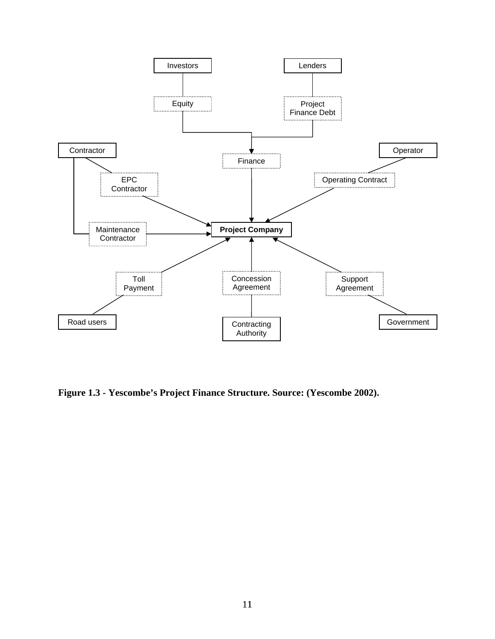

**Figure 1.3 - Yescombe's Project Finance Structure. Source: (Yescombe 2002).**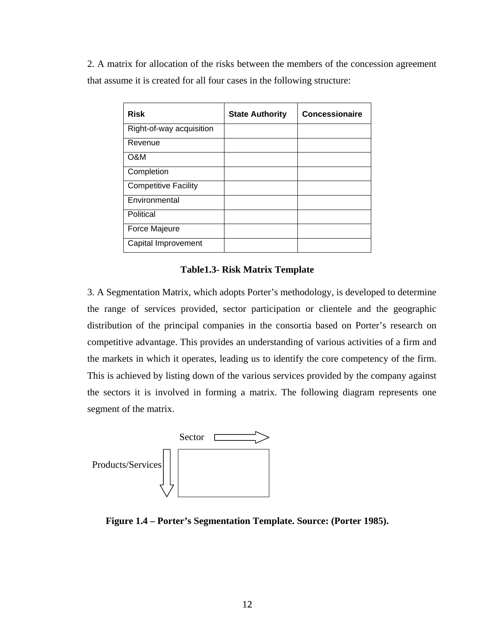2. A matrix for allocation of the risks between the members of the concession agreement that assume it is created for all four cases in the following structure:

| <b>Risk</b>                 | <b>State Authority</b> | <b>Concessionaire</b> |
|-----------------------------|------------------------|-----------------------|
| Right-of-way acquisition    |                        |                       |
| Revenue                     |                        |                       |
| <b>O&amp;M</b>              |                        |                       |
| Completion                  |                        |                       |
| <b>Competitive Facility</b> |                        |                       |
| Environmental               |                        |                       |
| Political                   |                        |                       |
| Force Majeure               |                        |                       |
| Capital Improvement         |                        |                       |

## **Table1.3- Risk Matrix Template**

3. A Segmentation Matrix, which adopts Porter's methodology, is developed to determine the range of services provided, sector participation or clientele and the geographic distribution of the principal companies in the consortia based on Porter's research on competitive advantage. This provides an understanding of various activities of a firm and the markets in which it operates, leading us to identify the core competency of the firm. This is achieved by listing down of the various services provided by the company against the sectors it is involved in forming a matrix. The following diagram represents one segment of the matrix.



**Figure 1.4 – Porter's Segmentation Template. Source: (Porter 1985).**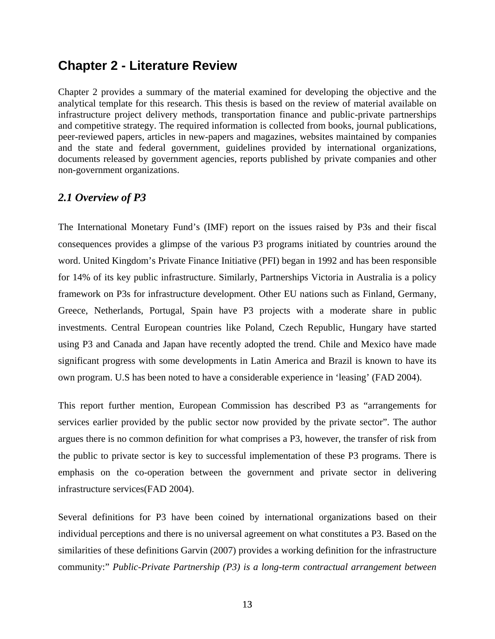# **Chapter 2 - Literature Review**

Chapter 2 provides a summary of the material examined for developing the objective and the analytical template for this research. This thesis is based on the review of material available on infrastructure project delivery methods, transportation finance and public-private partnerships and competitive strategy. The required information is collected from books, journal publications, peer-reviewed papers, articles in new-papers and magazines, websites maintained by companies and the state and federal government, guidelines provided by international organizations, documents released by government agencies, reports published by private companies and other non-government organizations.

### *2.1 Overview of P3*

The International Monetary Fund's (IMF) report on the issues raised by P3s and their fiscal consequences provides a glimpse of the various P3 programs initiated by countries around the word. United Kingdom's Private Finance Initiative (PFI) began in 1992 and has been responsible for 14% of its key public infrastructure. Similarly, Partnerships Victoria in Australia is a policy framework on P3s for infrastructure development. Other EU nations such as Finland, Germany, Greece, Netherlands, Portugal, Spain have P3 projects with a moderate share in public investments. Central European countries like Poland, Czech Republic, Hungary have started using P3 and Canada and Japan have recently adopted the trend. Chile and Mexico have made significant progress with some developments in Latin America and Brazil is known to have its own program. U.S has been noted to have a considerable experience in 'leasing' (FAD 2004).

This report further mention, European Commission has described P3 as "arrangements for services earlier provided by the public sector now provided by the private sector". The author argues there is no common definition for what comprises a P3, however, the transfer of risk from the public to private sector is key to successful implementation of these P3 programs. There is emphasis on the co-operation between the government and private sector in delivering infrastructure services(FAD 2004).

Several definitions for P3 have been coined by international organizations based on their individual perceptions and there is no universal agreement on what constitutes a P3. Based on the similarities of these definitions Garvin (2007) provides a working definition for the infrastructure community:" *Public-Private Partnership (P3) is a long-term contractual arrangement between*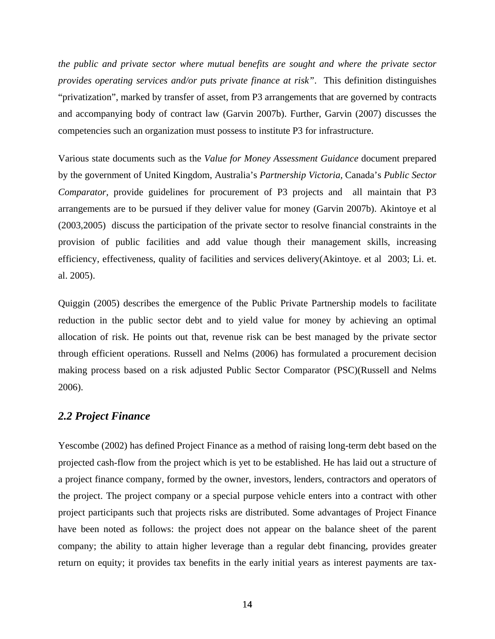*the public and private sector where mutual benefits are sought and where the private sector provides operating services and/or puts private finance at risk"*. This definition distinguishes "privatization", marked by transfer of asset, from P3 arrangements that are governed by contracts and accompanying body of contract law (Garvin 2007b). Further, Garvin (2007) discusses the competencies such an organization must possess to institute P3 for infrastructure.

Various state documents such as the *Value for Money Assessment Guidance* document prepared by the government of United Kingdom, Australia's *Partnership Victoria,* Canada's *Public Sector Comparator,* provide guidelines for procurement of P3 projects and all maintain that P3 arrangements are to be pursued if they deliver value for money (Garvin 2007b). Akintoye et al (2003,2005) discuss the participation of the private sector to resolve financial constraints in the provision of public facilities and add value though their management skills, increasing efficiency, effectiveness, quality of facilities and services delivery(Akintoye. et al 2003; Li. et. al. 2005).

Quiggin (2005) describes the emergence of the Public Private Partnership models to facilitate reduction in the public sector debt and to yield value for money by achieving an optimal allocation of risk. He points out that, revenue risk can be best managed by the private sector through efficient operations. Russell and Nelms (2006) has formulated a procurement decision making process based on a risk adjusted Public Sector Comparator (PSC)(Russell and Nelms 2006).

#### *2.2 Project Finance*

Yescombe (2002) has defined Project Finance as a method of raising long-term debt based on the projected cash-flow from the project which is yet to be established. He has laid out a structure of a project finance company, formed by the owner, investors, lenders, contractors and operators of the project. The project company or a special purpose vehicle enters into a contract with other project participants such that projects risks are distributed. Some advantages of Project Finance have been noted as follows: the project does not appear on the balance sheet of the parent company; the ability to attain higher leverage than a regular debt financing, provides greater return on equity; it provides tax benefits in the early initial years as interest payments are tax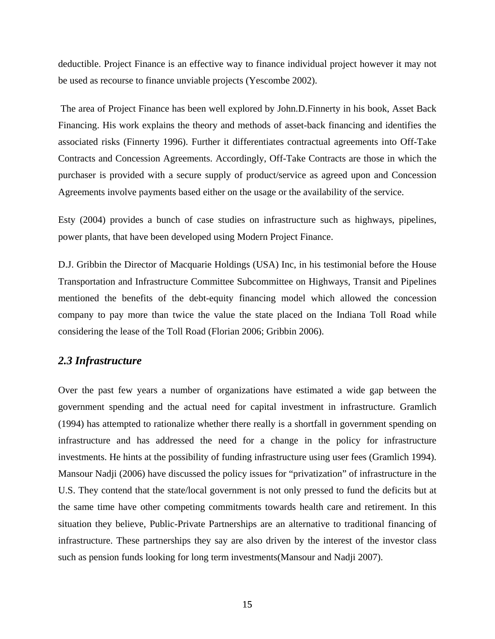deductible. Project Finance is an effective way to finance individual project however it may not be used as recourse to finance unviable projects (Yescombe 2002).

 The area of Project Finance has been well explored by John.D.Finnerty in his book, Asset Back Financing. His work explains the theory and methods of asset-back financing and identifies the associated risks (Finnerty 1996). Further it differentiates contractual agreements into Off-Take Contracts and Concession Agreements. Accordingly, Off-Take Contracts are those in which the purchaser is provided with a secure supply of product/service as agreed upon and Concession Agreements involve payments based either on the usage or the availability of the service.

Esty (2004) provides a bunch of case studies on infrastructure such as highways, pipelines, power plants, that have been developed using Modern Project Finance.

D.J. Gribbin the Director of Macquarie Holdings (USA) Inc, in his testimonial before the House Transportation and Infrastructure Committee Subcommittee on Highways, Transit and Pipelines mentioned the benefits of the debt-equity financing model which allowed the concession company to pay more than twice the value the state placed on the Indiana Toll Road while considering the lease of the Toll Road (Florian 2006; Gribbin 2006).

#### *2.3 Infrastructure*

Over the past few years a number of organizations have estimated a wide gap between the government spending and the actual need for capital investment in infrastructure. Gramlich (1994) has attempted to rationalize whether there really is a shortfall in government spending on infrastructure and has addressed the need for a change in the policy for infrastructure investments. He hints at the possibility of funding infrastructure using user fees (Gramlich 1994). Mansour Nadji (2006) have discussed the policy issues for "privatization" of infrastructure in the U.S. They contend that the state/local government is not only pressed to fund the deficits but at the same time have other competing commitments towards health care and retirement. In this situation they believe, Public-Private Partnerships are an alternative to traditional financing of infrastructure. These partnerships they say are also driven by the interest of the investor class such as pension funds looking for long term investments(Mansour and Nadji 2007).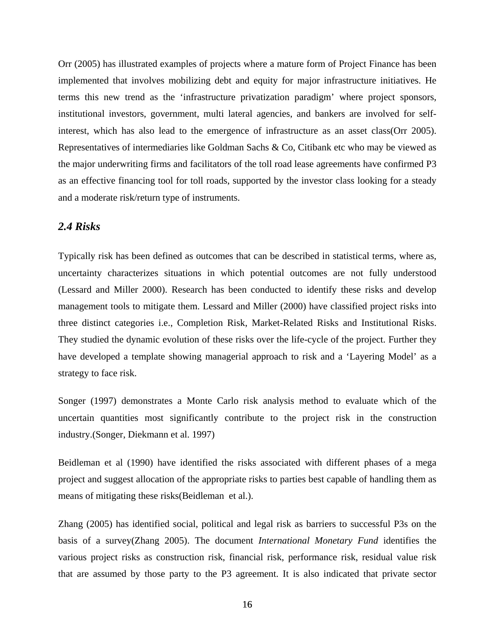Orr (2005) has illustrated examples of projects where a mature form of Project Finance has been implemented that involves mobilizing debt and equity for major infrastructure initiatives. He terms this new trend as the 'infrastructure privatization paradigm' where project sponsors, institutional investors, government, multi lateral agencies, and bankers are involved for selfinterest, which has also lead to the emergence of infrastructure as an asset class(Orr 2005). Representatives of intermediaries like Goldman Sachs & Co, Citibank etc who may be viewed as the major underwriting firms and facilitators of the toll road lease agreements have confirmed P3 as an effective financing tool for toll roads, supported by the investor class looking for a steady and a moderate risk/return type of instruments.

## *2.4 Risks*

Typically risk has been defined as outcomes that can be described in statistical terms, where as, uncertainty characterizes situations in which potential outcomes are not fully understood (Lessard and Miller 2000). Research has been conducted to identify these risks and develop management tools to mitigate them. Lessard and Miller (2000) have classified project risks into three distinct categories i.e., Completion Risk, Market-Related Risks and Institutional Risks. They studied the dynamic evolution of these risks over the life-cycle of the project. Further they have developed a template showing managerial approach to risk and a 'Layering Model' as a strategy to face risk.

Songer (1997) demonstrates a Monte Carlo risk analysis method to evaluate which of the uncertain quantities most significantly contribute to the project risk in the construction industry.(Songer, Diekmann et al. 1997)

Beidleman et al (1990) have identified the risks associated with different phases of a mega project and suggest allocation of the appropriate risks to parties best capable of handling them as means of mitigating these risks(Beidleman et al.).

Zhang (2005) has identified social, political and legal risk as barriers to successful P3s on the basis of a survey(Zhang 2005). The document *International Monetary Fund* identifies the various project risks as construction risk, financial risk, performance risk, residual value risk that are assumed by those party to the P3 agreement. It is also indicated that private sector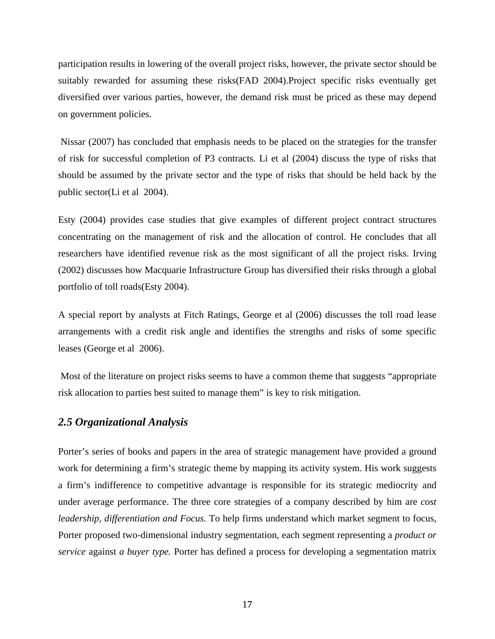participation results in lowering of the overall project risks, however, the private sector should be suitably rewarded for assuming these risks(FAD 2004).Project specific risks eventually get diversified over various parties, however, the demand risk must be priced as these may depend on government policies.

 Nissar (2007) has concluded that emphasis needs to be placed on the strategies for the transfer of risk for successful completion of P3 contracts. Li et al (2004) discuss the type of risks that should be assumed by the private sector and the type of risks that should be held back by the public sector(Li et al 2004).

Esty (2004) provides case studies that give examples of different project contract structures concentrating on the management of risk and the allocation of control. He concludes that all researchers have identified revenue risk as the most significant of all the project risks. Irving (2002) discusses how Macquarie Infrastructure Group has diversified their risks through a global portfolio of toll roads(Esty 2004).

A special report by analysts at Fitch Ratings, George et al (2006) discusses the toll road lease arrangements with a credit risk angle and identifies the strengths and risks of some specific leases (George et al 2006).

 Most of the literature on project risks seems to have a common theme that suggests "appropriate risk allocation to parties best suited to manage them" is key to risk mitigation.

### *2.5 Organizational Analysis*

Porter's series of books and papers in the area of strategic management have provided a ground work for determining a firm's strategic theme by mapping its activity system. His work suggests a firm's indifference to competitive advantage is responsible for its strategic mediocrity and under average performance. The three core strategies of a company described by him are *cost leadership, differentiation and Focus.* To help firms understand which market segment to focus, Porter proposed two-dimensional industry segmentation, each segment representing a *product or service* against *a buyer type.* Porter has defined a process for developing a segmentation matrix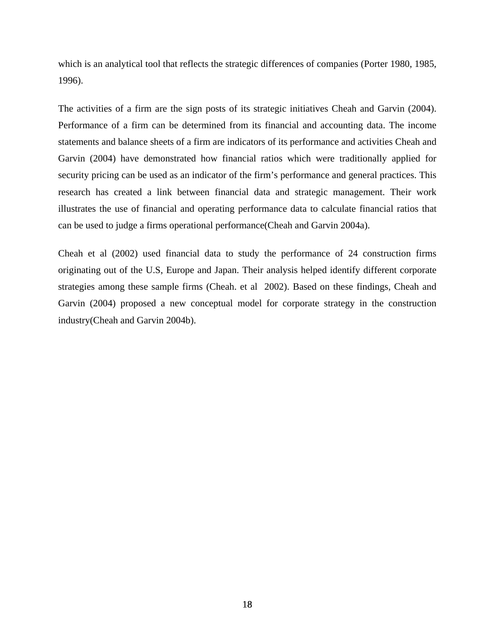which is an analytical tool that reflects the strategic differences of companies (Porter 1980, 1985, 1996).

The activities of a firm are the sign posts of its strategic initiatives Cheah and Garvin (2004). Performance of a firm can be determined from its financial and accounting data. The income statements and balance sheets of a firm are indicators of its performance and activities Cheah and Garvin (2004) have demonstrated how financial ratios which were traditionally applied for security pricing can be used as an indicator of the firm's performance and general practices. This research has created a link between financial data and strategic management. Their work illustrates the use of financial and operating performance data to calculate financial ratios that can be used to judge a firms operational performance(Cheah and Garvin 2004a).

Cheah et al (2002) used financial data to study the performance of 24 construction firms originating out of the U.S, Europe and Japan. Their analysis helped identify different corporate strategies among these sample firms (Cheah. et al 2002). Based on these findings, Cheah and Garvin (2004) proposed a new conceptual model for corporate strategy in the construction industry(Cheah and Garvin 2004b).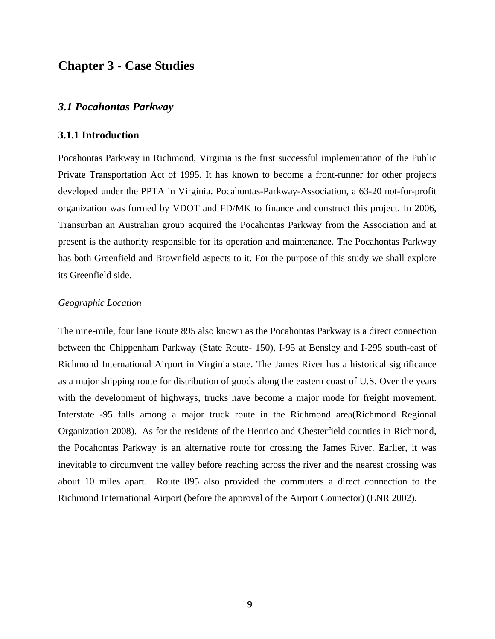# **Chapter 3 - Case Studies**

#### *3.1 Pocahontas Parkway*

### **3.1.1 Introduction**

Pocahontas Parkway in Richmond, Virginia is the first successful implementation of the Public Private Transportation Act of 1995. It has known to become a front-runner for other projects developed under the PPTA in Virginia. Pocahontas-Parkway-Association, a 63-20 not-for-profit organization was formed by VDOT and FD/MK to finance and construct this project. In 2006, Transurban an Australian group acquired the Pocahontas Parkway from the Association and at present is the authority responsible for its operation and maintenance. The Pocahontas Parkway has both Greenfield and Brownfield aspects to it. For the purpose of this study we shall explore its Greenfield side.

#### *Geographic Location*

The nine-mile, four lane Route 895 also known as the Pocahontas Parkway is a direct connection between the Chippenham Parkway (State Route- 150), I-95 at Bensley and I-295 south-east of Richmond International Airport in Virginia state. The James River has a historical significance as a major shipping route for distribution of goods along the eastern coast of U.S. Over the years with the development of highways, trucks have become a major mode for freight movement. Interstate -95 falls among a major truck route in the Richmond area(Richmond Regional Organization 2008). As for the residents of the Henrico and Chesterfield counties in Richmond, the Pocahontas Parkway is an alternative route for crossing the James River. Earlier, it was inevitable to circumvent the valley before reaching across the river and the nearest crossing was about 10 miles apart. Route 895 also provided the commuters a direct connection to the Richmond International Airport (before the approval of the Airport Connector) (ENR 2002).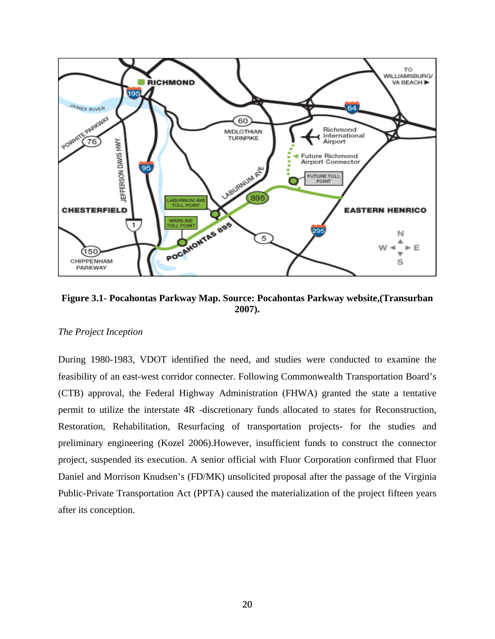

**Figure 3.1- Pocahontas Parkway Map. Source: Pocahontas Parkway website,(Transurban 2007).** 

#### *The Project Inception*

During 1980-1983, VDOT identified the need, and studies were conducted to examine the feasibility of an east-west corridor connecter. Following Commonwealth Transportation Board's (CTB) approval, the Federal Highway Administration (FHWA) granted the state a tentative permit to utilize the interstate 4R -discretionary funds allocated to states for Reconstruction, Restoration, Rehabilitation, Resurfacing of transportation projects- for the studies and preliminary engineering (Kozel 2006).However, insufficient funds to construct the connector project, suspended its execution. A senior official with Fluor Corporation confirmed that Fluor Daniel and Morrison Knudsen's (FD/MK) unsolicited proposal after the passage of the Virginia Public-Private Transportation Act (PPTA) caused the materialization of the project fifteen years after its conception.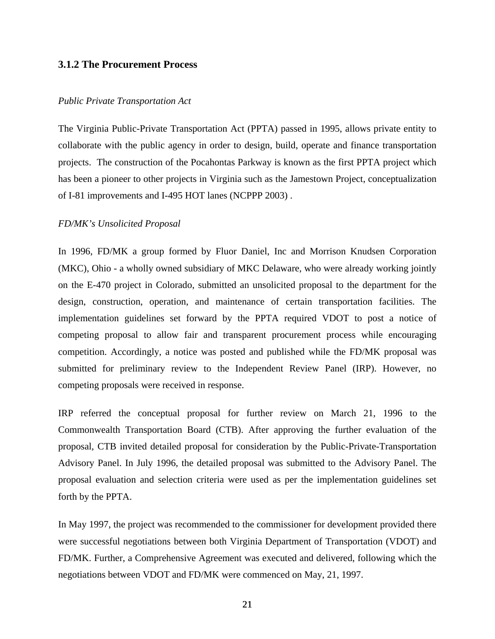#### **3.1.2 The Procurement Process**

#### *Public Private Transportation Act*

The Virginia Public-Private Transportation Act (PPTA) passed in 1995, allows private entity to collaborate with the public agency in order to design, build, operate and finance transportation projects. The construction of the Pocahontas Parkway is known as the first PPTA project which has been a pioneer to other projects in Virginia such as the Jamestown Project, conceptualization of I-81 improvements and I-495 HOT lanes (NCPPP 2003) .

#### *FD/MK's Unsolicited Proposal*

In 1996, FD/MK a group formed by Fluor Daniel, Inc and Morrison Knudsen Corporation (MKC), Ohio - a wholly owned subsidiary of MKC Delaware, who were already working jointly on the E-470 project in Colorado, submitted an unsolicited proposal to the department for the design, construction, operation, and maintenance of certain transportation facilities. The implementation guidelines set forward by the PPTA required VDOT to post a notice of competing proposal to allow fair and transparent procurement process while encouraging competition. Accordingly, a notice was posted and published while the FD/MK proposal was submitted for preliminary review to the Independent Review Panel (IRP). However, no competing proposals were received in response.

IRP referred the conceptual proposal for further review on March 21, 1996 to the Commonwealth Transportation Board (CTB). After approving the further evaluation of the proposal, CTB invited detailed proposal for consideration by the Public-Private-Transportation Advisory Panel. In July 1996, the detailed proposal was submitted to the Advisory Panel. The proposal evaluation and selection criteria were used as per the implementation guidelines set forth by the PPTA.

In May 1997, the project was recommended to the commissioner for development provided there were successful negotiations between both Virginia Department of Transportation (VDOT) and FD/MK. Further, a Comprehensive Agreement was executed and delivered, following which the negotiations between VDOT and FD/MK were commenced on May, 21, 1997.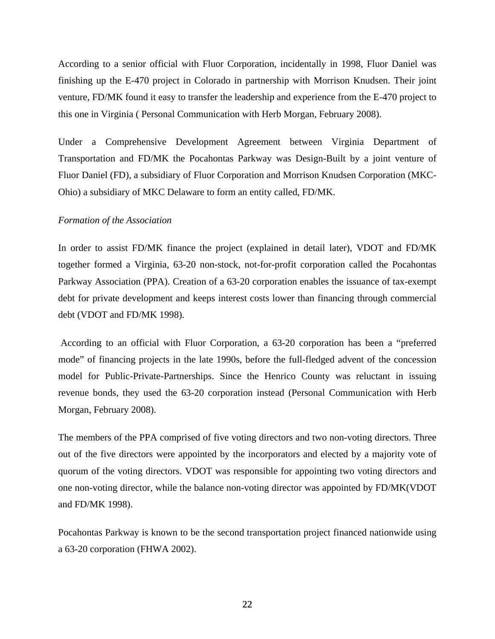According to a senior official with Fluor Corporation, incidentally in 1998, Fluor Daniel was finishing up the E-470 project in Colorado in partnership with Morrison Knudsen. Their joint venture, FD/MK found it easy to transfer the leadership and experience from the E-470 project to this one in Virginia ( Personal Communication with Herb Morgan, February 2008).

Under a Comprehensive Development Agreement between Virginia Department of Transportation and FD/MK the Pocahontas Parkway was Design-Built by a joint venture of Fluor Daniel (FD), a subsidiary of Fluor Corporation and Morrison Knudsen Corporation (MKC-Ohio) a subsidiary of MKC Delaware to form an entity called, FD/MK.

#### *Formation of the Association*

In order to assist FD/MK finance the project (explained in detail later), VDOT and FD/MK together formed a Virginia, 63-20 non-stock, not-for-profit corporation called the Pocahontas Parkway Association (PPA). Creation of a 63-20 corporation enables the issuance of tax-exempt debt for private development and keeps interest costs lower than financing through commercial debt (VDOT and FD/MK 1998).

 According to an official with Fluor Corporation, a 63-20 corporation has been a "preferred mode" of financing projects in the late 1990s, before the full-fledged advent of the concession model for Public-Private-Partnerships. Since the Henrico County was reluctant in issuing revenue bonds, they used the 63-20 corporation instead (Personal Communication with Herb Morgan, February 2008).

The members of the PPA comprised of five voting directors and two non-voting directors. Three out of the five directors were appointed by the incorporators and elected by a majority vote of quorum of the voting directors. VDOT was responsible for appointing two voting directors and one non-voting director, while the balance non-voting director was appointed by FD/MK(VDOT and FD/MK 1998).

Pocahontas Parkway is known to be the second transportation project financed nationwide using a 63-20 corporation (FHWA 2002).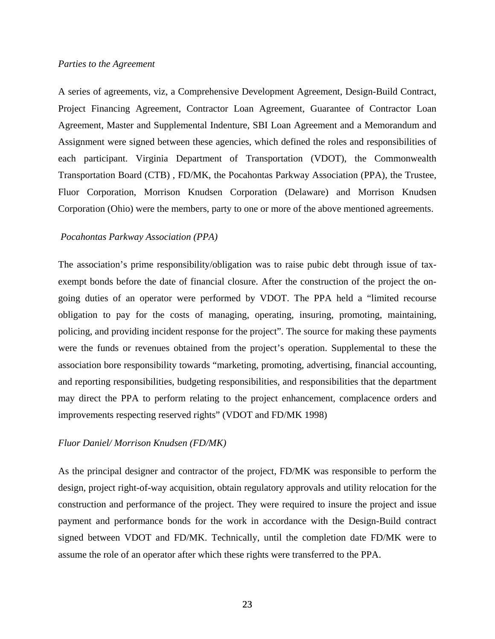A series of agreements, viz, a Comprehensive Development Agreement, Design-Build Contract, Project Financing Agreement, Contractor Loan Agreement, Guarantee of Contractor Loan Agreement, Master and Supplemental Indenture, SBI Loan Agreement and a Memorandum and Assignment were signed between these agencies, which defined the roles and responsibilities of each participant. Virginia Department of Transportation (VDOT), the Commonwealth Transportation Board (CTB) , FD/MK, the Pocahontas Parkway Association (PPA), the Trustee, Fluor Corporation, Morrison Knudsen Corporation (Delaware) and Morrison Knudsen Corporation (Ohio) were the members, party to one or more of the above mentioned agreements.

#### *Pocahontas Parkway Association (PPA)*

The association's prime responsibility/obligation was to raise pubic debt through issue of taxexempt bonds before the date of financial closure. After the construction of the project the ongoing duties of an operator were performed by VDOT. The PPA held a "limited recourse obligation to pay for the costs of managing, operating, insuring, promoting, maintaining, policing, and providing incident response for the project". The source for making these payments were the funds or revenues obtained from the project's operation. Supplemental to these the association bore responsibility towards "marketing, promoting, advertising, financial accounting, and reporting responsibilities, budgeting responsibilities, and responsibilities that the department may direct the PPA to perform relating to the project enhancement, complacence orders and improvements respecting reserved rights" (VDOT and FD/MK 1998)

#### *Fluor Daniel/ Morrison Knudsen (FD/MK)*

As the principal designer and contractor of the project, FD/MK was responsible to perform the design, project right-of-way acquisition, obtain regulatory approvals and utility relocation for the construction and performance of the project. They were required to insure the project and issue payment and performance bonds for the work in accordance with the Design-Build contract signed between VDOT and FD/MK. Technically, until the completion date FD/MK were to assume the role of an operator after which these rights were transferred to the PPA.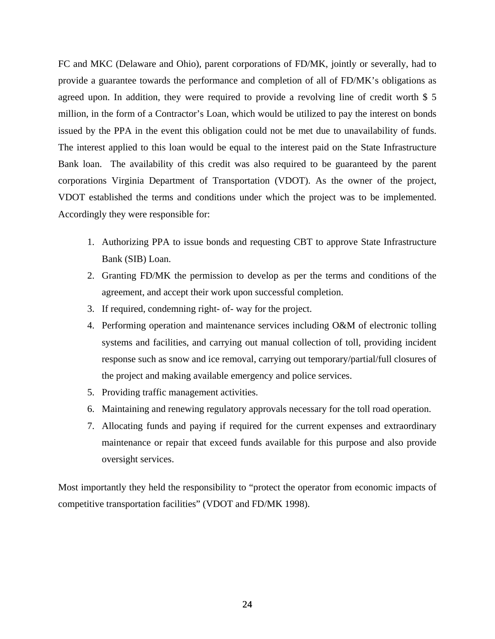FC and MKC (Delaware and Ohio), parent corporations of FD/MK, jointly or severally, had to provide a guarantee towards the performance and completion of all of FD/MK's obligations as agreed upon. In addition, they were required to provide a revolving line of credit worth \$ 5 million, in the form of a Contractor's Loan, which would be utilized to pay the interest on bonds issued by the PPA in the event this obligation could not be met due to unavailability of funds. The interest applied to this loan would be equal to the interest paid on the State Infrastructure Bank loan. The availability of this credit was also required to be guaranteed by the parent corporations Virginia Department of Transportation (VDOT). As the owner of the project, VDOT established the terms and conditions under which the project was to be implemented. Accordingly they were responsible for:

- 1. Authorizing PPA to issue bonds and requesting CBT to approve State Infrastructure Bank (SIB) Loan.
- 2. Granting FD/MK the permission to develop as per the terms and conditions of the agreement, and accept their work upon successful completion.
- 3. If required, condemning right- of- way for the project.
- 4. Performing operation and maintenance services including O&M of electronic tolling systems and facilities, and carrying out manual collection of toll, providing incident response such as snow and ice removal, carrying out temporary/partial/full closures of the project and making available emergency and police services.
- 5. Providing traffic management activities.
- 6. Maintaining and renewing regulatory approvals necessary for the toll road operation.
- 7. Allocating funds and paying if required for the current expenses and extraordinary maintenance or repair that exceed funds available for this purpose and also provide oversight services.

Most importantly they held the responsibility to "protect the operator from economic impacts of competitive transportation facilities" (VDOT and FD/MK 1998).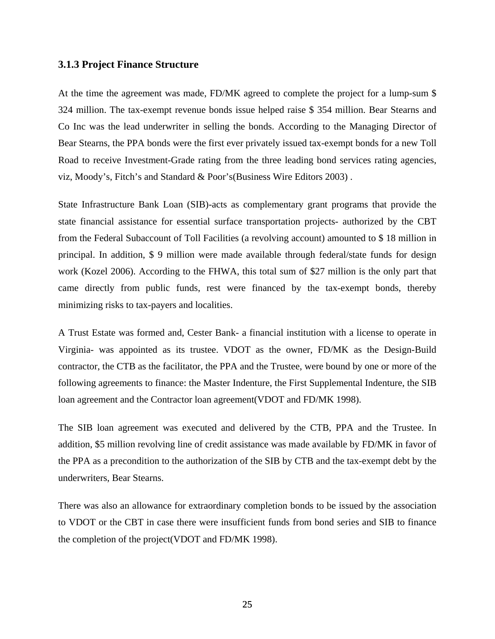#### **3.1.3 Project Finance Structure**

At the time the agreement was made, FD/MK agreed to complete the project for a lump-sum \$ 324 million. The tax-exempt revenue bonds issue helped raise \$ 354 million. Bear Stearns and Co Inc was the lead underwriter in selling the bonds. According to the Managing Director of Bear Stearns, the PPA bonds were the first ever privately issued tax-exempt bonds for a new Toll Road to receive Investment-Grade rating from the three leading bond services rating agencies, viz, Moody's, Fitch's and Standard & Poor's(Business Wire Editors 2003) .

State Infrastructure Bank Loan (SIB)-acts as complementary grant programs that provide the state financial assistance for essential surface transportation projects- authorized by the CBT from the Federal Subaccount of Toll Facilities (a revolving account) amounted to \$ 18 million in principal. In addition, \$ 9 million were made available through federal/state funds for design work (Kozel 2006). According to the FHWA, this total sum of \$27 million is the only part that came directly from public funds, rest were financed by the tax-exempt bonds, thereby minimizing risks to tax-payers and localities.

A Trust Estate was formed and, Cester Bank- a financial institution with a license to operate in Virginia- was appointed as its trustee. VDOT as the owner, FD/MK as the Design-Build contractor, the CTB as the facilitator, the PPA and the Trustee, were bound by one or more of the following agreements to finance: the Master Indenture, the First Supplemental Indenture, the SIB loan agreement and the Contractor loan agreement(VDOT and FD/MK 1998).

The SIB loan agreement was executed and delivered by the CTB, PPA and the Trustee. In addition, \$5 million revolving line of credit assistance was made available by FD/MK in favor of the PPA as a precondition to the authorization of the SIB by CTB and the tax-exempt debt by the underwriters, Bear Stearns.

There was also an allowance for extraordinary completion bonds to be issued by the association to VDOT or the CBT in case there were insufficient funds from bond series and SIB to finance the completion of the project(VDOT and FD/MK 1998).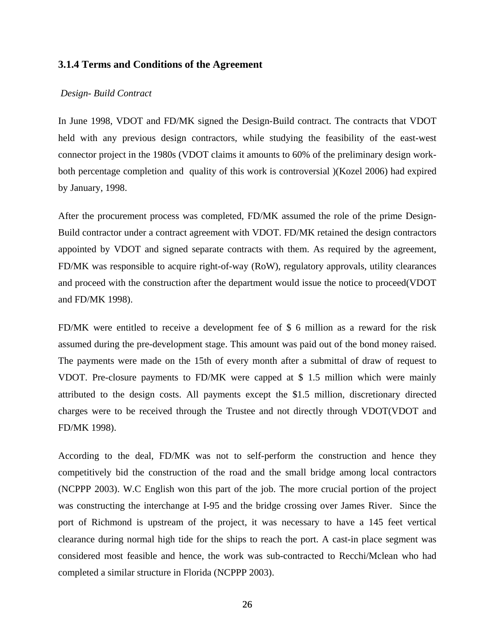#### **3.1.4 Terms and Conditions of the Agreement**

#### *Design- Build Contract*

In June 1998, VDOT and FD/MK signed the Design-Build contract. The contracts that VDOT held with any previous design contractors, while studying the feasibility of the east-west connector project in the 1980s (VDOT claims it amounts to 60% of the preliminary design workboth percentage completion and quality of this work is controversial )(Kozel 2006) had expired by January, 1998.

After the procurement process was completed, FD/MK assumed the role of the prime Design-Build contractor under a contract agreement with VDOT. FD/MK retained the design contractors appointed by VDOT and signed separate contracts with them. As required by the agreement, FD/MK was responsible to acquire right-of-way (RoW), regulatory approvals, utility clearances and proceed with the construction after the department would issue the notice to proceed(VDOT and FD/MK 1998).

FD/MK were entitled to receive a development fee of \$ 6 million as a reward for the risk assumed during the pre-development stage. This amount was paid out of the bond money raised. The payments were made on the 15th of every month after a submittal of draw of request to VDOT. Pre-closure payments to FD/MK were capped at \$ 1.5 million which were mainly attributed to the design costs. All payments except the \$1.5 million, discretionary directed charges were to be received through the Trustee and not directly through VDOT(VDOT and FD/MK 1998).

According to the deal, FD/MK was not to self-perform the construction and hence they competitively bid the construction of the road and the small bridge among local contractors (NCPPP 2003). W.C English won this part of the job. The more crucial portion of the project was constructing the interchange at I-95 and the bridge crossing over James River. Since the port of Richmond is upstream of the project, it was necessary to have a 145 feet vertical clearance during normal high tide for the ships to reach the port. A cast-in place segment was considered most feasible and hence, the work was sub-contracted to Recchi/Mclean who had completed a similar structure in Florida (NCPPP 2003).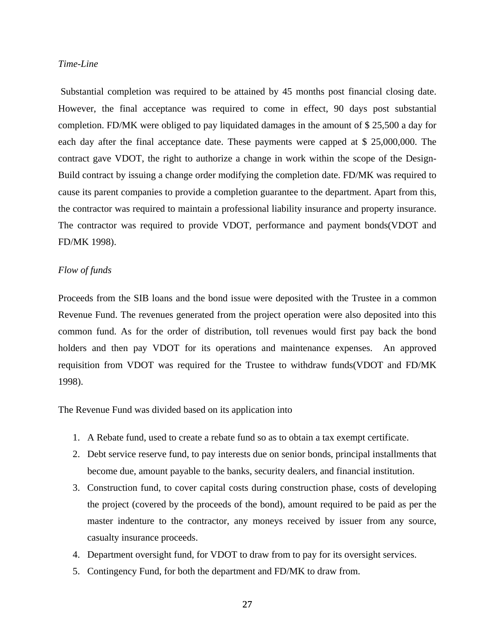#### *Time-Line*

 Substantial completion was required to be attained by 45 months post financial closing date. However, the final acceptance was required to come in effect, 90 days post substantial completion. FD/MK were obliged to pay liquidated damages in the amount of \$ 25,500 a day for each day after the final acceptance date. These payments were capped at \$ 25,000,000. The contract gave VDOT, the right to authorize a change in work within the scope of the Design-Build contract by issuing a change order modifying the completion date. FD/MK was required to cause its parent companies to provide a completion guarantee to the department. Apart from this, the contractor was required to maintain a professional liability insurance and property insurance. The contractor was required to provide VDOT, performance and payment bonds(VDOT and FD/MK 1998).

#### *Flow of funds*

Proceeds from the SIB loans and the bond issue were deposited with the Trustee in a common Revenue Fund. The revenues generated from the project operation were also deposited into this common fund. As for the order of distribution, toll revenues would first pay back the bond holders and then pay VDOT for its operations and maintenance expenses. An approved requisition from VDOT was required for the Trustee to withdraw funds(VDOT and FD/MK 1998).

The Revenue Fund was divided based on its application into

- 1. A Rebate fund, used to create a rebate fund so as to obtain a tax exempt certificate.
- 2. Debt service reserve fund, to pay interests due on senior bonds, principal installments that become due, amount payable to the banks, security dealers, and financial institution.
- 3. Construction fund, to cover capital costs during construction phase, costs of developing the project (covered by the proceeds of the bond), amount required to be paid as per the master indenture to the contractor, any moneys received by issuer from any source, casualty insurance proceeds.
- 4. Department oversight fund, for VDOT to draw from to pay for its oversight services.
- 5. Contingency Fund, for both the department and FD/MK to draw from.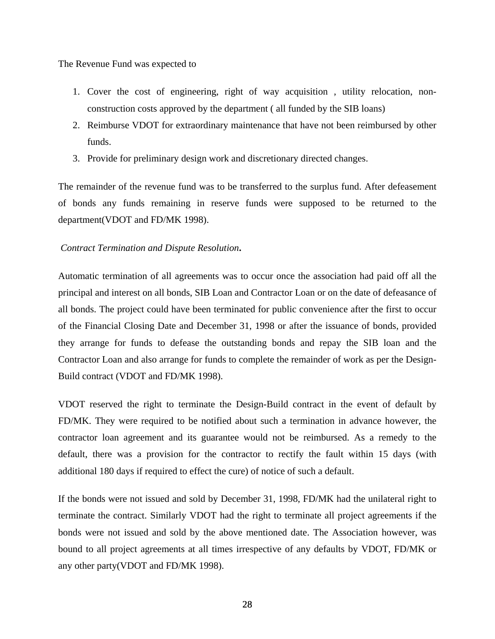The Revenue Fund was expected to

- 1. Cover the cost of engineering, right of way acquisition , utility relocation, nonconstruction costs approved by the department ( all funded by the SIB loans)
- 2. Reimburse VDOT for extraordinary maintenance that have not been reimbursed by other funds.
- 3. Provide for preliminary design work and discretionary directed changes.

The remainder of the revenue fund was to be transferred to the surplus fund. After defeasement of bonds any funds remaining in reserve funds were supposed to be returned to the department(VDOT and FD/MK 1998).

### *Contract Termination and Dispute Resolution***.**

Automatic termination of all agreements was to occur once the association had paid off all the principal and interest on all bonds, SIB Loan and Contractor Loan or on the date of defeasance of all bonds. The project could have been terminated for public convenience after the first to occur of the Financial Closing Date and December 31, 1998 or after the issuance of bonds, provided they arrange for funds to defease the outstanding bonds and repay the SIB loan and the Contractor Loan and also arrange for funds to complete the remainder of work as per the Design-Build contract (VDOT and FD/MK 1998).

VDOT reserved the right to terminate the Design-Build contract in the event of default by FD/MK. They were required to be notified about such a termination in advance however, the contractor loan agreement and its guarantee would not be reimbursed. As a remedy to the default, there was a provision for the contractor to rectify the fault within 15 days (with additional 180 days if required to effect the cure) of notice of such a default.

If the bonds were not issued and sold by December 31, 1998, FD/MK had the unilateral right to terminate the contract. Similarly VDOT had the right to terminate all project agreements if the bonds were not issued and sold by the above mentioned date. The Association however, was bound to all project agreements at all times irrespective of any defaults by VDOT, FD/MK or any other party(VDOT and FD/MK 1998).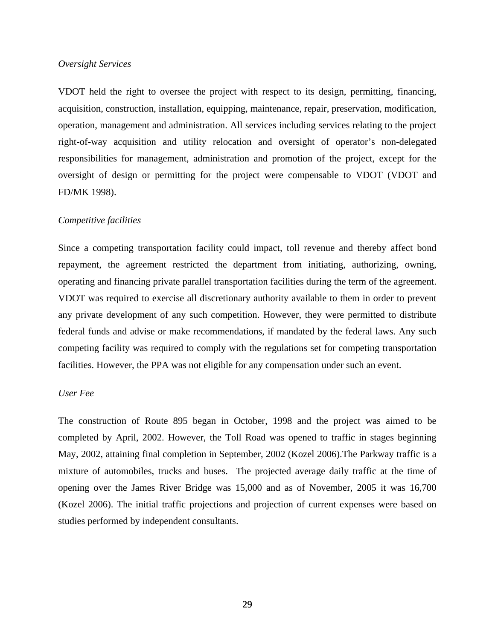### *Oversight Services*

VDOT held the right to oversee the project with respect to its design, permitting, financing, acquisition, construction, installation, equipping, maintenance, repair, preservation, modification, operation, management and administration. All services including services relating to the project right-of-way acquisition and utility relocation and oversight of operator's non-delegated responsibilities for management, administration and promotion of the project, except for the oversight of design or permitting for the project were compensable to VDOT (VDOT and FD/MK 1998).

#### *Competitive facilities*

Since a competing transportation facility could impact, toll revenue and thereby affect bond repayment, the agreement restricted the department from initiating, authorizing, owning, operating and financing private parallel transportation facilities during the term of the agreement. VDOT was required to exercise all discretionary authority available to them in order to prevent any private development of any such competition. However, they were permitted to distribute federal funds and advise or make recommendations, if mandated by the federal laws. Any such competing facility was required to comply with the regulations set for competing transportation facilities. However, the PPA was not eligible for any compensation under such an event.

### *User Fee*

The construction of Route 895 began in October, 1998 and the project was aimed to be completed by April, 2002. However, the Toll Road was opened to traffic in stages beginning May, 2002, attaining final completion in September, 2002 (Kozel 2006).The Parkway traffic is a mixture of automobiles, trucks and buses. The projected average daily traffic at the time of opening over the James River Bridge was 15,000 and as of November, 2005 it was 16,700 (Kozel 2006). The initial traffic projections and projection of current expenses were based on studies performed by independent consultants.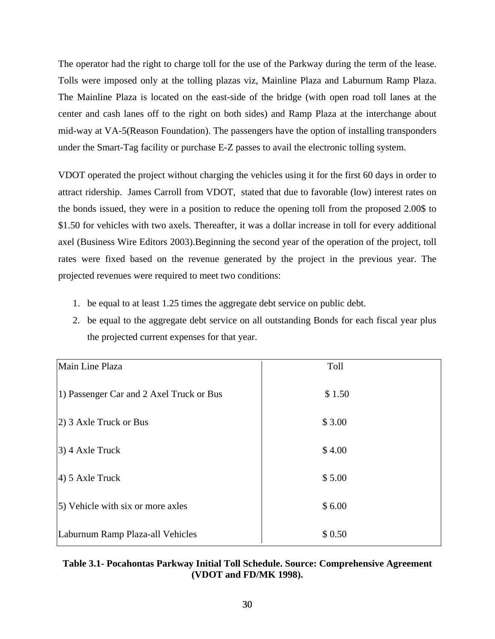The operator had the right to charge toll for the use of the Parkway during the term of the lease. Tolls were imposed only at the tolling plazas viz, Mainline Plaza and Laburnum Ramp Plaza. The Mainline Plaza is located on the east-side of the bridge (with open road toll lanes at the center and cash lanes off to the right on both sides) and Ramp Plaza at the interchange about mid-way at VA-5(Reason Foundation). The passengers have the option of installing transponders under the Smart-Tag facility or purchase E-Z passes to avail the electronic tolling system.

VDOT operated the project without charging the vehicles using it for the first 60 days in order to attract ridership. James Carroll from VDOT, stated that due to favorable (low) interest rates on the bonds issued, they were in a position to reduce the opening toll from the proposed 2.00\$ to \$1.50 for vehicles with two axels. Thereafter, it was a dollar increase in toll for every additional axel (Business Wire Editors 2003).Beginning the second year of the operation of the project, toll rates were fixed based on the revenue generated by the project in the previous year. The projected revenues were required to meet two conditions:

- 1. be equal to at least 1.25 times the aggregate debt service on public debt.
- 2. be equal to the aggregate debt service on all outstanding Bonds for each fiscal year plus the projected current expenses for that year.

| Main Line Plaza                          | Toll   |
|------------------------------------------|--------|
| 1) Passenger Car and 2 Axel Truck or Bus | \$1.50 |
| $ 2)$ 3 Axle Truck or Bus                | \$3.00 |
| $(3)$ 4 Axle Truck                       | \$4.00 |
| $(4)$ 5 Axle Truck                       | \$5.00 |
| 5) Vehicle with six or more axles        | \$6.00 |
| Laburnum Ramp Plaza-all Vehicles         | \$0.50 |

# **Table 3.1- Pocahontas Parkway Initial Toll Schedule. Source: Comprehensive Agreement (VDOT and FD/MK 1998).**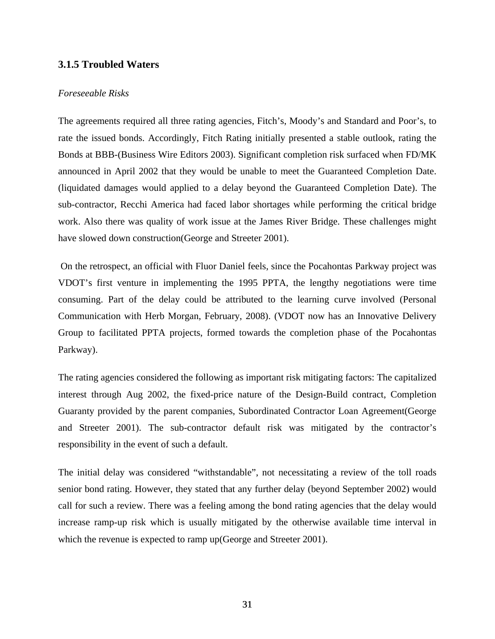# **3.1.5 Troubled Waters**

# *Foreseeable Risks*

The agreements required all three rating agencies, Fitch's, Moody's and Standard and Poor's, to rate the issued bonds. Accordingly, Fitch Rating initially presented a stable outlook, rating the Bonds at BBB-(Business Wire Editors 2003). Significant completion risk surfaced when FD/MK announced in April 2002 that they would be unable to meet the Guaranteed Completion Date. (liquidated damages would applied to a delay beyond the Guaranteed Completion Date). The sub-contractor, Recchi America had faced labor shortages while performing the critical bridge work. Also there was quality of work issue at the James River Bridge. These challenges might have slowed down construction (George and Streeter 2001).

 On the retrospect, an official with Fluor Daniel feels, since the Pocahontas Parkway project was VDOT's first venture in implementing the 1995 PPTA, the lengthy negotiations were time consuming. Part of the delay could be attributed to the learning curve involved (Personal Communication with Herb Morgan, February, 2008). (VDOT now has an Innovative Delivery Group to facilitated PPTA projects, formed towards the completion phase of the Pocahontas Parkway).

The rating agencies considered the following as important risk mitigating factors: The capitalized interest through Aug 2002, the fixed-price nature of the Design-Build contract, Completion Guaranty provided by the parent companies, Subordinated Contractor Loan Agreement(George and Streeter 2001). The sub-contractor default risk was mitigated by the contractor's responsibility in the event of such a default.

The initial delay was considered "withstandable", not necessitating a review of the toll roads senior bond rating. However, they stated that any further delay (beyond September 2002) would call for such a review. There was a feeling among the bond rating agencies that the delay would increase ramp-up risk which is usually mitigated by the otherwise available time interval in which the revenue is expected to ramp up (George and Streeter 2001).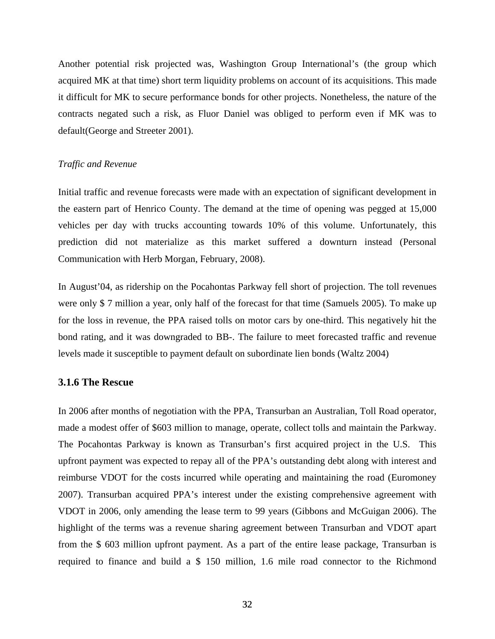Another potential risk projected was, Washington Group International's (the group which acquired MK at that time) short term liquidity problems on account of its acquisitions. This made it difficult for MK to secure performance bonds for other projects. Nonetheless, the nature of the contracts negated such a risk, as Fluor Daniel was obliged to perform even if MK was to default(George and Streeter 2001).

### *Traffic and Revenue*

Initial traffic and revenue forecasts were made with an expectation of significant development in the eastern part of Henrico County. The demand at the time of opening was pegged at 15,000 vehicles per day with trucks accounting towards 10% of this volume. Unfortunately, this prediction did not materialize as this market suffered a downturn instead (Personal Communication with Herb Morgan, February, 2008).

In August'04, as ridership on the Pocahontas Parkway fell short of projection. The toll revenues were only \$ 7 million a year, only half of the forecast for that time (Samuels 2005). To make up for the loss in revenue, the PPA raised tolls on motor cars by one-third. This negatively hit the bond rating, and it was downgraded to BB-. The failure to meet forecasted traffic and revenue levels made it susceptible to payment default on subordinate lien bonds (Waltz 2004)

## **3.1.6 The Rescue**

In 2006 after months of negotiation with the PPA, Transurban an Australian, Toll Road operator, made a modest offer of \$603 million to manage, operate, collect tolls and maintain the Parkway. The Pocahontas Parkway is known as Transurban's first acquired project in the U.S. This upfront payment was expected to repay all of the PPA's outstanding debt along with interest and reimburse VDOT for the costs incurred while operating and maintaining the road (Euromoney 2007). Transurban acquired PPA's interest under the existing comprehensive agreement with VDOT in 2006, only amending the lease term to 99 years (Gibbons and McGuigan 2006). The highlight of the terms was a revenue sharing agreement between Transurban and VDOT apart from the \$ 603 million upfront payment. As a part of the entire lease package, Transurban is required to finance and build a \$ 150 million, 1.6 mile road connector to the Richmond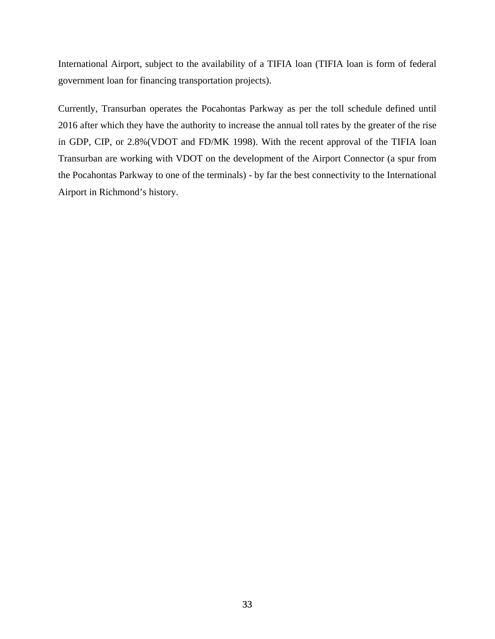International Airport, subject to the availability of a TIFIA loan (TIFIA loan is form of federal government loan for financing transportation projects).

Currently, Transurban operates the Pocahontas Parkway as per the toll schedule defined until 2016 after which they have the authority to increase the annual toll rates by the greater of the rise in GDP, CIP, or 2.8%(VDOT and FD/MK 1998). With the recent approval of the TIFIA loan Transurban are working with VDOT on the development of the Airport Connector (a spur from the Pocahontas Parkway to one of the terminals) - by far the best connectivity to the International Airport in Richmond's history.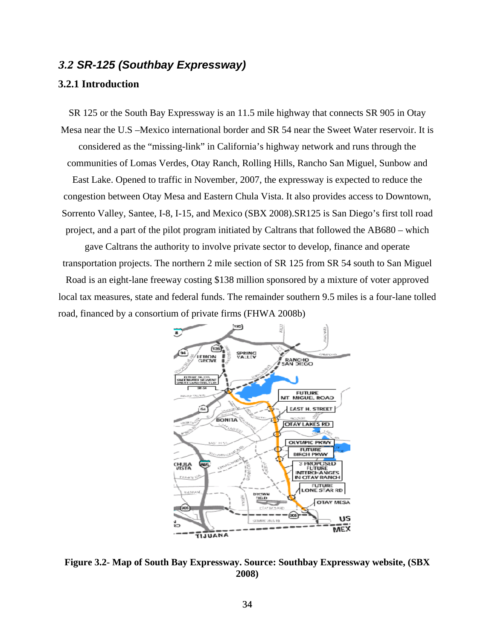# *3.2 SR-125 (Southbay Expressway)*

# **3.2.1 Introduction**

SR 125 or the South Bay Expressway is an 11.5 mile highway that connects SR 905 in Otay Mesa near the U.S –Mexico international border and SR 54 near the Sweet Water reservoir. It is considered as the "missing-link" in California's highway network and runs through the communities of Lomas Verdes, Otay Ranch, Rolling Hills, Rancho San Miguel, Sunbow and East Lake. Opened to traffic in November, 2007, the expressway is expected to reduce the congestion between Otay Mesa and Eastern Chula Vista. It also provides access to Downtown, Sorrento Valley, Santee, I-8, I-15, and Mexico (SBX 2008).SR125 is San Diego's first toll road project, and a part of the pilot program initiated by Caltrans that followed the AB680 – which

gave Caltrans the authority to involve private sector to develop, finance and operate transportation projects. The northern 2 mile section of SR 125 from SR 54 south to San Miguel

Road is an eight-lane freeway costing \$138 million sponsored by a mixture of voter approved local tax measures, state and federal funds. The remainder southern 9.5 miles is a four-lane tolled road, financed by a consortium of private firms (FHWA 2008b)



**Figure 3.2- Map of South Bay Expressway. Source: Southbay Expressway website, (SBX 2008)**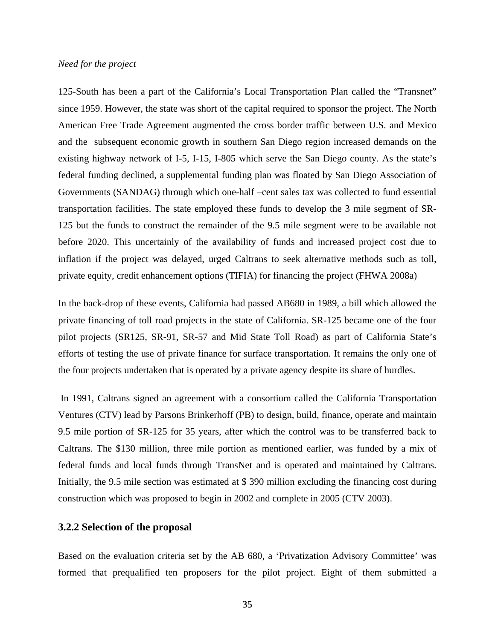#### *Need for the project*

125-South has been a part of the California's Local Transportation Plan called the "Transnet" since 1959. However, the state was short of the capital required to sponsor the project. The North American Free Trade Agreement augmented the cross border traffic between U.S. and Mexico and the subsequent economic growth in southern San Diego region increased demands on the existing highway network of I-5, I-15, I-805 which serve the San Diego county. As the state's federal funding declined, a supplemental funding plan was floated by San Diego Association of Governments (SANDAG) through which one-half –cent sales tax was collected to fund essential transportation facilities. The state employed these funds to develop the 3 mile segment of SR-125 but the funds to construct the remainder of the 9.5 mile segment were to be available not before 2020. This uncertainly of the availability of funds and increased project cost due to inflation if the project was delayed, urged Caltrans to seek alternative methods such as toll, private equity, credit enhancement options (TIFIA) for financing the project (FHWA 2008a)

In the back-drop of these events, California had passed AB680 in 1989, a bill which allowed the private financing of toll road projects in the state of California. SR-125 became one of the four pilot projects (SR125, SR-91, SR-57 and Mid State Toll Road) as part of California State's efforts of testing the use of private finance for surface transportation. It remains the only one of the four projects undertaken that is operated by a private agency despite its share of hurdles.

 In 1991, Caltrans signed an agreement with a consortium called the California Transportation Ventures (CTV) lead by Parsons Brinkerhoff (PB) to design, build, finance, operate and maintain 9.5 mile portion of SR-125 for 35 years, after which the control was to be transferred back to Caltrans. The \$130 million, three mile portion as mentioned earlier, was funded by a mix of federal funds and local funds through TransNet and is operated and maintained by Caltrans. Initially, the 9.5 mile section was estimated at \$ 390 million excluding the financing cost during construction which was proposed to begin in 2002 and complete in 2005 (CTV 2003).

### **3.2.2 Selection of the proposal**

Based on the evaluation criteria set by the AB 680, a 'Privatization Advisory Committee' was formed that prequalified ten proposers for the pilot project. Eight of them submitted a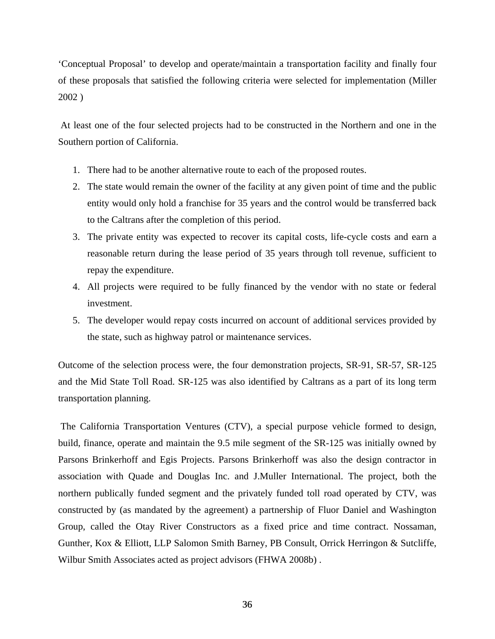'Conceptual Proposal' to develop and operate/maintain a transportation facility and finally four of these proposals that satisfied the following criteria were selected for implementation (Miller 2002 )

 At least one of the four selected projects had to be constructed in the Northern and one in the Southern portion of California.

- 1. There had to be another alternative route to each of the proposed routes.
- 2. The state would remain the owner of the facility at any given point of time and the public entity would only hold a franchise for 35 years and the control would be transferred back to the Caltrans after the completion of this period.
- 3. The private entity was expected to recover its capital costs, life-cycle costs and earn a reasonable return during the lease period of 35 years through toll revenue, sufficient to repay the expenditure.
- 4. All projects were required to be fully financed by the vendor with no state or federal investment.
- 5. The developer would repay costs incurred on account of additional services provided by the state, such as highway patrol or maintenance services.

Outcome of the selection process were, the four demonstration projects, SR-91, SR-57, SR-125 and the Mid State Toll Road. SR-125 was also identified by Caltrans as a part of its long term transportation planning.

 The California Transportation Ventures (CTV), a special purpose vehicle formed to design, build, finance, operate and maintain the 9.5 mile segment of the SR-125 was initially owned by Parsons Brinkerhoff and Egis Projects. Parsons Brinkerhoff was also the design contractor in association with Quade and Douglas Inc. and J.Muller International. The project, both the northern publically funded segment and the privately funded toll road operated by CTV, was constructed by (as mandated by the agreement) a partnership of Fluor Daniel and Washington Group, called the Otay River Constructors as a fixed price and time contract. Nossaman, Gunther, Kox & Elliott, LLP Salomon Smith Barney, PB Consult, Orrick Herringon & Sutcliffe, Wilbur Smith Associates acted as project advisors (FHWA 2008b) .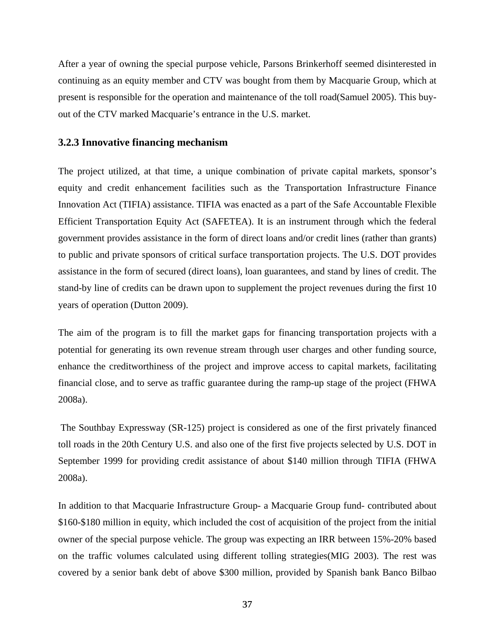After a year of owning the special purpose vehicle, Parsons Brinkerhoff seemed disinterested in continuing as an equity member and CTV was bought from them by Macquarie Group, which at present is responsible for the operation and maintenance of the toll road(Samuel 2005). This buyout of the CTV marked Macquarie's entrance in the U.S. market.

## **3.2.3 Innovative financing mechanism**

The project utilized, at that time, a unique combination of private capital markets, sponsor's equity and credit enhancement facilities such as the Transportation Infrastructure Finance Innovation Act (TIFIA) assistance. TIFIA was enacted as a part of the Safe Accountable Flexible Efficient Transportation Equity Act (SAFETEA). It is an instrument through which the federal government provides assistance in the form of direct loans and/or credit lines (rather than grants) to public and private sponsors of critical surface transportation projects. The U.S. DOT provides assistance in the form of secured (direct loans), loan guarantees, and stand by lines of credit. The stand-by line of credits can be drawn upon to supplement the project revenues during the first 10 years of operation (Dutton 2009).

The aim of the program is to fill the market gaps for financing transportation projects with a potential for generating its own revenue stream through user charges and other funding source, enhance the creditworthiness of the project and improve access to capital markets, facilitating financial close, and to serve as traffic guarantee during the ramp-up stage of the project (FHWA 2008a).

 The Southbay Expressway (SR-125) project is considered as one of the first privately financed toll roads in the 20th Century U.S. and also one of the first five projects selected by U.S. DOT in September 1999 for providing credit assistance of about \$140 million through TIFIA (FHWA 2008a).

In addition to that Macquarie Infrastructure Group- a Macquarie Group fund- contributed about \$160-\$180 million in equity, which included the cost of acquisition of the project from the initial owner of the special purpose vehicle. The group was expecting an IRR between 15%-20% based on the traffic volumes calculated using different tolling strategies(MIG 2003). The rest was covered by a senior bank debt of above \$300 million, provided by Spanish bank Banco Bilbao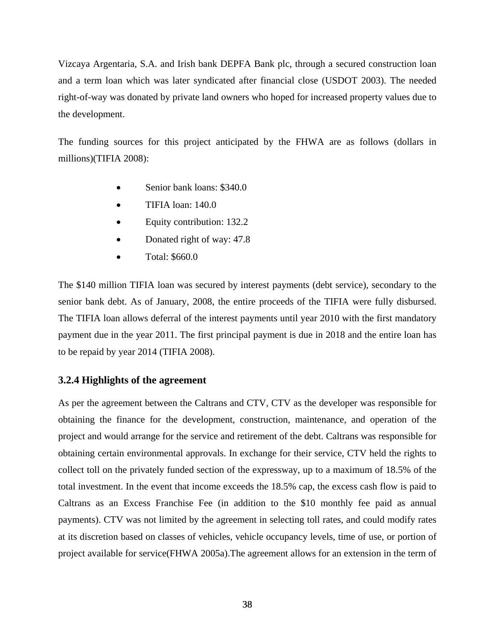Vizcaya Argentaria, S.A. and Irish bank DEPFA Bank plc, through a secured construction loan and a term loan which was later syndicated after financial close (USDOT 2003). The needed right-of-way was donated by private land owners who hoped for increased property values due to the development.

The funding sources for this project anticipated by the FHWA are as follows (dollars in millions)(TIFIA 2008):

- Senior bank loans: \$340.0
- TIFIA loan: 140.0
- Equity contribution: 132.2
- Donated right of way: 47.8
- Total: \$660.0

The \$140 million TIFIA loan was secured by interest payments (debt service), secondary to the senior bank debt. As of January, 2008, the entire proceeds of the TIFIA were fully disbursed. The TIFIA loan allows deferral of the interest payments until year 2010 with the first mandatory payment due in the year 2011. The first principal payment is due in 2018 and the entire loan has to be repaid by year 2014 (TIFIA 2008).

# **3.2.4 Highlights of the agreement**

As per the agreement between the Caltrans and CTV, CTV as the developer was responsible for obtaining the finance for the development, construction, maintenance, and operation of the project and would arrange for the service and retirement of the debt. Caltrans was responsible for obtaining certain environmental approvals. In exchange for their service, CTV held the rights to collect toll on the privately funded section of the expressway, up to a maximum of 18.5% of the total investment. In the event that income exceeds the 18.5% cap, the excess cash flow is paid to Caltrans as an Excess Franchise Fee (in addition to the \$10 monthly fee paid as annual payments). CTV was not limited by the agreement in selecting toll rates, and could modify rates at its discretion based on classes of vehicles, vehicle occupancy levels, time of use, or portion of project available for service(FHWA 2005a).The agreement allows for an extension in the term of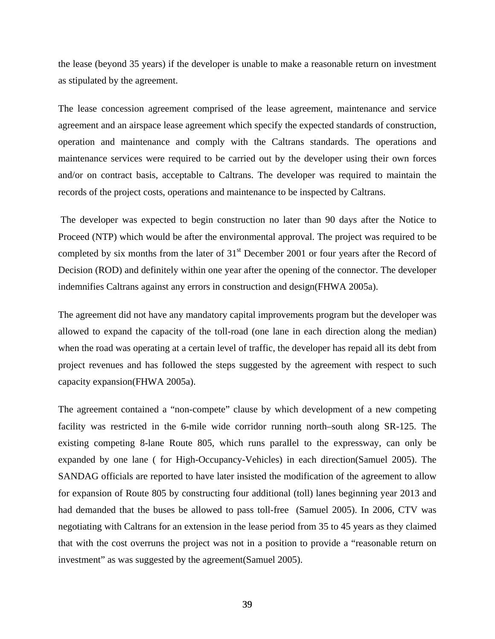the lease (beyond 35 years) if the developer is unable to make a reasonable return on investment as stipulated by the agreement.

The lease concession agreement comprised of the lease agreement, maintenance and service agreement and an airspace lease agreement which specify the expected standards of construction, operation and maintenance and comply with the Caltrans standards. The operations and maintenance services were required to be carried out by the developer using their own forces and/or on contract basis, acceptable to Caltrans. The developer was required to maintain the records of the project costs, operations and maintenance to be inspected by Caltrans.

 The developer was expected to begin construction no later than 90 days after the Notice to Proceed (NTP) which would be after the environmental approval. The project was required to be completed by six months from the later of  $31<sup>st</sup>$  December 2001 or four years after the Record of Decision (ROD) and definitely within one year after the opening of the connector. The developer indemnifies Caltrans against any errors in construction and design(FHWA 2005a).

The agreement did not have any mandatory capital improvements program but the developer was allowed to expand the capacity of the toll-road (one lane in each direction along the median) when the road was operating at a certain level of traffic, the developer has repaid all its debt from project revenues and has followed the steps suggested by the agreement with respect to such capacity expansion(FHWA 2005a).

The agreement contained a "non-compete" clause by which development of a new competing facility was restricted in the 6-mile wide corridor running north–south along SR-125. The existing competing 8-lane Route 805, which runs parallel to the expressway, can only be expanded by one lane ( for High-Occupancy-Vehicles) in each direction(Samuel 2005). The SANDAG officials are reported to have later insisted the modification of the agreement to allow for expansion of Route 805 by constructing four additional (toll) lanes beginning year 2013 and had demanded that the buses be allowed to pass toll-free (Samuel 2005). In 2006, CTV was negotiating with Caltrans for an extension in the lease period from 35 to 45 years as they claimed that with the cost overruns the project was not in a position to provide a "reasonable return on investment" as was suggested by the agreement(Samuel 2005).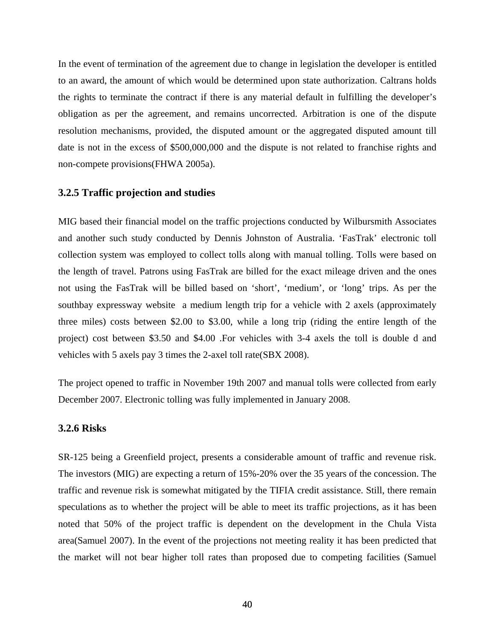In the event of termination of the agreement due to change in legislation the developer is entitled to an award, the amount of which would be determined upon state authorization. Caltrans holds the rights to terminate the contract if there is any material default in fulfilling the developer's obligation as per the agreement, and remains uncorrected. Arbitration is one of the dispute resolution mechanisms, provided, the disputed amount or the aggregated disputed amount till date is not in the excess of \$500,000,000 and the dispute is not related to franchise rights and non-compete provisions(FHWA 2005a).

# **3.2.5 Traffic projection and studies**

MIG based their financial model on the traffic projections conducted by Wilbursmith Associates and another such study conducted by Dennis Johnston of Australia. 'FasTrak' electronic toll collection system was employed to collect tolls along with manual tolling. Tolls were based on the length of travel. Patrons using FasTrak are billed for the exact mileage driven and the ones not using the FasTrak will be billed based on 'short', 'medium', or 'long' trips. As per the southbay expressway website a medium length trip for a vehicle with 2 axels (approximately three miles) costs between \$2.00 to \$3.00, while a long trip (riding the entire length of the project) cost between \$3.50 and \$4.00 .For vehicles with 3-4 axels the toll is double d and vehicles with 5 axels pay 3 times the 2-axel toll rate(SBX 2008).

The project opened to traffic in November 19th 2007 and manual tolls were collected from early December 2007. Electronic tolling was fully implemented in January 2008.

# **3.2.6 Risks**

SR-125 being a Greenfield project, presents a considerable amount of traffic and revenue risk. The investors (MIG) are expecting a return of 15%-20% over the 35 years of the concession. The traffic and revenue risk is somewhat mitigated by the TIFIA credit assistance. Still, there remain speculations as to whether the project will be able to meet its traffic projections, as it has been noted that 50% of the project traffic is dependent on the development in the Chula Vista area(Samuel 2007). In the event of the projections not meeting reality it has been predicted that the market will not bear higher toll rates than proposed due to competing facilities (Samuel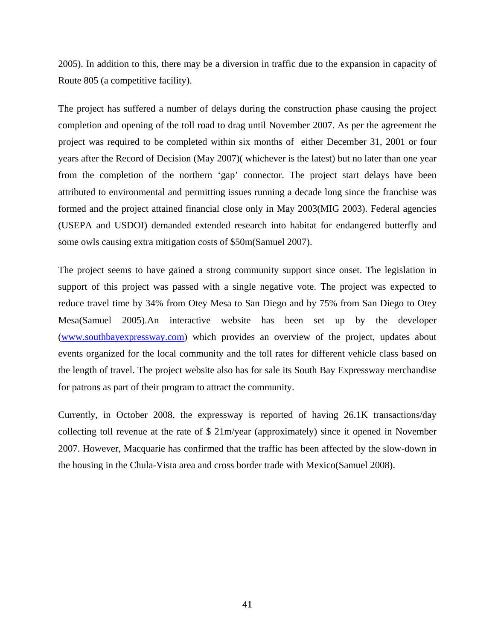2005). In addition to this, there may be a diversion in traffic due to the expansion in capacity of Route 805 (a competitive facility).

The project has suffered a number of delays during the construction phase causing the project completion and opening of the toll road to drag until November 2007. As per the agreement the project was required to be completed within six months of either December 31, 2001 or four years after the Record of Decision (May 2007)( whichever is the latest) but no later than one year from the completion of the northern 'gap' connector. The project start delays have been attributed to environmental and permitting issues running a decade long since the franchise was formed and the project attained financial close only in May 2003(MIG 2003). Federal agencies (USEPA and USDOI) demanded extended research into habitat for endangered butterfly and some owls causing extra mitigation costs of \$50m(Samuel 2007).

The project seems to have gained a strong community support since onset. The legislation in support of this project was passed with a single negative vote. The project was expected to reduce travel time by 34% from Otey Mesa to San Diego and by 75% from San Diego to Otey Mesa(Samuel 2005).An interactive website has been set up by the developer (www.southbayexpressway.com) which provides an overview of the project, updates about events organized for the local community and the toll rates for different vehicle class based on the length of travel. The project website also has for sale its South Bay Expressway merchandise for patrons as part of their program to attract the community.

Currently, in October 2008, the expressway is reported of having 26.1K transactions/day collecting toll revenue at the rate of \$ 21m/year (approximately) since it opened in November 2007. However, Macquarie has confirmed that the traffic has been affected by the slow-down in the housing in the Chula-Vista area and cross border trade with Mexico(Samuel 2008).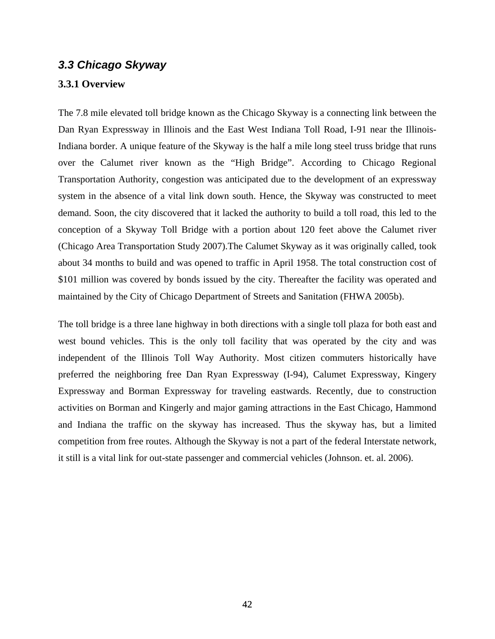# *3.3 Chicago Skyway*

# **3.3.1 Overview**

The 7.8 mile elevated toll bridge known as the Chicago Skyway is a connecting link between the Dan Ryan Expressway in Illinois and the East West Indiana Toll Road, I-91 near the Illinois-Indiana border. A unique feature of the Skyway is the half a mile long steel truss bridge that runs over the Calumet river known as the "High Bridge". According to Chicago Regional Transportation Authority, congestion was anticipated due to the development of an expressway system in the absence of a vital link down south. Hence, the Skyway was constructed to meet demand. Soon, the city discovered that it lacked the authority to build a toll road, this led to the conception of a Skyway Toll Bridge with a portion about 120 feet above the Calumet river (Chicago Area Transportation Study 2007).The Calumet Skyway as it was originally called, took about 34 months to build and was opened to traffic in April 1958. The total construction cost of \$101 million was covered by bonds issued by the city. Thereafter the facility was operated and maintained by the City of Chicago Department of Streets and Sanitation (FHWA 2005b).

The toll bridge is a three lane highway in both directions with a single toll plaza for both east and west bound vehicles. This is the only toll facility that was operated by the city and was independent of the Illinois Toll Way Authority. Most citizen commuters historically have preferred the neighboring free Dan Ryan Expressway (I-94), Calumet Expressway, Kingery Expressway and Borman Expressway for traveling eastwards. Recently, due to construction activities on Borman and Kingerly and major gaming attractions in the East Chicago, Hammond and Indiana the traffic on the skyway has increased. Thus the skyway has, but a limited competition from free routes. Although the Skyway is not a part of the federal Interstate network, it still is a vital link for out-state passenger and commercial vehicles (Johnson. et. al. 2006).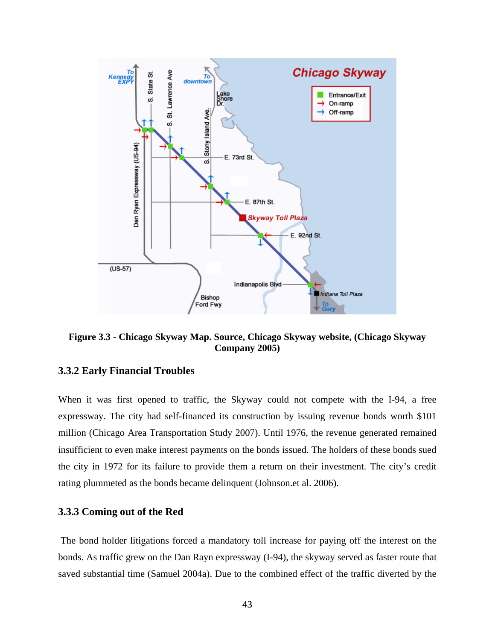

**Figure 3.3 - Chicago Skyway Map. Source, Chicago Skyway website, (Chicago Skyway Company 2005)** 

# **3.3.2 Early Financial Troubles**

When it was first opened to traffic, the Skyway could not compete with the I-94, a free expressway. The city had self-financed its construction by issuing revenue bonds worth \$101 million (Chicago Area Transportation Study 2007). Until 1976, the revenue generated remained insufficient to even make interest payments on the bonds issued. The holders of these bonds sued the city in 1972 for its failure to provide them a return on their investment. The city's credit rating plummeted as the bonds became delinquent (Johnson.et al. 2006).

# **3.3.3 Coming out of the Red**

 The bond holder litigations forced a mandatory toll increase for paying off the interest on the bonds. As traffic grew on the Dan Rayn expressway (I-94), the skyway served as faster route that saved substantial time (Samuel 2004a). Due to the combined effect of the traffic diverted by the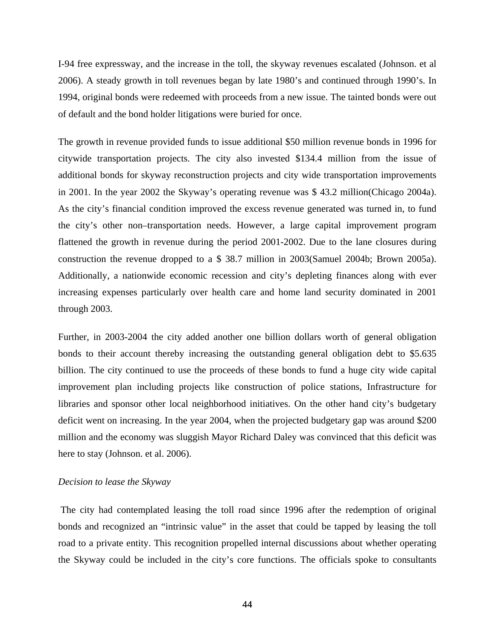I-94 free expressway, and the increase in the toll, the skyway revenues escalated (Johnson. et al 2006). A steady growth in toll revenues began by late 1980's and continued through 1990's. In 1994, original bonds were redeemed with proceeds from a new issue. The tainted bonds were out of default and the bond holder litigations were buried for once.

The growth in revenue provided funds to issue additional \$50 million revenue bonds in 1996 for citywide transportation projects. The city also invested \$134.4 million from the issue of additional bonds for skyway reconstruction projects and city wide transportation improvements in 2001. In the year 2002 the Skyway's operating revenue was \$ 43.2 million(Chicago 2004a). As the city's financial condition improved the excess revenue generated was turned in, to fund the city's other non–transportation needs. However, a large capital improvement program flattened the growth in revenue during the period 2001-2002. Due to the lane closures during construction the revenue dropped to a \$ 38.7 million in 2003(Samuel 2004b; Brown 2005a). Additionally, a nationwide economic recession and city's depleting finances along with ever increasing expenses particularly over health care and home land security dominated in 2001 through 2003.

Further, in 2003-2004 the city added another one billion dollars worth of general obligation bonds to their account thereby increasing the outstanding general obligation debt to \$5.635 billion. The city continued to use the proceeds of these bonds to fund a huge city wide capital improvement plan including projects like construction of police stations, Infrastructure for libraries and sponsor other local neighborhood initiatives. On the other hand city's budgetary deficit went on increasing. In the year 2004, when the projected budgetary gap was around \$200 million and the economy was sluggish Mayor Richard Daley was convinced that this deficit was here to stay (Johnson. et al. 2006).

#### *Decision to lease the Skyway*

 The city had contemplated leasing the toll road since 1996 after the redemption of original bonds and recognized an "intrinsic value" in the asset that could be tapped by leasing the toll road to a private entity. This recognition propelled internal discussions about whether operating the Skyway could be included in the city's core functions. The officials spoke to consultants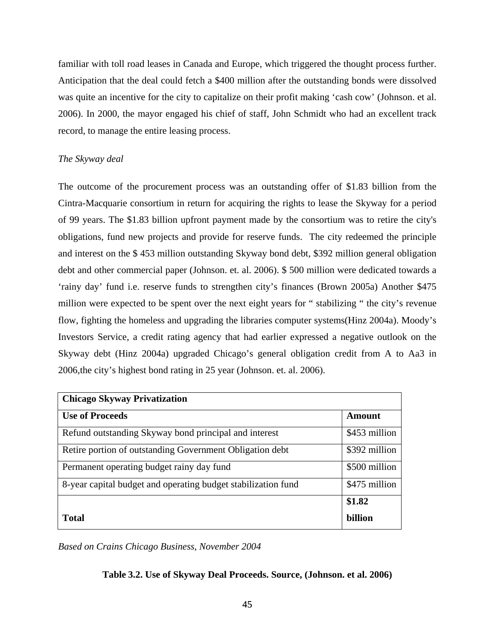familiar with toll road leases in Canada and Europe, which triggered the thought process further. Anticipation that the deal could fetch a \$400 million after the outstanding bonds were dissolved was quite an incentive for the city to capitalize on their profit making 'cash cow' (Johnson. et al. 2006). In 2000, the mayor engaged his chief of staff, John Schmidt who had an excellent track record, to manage the entire leasing process.

# *The Skyway deal*

The outcome of the procurement process was an outstanding offer of \$1.83 billion from the Cintra-Macquarie consortium in return for acquiring the rights to lease the Skyway for a period of 99 years. The \$1.83 billion upfront payment made by the consortium was to retire the city's obligations, fund new projects and provide for reserve funds. The city redeemed the principle and interest on the \$ 453 million outstanding Skyway bond debt, \$392 million general obligation debt and other commercial paper (Johnson. et. al. 2006). \$ 500 million were dedicated towards a 'rainy day' fund i.e. reserve funds to strengthen city's finances (Brown 2005a) Another \$475 million were expected to be spent over the next eight years for " stabilizing " the city's revenue flow, fighting the homeless and upgrading the libraries computer systems(Hinz 2004a). Moody's Investors Service, a credit rating agency that had earlier expressed a negative outlook on the Skyway debt (Hinz 2004a) upgraded Chicago's general obligation credit from A to Aa3 in 2006,the city's highest bond rating in 25 year (Johnson. et. al. 2006).

| <b>Chicago Skyway Privatization</b>                           |               |  |
|---------------------------------------------------------------|---------------|--|
| <b>Use of Proceeds</b>                                        | Amount        |  |
| Refund outstanding Skyway bond principal and interest         | \$453 million |  |
| Retire portion of outstanding Government Obligation debt      | \$392 million |  |
| Permanent operating budget rainy day fund                     | \$500 million |  |
| 8-year capital budget and operating budget stabilization fund | \$475 million |  |
|                                                               | \$1.82        |  |
| <b>Total</b>                                                  | billion       |  |

*Based on Crains Chicago Business, November 2004* 

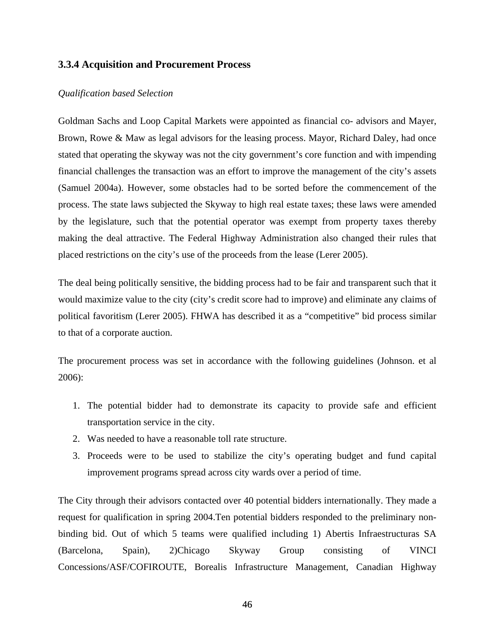# **3.3.4 Acquisition and Procurement Process**

#### *Qualification based Selection*

Goldman Sachs and Loop Capital Markets were appointed as financial co- advisors and Mayer, Brown, Rowe & Maw as legal advisors for the leasing process. Mayor, Richard Daley, had once stated that operating the skyway was not the city government's core function and with impending financial challenges the transaction was an effort to improve the management of the city's assets (Samuel 2004a). However, some obstacles had to be sorted before the commencement of the process. The state laws subjected the Skyway to high real estate taxes; these laws were amended by the legislature, such that the potential operator was exempt from property taxes thereby making the deal attractive. The Federal Highway Administration also changed their rules that placed restrictions on the city's use of the proceeds from the lease (Lerer 2005).

The deal being politically sensitive, the bidding process had to be fair and transparent such that it would maximize value to the city (city's credit score had to improve) and eliminate any claims of political favoritism (Lerer 2005). FHWA has described it as a "competitive" bid process similar to that of a corporate auction.

The procurement process was set in accordance with the following guidelines (Johnson. et al 2006):

- 1. The potential bidder had to demonstrate its capacity to provide safe and efficient transportation service in the city.
- 2. Was needed to have a reasonable toll rate structure.
- 3. Proceeds were to be used to stabilize the city's operating budget and fund capital improvement programs spread across city wards over a period of time.

The City through their advisors contacted over 40 potential bidders internationally. They made a request for qualification in spring 2004.Ten potential bidders responded to the preliminary nonbinding bid. Out of which 5 teams were qualified including 1) Abertis Infraestructuras SA (Barcelona, Spain), 2)Chicago Skyway Group consisting of VINCI Concessions/ASF/COFIROUTE, Borealis Infrastructure Management, Canadian Highway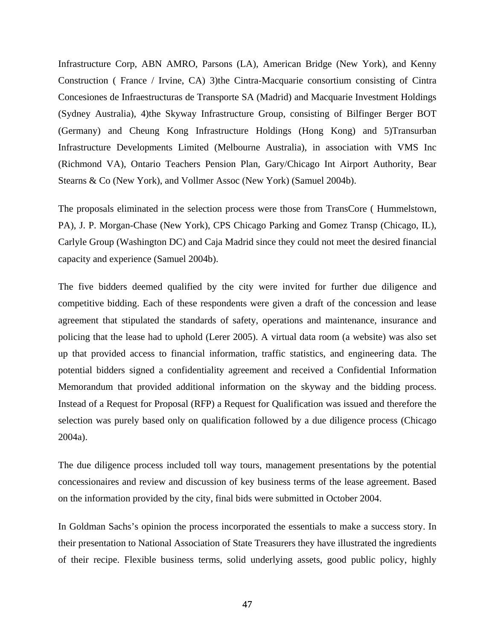Infrastructure Corp, ABN AMRO, Parsons (LA), American Bridge (New York), and Kenny Construction ( France / Irvine, CA) 3)the Cintra-Macquarie consortium consisting of Cintra Concesiones de Infraestructuras de Transporte SA (Madrid) and Macquarie Investment Holdings (Sydney Australia), 4)the Skyway Infrastructure Group, consisting of Bilfinger Berger BOT (Germany) and Cheung Kong Infrastructure Holdings (Hong Kong) and 5)Transurban Infrastructure Developments Limited (Melbourne Australia), in association with VMS Inc (Richmond VA), Ontario Teachers Pension Plan, Gary/Chicago Int Airport Authority, Bear Stearns & Co (New York), and Vollmer Assoc (New York) (Samuel 2004b).

The proposals eliminated in the selection process were those from TransCore ( Hummelstown, PA), J. P. Morgan-Chase (New York), CPS Chicago Parking and Gomez Transp (Chicago, IL), Carlyle Group (Washington DC) and Caja Madrid since they could not meet the desired financial capacity and experience (Samuel 2004b).

The five bidders deemed qualified by the city were invited for further due diligence and competitive bidding. Each of these respondents were given a draft of the concession and lease agreement that stipulated the standards of safety, operations and maintenance, insurance and policing that the lease had to uphold (Lerer 2005). A virtual data room (a website) was also set up that provided access to financial information, traffic statistics, and engineering data. The potential bidders signed a confidentiality agreement and received a Confidential Information Memorandum that provided additional information on the skyway and the bidding process. Instead of a Request for Proposal (RFP) a Request for Qualification was issued and therefore the selection was purely based only on qualification followed by a due diligence process (Chicago 2004a).

The due diligence process included toll way tours, management presentations by the potential concessionaires and review and discussion of key business terms of the lease agreement. Based on the information provided by the city, final bids were submitted in October 2004.

In Goldman Sachs's opinion the process incorporated the essentials to make a success story. In their presentation to National Association of State Treasurers they have illustrated the ingredients of their recipe. Flexible business terms, solid underlying assets, good public policy, highly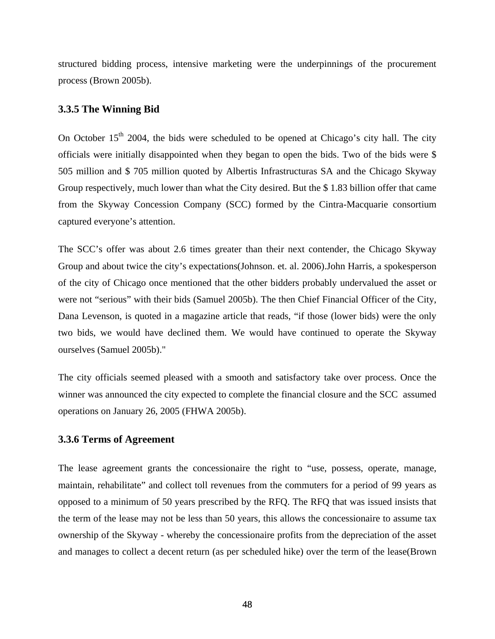structured bidding process, intensive marketing were the underpinnings of the procurement process (Brown 2005b).

#### **3.3.5 The Winning Bid**

On October  $15<sup>th</sup>$  2004, the bids were scheduled to be opened at Chicago's city hall. The city officials were initially disappointed when they began to open the bids. Two of the bids were \$ 505 million and \$ 705 million quoted by Albertis Infrastructuras SA and the Chicago Skyway Group respectively, much lower than what the City desired. But the \$ 1.83 billion offer that came from the Skyway Concession Company (SCC) formed by the Cintra-Macquarie consortium captured everyone's attention.

The SCC's offer was about 2.6 times greater than their next contender, the Chicago Skyway Group and about twice the city's expectations(Johnson. et. al. 2006).John Harris, a spokesperson of the city of Chicago once mentioned that the other bidders probably undervalued the asset or were not "serious" with their bids (Samuel 2005b). The then Chief Financial Officer of the City, Dana Levenson, is quoted in a magazine article that reads, "if those (lower bids) were the only two bids, we would have declined them. We would have continued to operate the Skyway ourselves (Samuel 2005b)."

The city officials seemed pleased with a smooth and satisfactory take over process. Once the winner was announced the city expected to complete the financial closure and the SCC assumed operations on January 26, 2005 (FHWA 2005b).

# **3.3.6 Terms of Agreement**

The lease agreement grants the concessionaire the right to "use, possess, operate, manage, maintain, rehabilitate" and collect toll revenues from the commuters for a period of 99 years as opposed to a minimum of 50 years prescribed by the RFQ. The RFQ that was issued insists that the term of the lease may not be less than 50 years, this allows the concessionaire to assume tax ownership of the Skyway - whereby the concessionaire profits from the depreciation of the asset and manages to collect a decent return (as per scheduled hike) over the term of the lease(Brown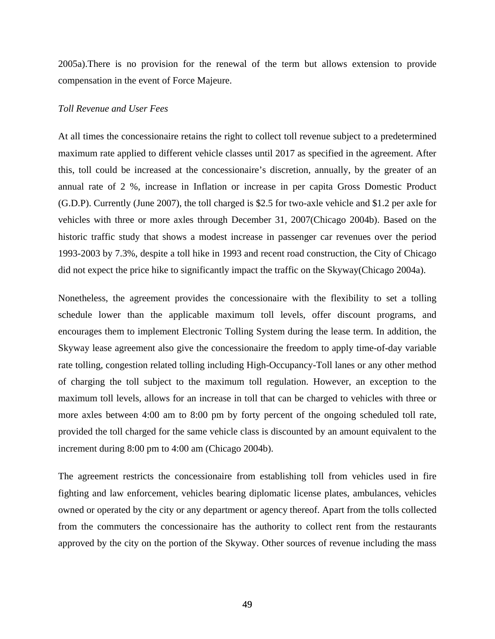2005a).There is no provision for the renewal of the term but allows extension to provide compensation in the event of Force Majeure.

#### *Toll Revenue and User Fees*

At all times the concessionaire retains the right to collect toll revenue subject to a predetermined maximum rate applied to different vehicle classes until 2017 as specified in the agreement. After this, toll could be increased at the concessionaire's discretion, annually, by the greater of an annual rate of 2 %, increase in Inflation or increase in per capita Gross Domestic Product (G.D.P). Currently (June 2007), the toll charged is \$2.5 for two-axle vehicle and \$1.2 per axle for vehicles with three or more axles through December 31, 2007(Chicago 2004b). Based on the historic traffic study that shows a modest increase in passenger car revenues over the period 1993-2003 by 7.3%, despite a toll hike in 1993 and recent road construction, the City of Chicago did not expect the price hike to significantly impact the traffic on the Skyway(Chicago 2004a).

Nonetheless, the agreement provides the concessionaire with the flexibility to set a tolling schedule lower than the applicable maximum toll levels, offer discount programs, and encourages them to implement Electronic Tolling System during the lease term. In addition, the Skyway lease agreement also give the concessionaire the freedom to apply time-of-day variable rate tolling, congestion related tolling including High-Occupancy-Toll lanes or any other method of charging the toll subject to the maximum toll regulation. However, an exception to the maximum toll levels, allows for an increase in toll that can be charged to vehicles with three or more axles between 4:00 am to 8:00 pm by forty percent of the ongoing scheduled toll rate, provided the toll charged for the same vehicle class is discounted by an amount equivalent to the increment during 8:00 pm to 4:00 am (Chicago 2004b).

The agreement restricts the concessionaire from establishing toll from vehicles used in fire fighting and law enforcement, vehicles bearing diplomatic license plates, ambulances, vehicles owned or operated by the city or any department or agency thereof. Apart from the tolls collected from the commuters the concessionaire has the authority to collect rent from the restaurants approved by the city on the portion of the Skyway. Other sources of revenue including the mass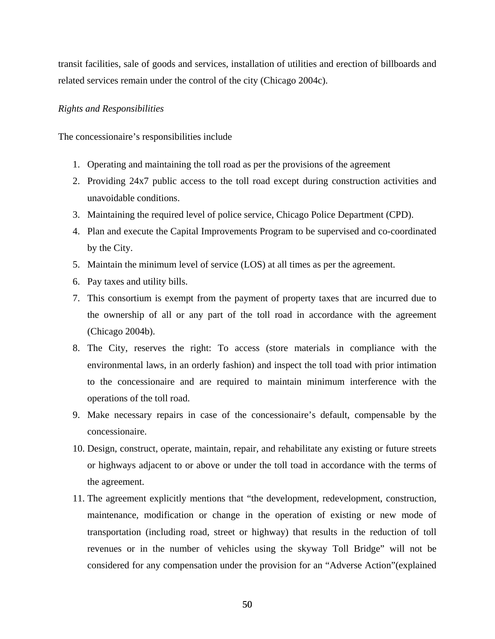transit facilities, sale of goods and services, installation of utilities and erection of billboards and related services remain under the control of the city (Chicago 2004c).

#### *Rights and Responsibilities*

The concessionaire's responsibilities include

- 1. Operating and maintaining the toll road as per the provisions of the agreement
- 2. Providing 24x7 public access to the toll road except during construction activities and unavoidable conditions.
- 3. Maintaining the required level of police service, Chicago Police Department (CPD).
- 4. Plan and execute the Capital Improvements Program to be supervised and co-coordinated by the City.
- 5. Maintain the minimum level of service (LOS) at all times as per the agreement.
- 6. Pay taxes and utility bills.
- 7. This consortium is exempt from the payment of property taxes that are incurred due to the ownership of all or any part of the toll road in accordance with the agreement (Chicago 2004b).
- 8. The City, reserves the right: To access (store materials in compliance with the environmental laws, in an orderly fashion) and inspect the toll toad with prior intimation to the concessionaire and are required to maintain minimum interference with the operations of the toll road.
- 9. Make necessary repairs in case of the concessionaire's default, compensable by the concessionaire.
- 10. Design, construct, operate, maintain, repair, and rehabilitate any existing or future streets or highways adjacent to or above or under the toll toad in accordance with the terms of the agreement.
- 11. The agreement explicitly mentions that "the development, redevelopment, construction, maintenance, modification or change in the operation of existing or new mode of transportation (including road, street or highway) that results in the reduction of toll revenues or in the number of vehicles using the skyway Toll Bridge" will not be considered for any compensation under the provision for an "Adverse Action"(explained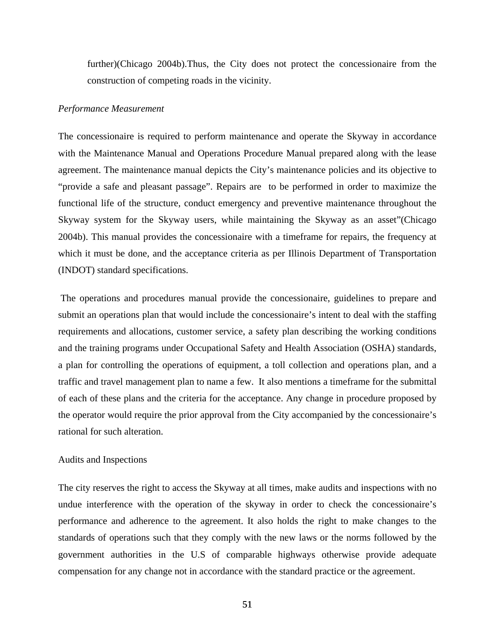further)(Chicago 2004b).Thus, the City does not protect the concessionaire from the construction of competing roads in the vicinity.

#### *Performance Measurement*

The concessionaire is required to perform maintenance and operate the Skyway in accordance with the Maintenance Manual and Operations Procedure Manual prepared along with the lease agreement. The maintenance manual depicts the City's maintenance policies and its objective to "provide a safe and pleasant passage". Repairs are to be performed in order to maximize the functional life of the structure, conduct emergency and preventive maintenance throughout the Skyway system for the Skyway users, while maintaining the Skyway as an asset"(Chicago 2004b). This manual provides the concessionaire with a timeframe for repairs, the frequency at which it must be done, and the acceptance criteria as per Illinois Department of Transportation (INDOT) standard specifications.

 The operations and procedures manual provide the concessionaire, guidelines to prepare and submit an operations plan that would include the concessionaire's intent to deal with the staffing requirements and allocations, customer service, a safety plan describing the working conditions and the training programs under Occupational Safety and Health Association (OSHA) standards, a plan for controlling the operations of equipment, a toll collection and operations plan, and a traffic and travel management plan to name a few. It also mentions a timeframe for the submittal of each of these plans and the criteria for the acceptance. Any change in procedure proposed by the operator would require the prior approval from the City accompanied by the concessionaire's rational for such alteration.

#### Audits and Inspections

The city reserves the right to access the Skyway at all times, make audits and inspections with no undue interference with the operation of the skyway in order to check the concessionaire's performance and adherence to the agreement. It also holds the right to make changes to the standards of operations such that they comply with the new laws or the norms followed by the government authorities in the U.S of comparable highways otherwise provide adequate compensation for any change not in accordance with the standard practice or the agreement.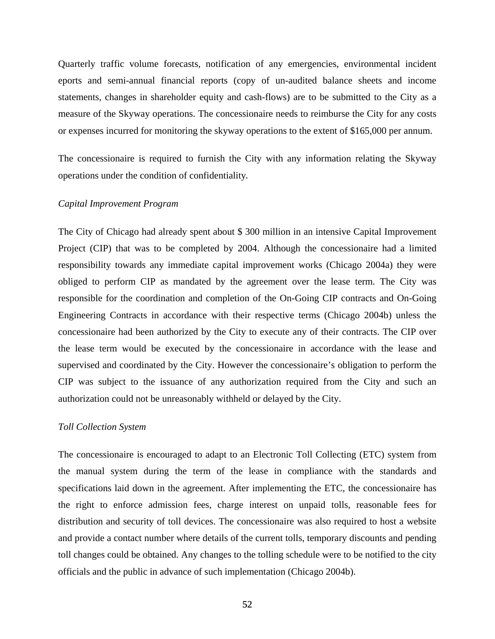Quarterly traffic volume forecasts, notification of any emergencies, environmental incident eports and semi-annual financial reports (copy of un-audited balance sheets and income statements, changes in shareholder equity and cash-flows) are to be submitted to the City as a measure of the Skyway operations. The concessionaire needs to reimburse the City for any costs or expenses incurred for monitoring the skyway operations to the extent of \$165,000 per annum.

The concessionaire is required to furnish the City with any information relating the Skyway operations under the condition of confidentiality.

#### *Capital Improvement Program*

The City of Chicago had already spent about \$ 300 million in an intensive Capital Improvement Project (CIP) that was to be completed by 2004. Although the concessionaire had a limited responsibility towards any immediate capital improvement works (Chicago 2004a) they were obliged to perform CIP as mandated by the agreement over the lease term. The City was responsible for the coordination and completion of the On-Going CIP contracts and On-Going Engineering Contracts in accordance with their respective terms (Chicago 2004b) unless the concessionaire had been authorized by the City to execute any of their contracts. The CIP over the lease term would be executed by the concessionaire in accordance with the lease and supervised and coordinated by the City. However the concessionaire's obligation to perform the CIP was subject to the issuance of any authorization required from the City and such an authorization could not be unreasonably withheld or delayed by the City.

#### *Toll Collection System*

The concessionaire is encouraged to adapt to an Electronic Toll Collecting (ETC) system from the manual system during the term of the lease in compliance with the standards and specifications laid down in the agreement. After implementing the ETC, the concessionaire has the right to enforce admission fees, charge interest on unpaid tolls, reasonable fees for distribution and security of toll devices. The concessionaire was also required to host a website and provide a contact number where details of the current tolls, temporary discounts and pending toll changes could be obtained. Any changes to the tolling schedule were to be notified to the city officials and the public in advance of such implementation (Chicago 2004b).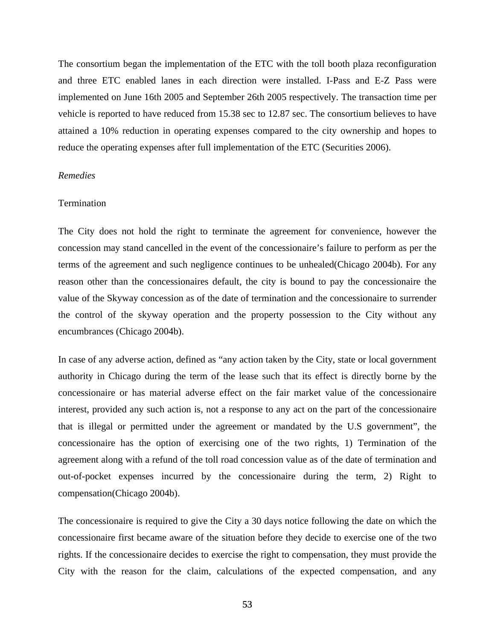The consortium began the implementation of the ETC with the toll booth plaza reconfiguration and three ETC enabled lanes in each direction were installed. I-Pass and E-Z Pass were implemented on June 16th 2005 and September 26th 2005 respectively. The transaction time per vehicle is reported to have reduced from 15.38 sec to 12.87 sec. The consortium believes to have attained a 10% reduction in operating expenses compared to the city ownership and hopes to reduce the operating expenses after full implementation of the ETC (Securities 2006).

### *Remedies*

#### **Termination**

The City does not hold the right to terminate the agreement for convenience, however the concession may stand cancelled in the event of the concessionaire's failure to perform as per the terms of the agreement and such negligence continues to be unhealed(Chicago 2004b). For any reason other than the concessionaires default, the city is bound to pay the concessionaire the value of the Skyway concession as of the date of termination and the concessionaire to surrender the control of the skyway operation and the property possession to the City without any encumbrances (Chicago 2004b).

In case of any adverse action, defined as "any action taken by the City, state or local government authority in Chicago during the term of the lease such that its effect is directly borne by the concessionaire or has material adverse effect on the fair market value of the concessionaire interest, provided any such action is, not a response to any act on the part of the concessionaire that is illegal or permitted under the agreement or mandated by the U.S government", the concessionaire has the option of exercising one of the two rights, 1) Termination of the agreement along with a refund of the toll road concession value as of the date of termination and out-of-pocket expenses incurred by the concessionaire during the term, 2) Right to compensation(Chicago 2004b).

The concessionaire is required to give the City a 30 days notice following the date on which the concessionaire first became aware of the situation before they decide to exercise one of the two rights. If the concessionaire decides to exercise the right to compensation, they must provide the City with the reason for the claim, calculations of the expected compensation, and any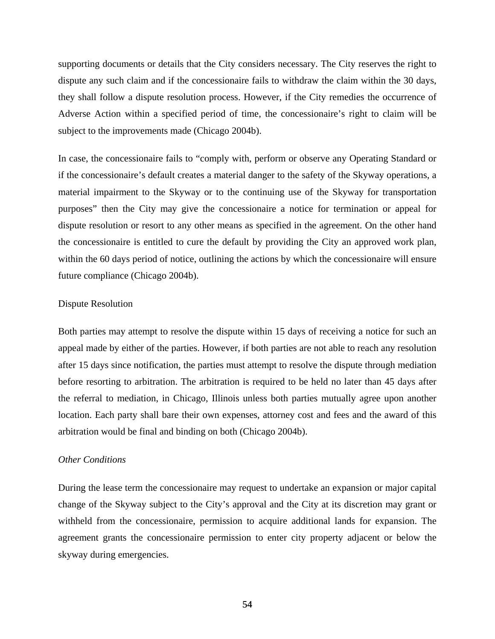supporting documents or details that the City considers necessary. The City reserves the right to dispute any such claim and if the concessionaire fails to withdraw the claim within the 30 days, they shall follow a dispute resolution process. However, if the City remedies the occurrence of Adverse Action within a specified period of time, the concessionaire's right to claim will be subject to the improvements made (Chicago 2004b).

In case, the concessionaire fails to "comply with, perform or observe any Operating Standard or if the concessionaire's default creates a material danger to the safety of the Skyway operations, a material impairment to the Skyway or to the continuing use of the Skyway for transportation purposes" then the City may give the concessionaire a notice for termination or appeal for dispute resolution or resort to any other means as specified in the agreement. On the other hand the concessionaire is entitled to cure the default by providing the City an approved work plan, within the 60 days period of notice, outlining the actions by which the concessionaire will ensure future compliance (Chicago 2004b).

#### Dispute Resolution

Both parties may attempt to resolve the dispute within 15 days of receiving a notice for such an appeal made by either of the parties. However, if both parties are not able to reach any resolution after 15 days since notification, the parties must attempt to resolve the dispute through mediation before resorting to arbitration. The arbitration is required to be held no later than 45 days after the referral to mediation, in Chicago, Illinois unless both parties mutually agree upon another location. Each party shall bare their own expenses, attorney cost and fees and the award of this arbitration would be final and binding on both (Chicago 2004b).

#### *Other Conditions*

During the lease term the concessionaire may request to undertake an expansion or major capital change of the Skyway subject to the City's approval and the City at its discretion may grant or withheld from the concessionaire, permission to acquire additional lands for expansion. The agreement grants the concessionaire permission to enter city property adjacent or below the skyway during emergencies.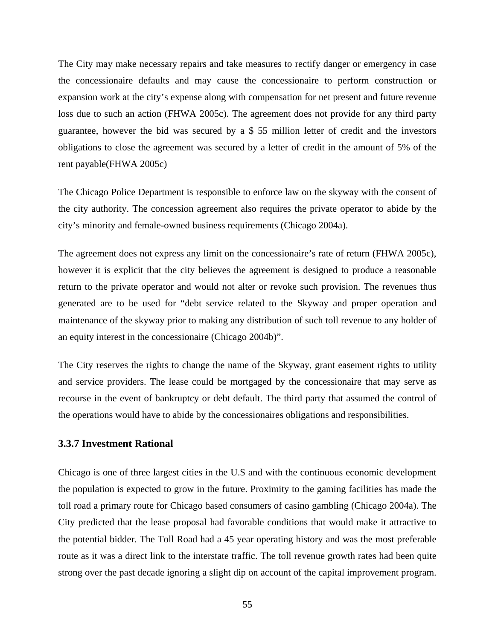The City may make necessary repairs and take measures to rectify danger or emergency in case the concessionaire defaults and may cause the concessionaire to perform construction or expansion work at the city's expense along with compensation for net present and future revenue loss due to such an action (FHWA 2005c). The agreement does not provide for any third party guarantee, however the bid was secured by a \$ 55 million letter of credit and the investors obligations to close the agreement was secured by a letter of credit in the amount of 5% of the rent payable(FHWA 2005c)

The Chicago Police Department is responsible to enforce law on the skyway with the consent of the city authority. The concession agreement also requires the private operator to abide by the city's minority and female-owned business requirements (Chicago 2004a).

The agreement does not express any limit on the concessionaire's rate of return (FHWA 2005c), however it is explicit that the city believes the agreement is designed to produce a reasonable return to the private operator and would not alter or revoke such provision. The revenues thus generated are to be used for "debt service related to the Skyway and proper operation and maintenance of the skyway prior to making any distribution of such toll revenue to any holder of an equity interest in the concessionaire (Chicago 2004b)".

The City reserves the rights to change the name of the Skyway, grant easement rights to utility and service providers. The lease could be mortgaged by the concessionaire that may serve as recourse in the event of bankruptcy or debt default. The third party that assumed the control of the operations would have to abide by the concessionaires obligations and responsibilities.

## **3.3.7 Investment Rational**

Chicago is one of three largest cities in the U.S and with the continuous economic development the population is expected to grow in the future. Proximity to the gaming facilities has made the toll road a primary route for Chicago based consumers of casino gambling (Chicago 2004a). The City predicted that the lease proposal had favorable conditions that would make it attractive to the potential bidder. The Toll Road had a 45 year operating history and was the most preferable route as it was a direct link to the interstate traffic. The toll revenue growth rates had been quite strong over the past decade ignoring a slight dip on account of the capital improvement program.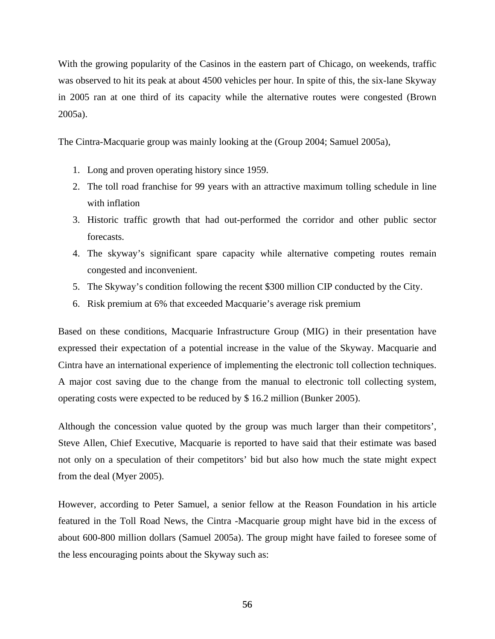With the growing popularity of the Casinos in the eastern part of Chicago, on weekends, traffic was observed to hit its peak at about 4500 vehicles per hour. In spite of this, the six-lane Skyway in 2005 ran at one third of its capacity while the alternative routes were congested (Brown 2005a).

The Cintra-Macquarie group was mainly looking at the (Group 2004; Samuel 2005a),

- 1. Long and proven operating history since 1959.
- 2. The toll road franchise for 99 years with an attractive maximum tolling schedule in line with inflation
- 3. Historic traffic growth that had out-performed the corridor and other public sector forecasts.
- 4. The skyway's significant spare capacity while alternative competing routes remain congested and inconvenient.
- 5. The Skyway's condition following the recent \$300 million CIP conducted by the City.
- 6. Risk premium at 6% that exceeded Macquarie's average risk premium

Based on these conditions, Macquarie Infrastructure Group (MIG) in their presentation have expressed their expectation of a potential increase in the value of the Skyway. Macquarie and Cintra have an international experience of implementing the electronic toll collection techniques. A major cost saving due to the change from the manual to electronic toll collecting system, operating costs were expected to be reduced by \$ 16.2 million (Bunker 2005).

Although the concession value quoted by the group was much larger than their competitors', Steve Allen, Chief Executive, Macquarie is reported to have said that their estimate was based not only on a speculation of their competitors' bid but also how much the state might expect from the deal (Myer 2005).

However, according to Peter Samuel, a senior fellow at the Reason Foundation in his article featured in the Toll Road News, the Cintra -Macquarie group might have bid in the excess of about 600-800 million dollars (Samuel 2005a). The group might have failed to foresee some of the less encouraging points about the Skyway such as: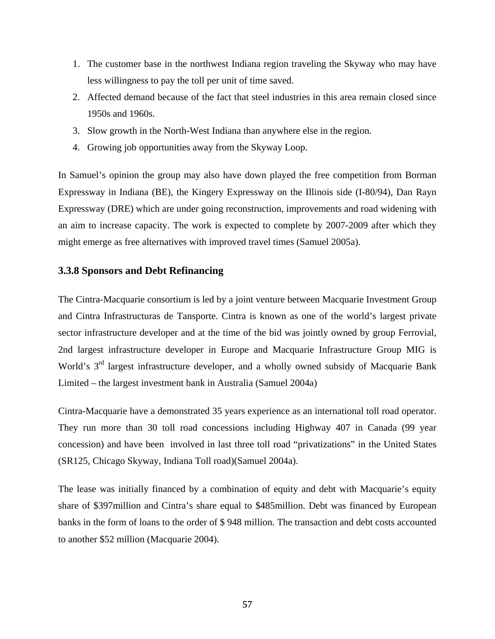- 1. The customer base in the northwest Indiana region traveling the Skyway who may have less willingness to pay the toll per unit of time saved.
- 2. Affected demand because of the fact that steel industries in this area remain closed since 1950s and 1960s.
- 3. Slow growth in the North-West Indiana than anywhere else in the region.
- 4. Growing job opportunities away from the Skyway Loop.

In Samuel's opinion the group may also have down played the free competition from Borman Expressway in Indiana (BE), the Kingery Expressway on the Illinois side (I-80/94), Dan Rayn Expressway (DRE) which are under going reconstruction, improvements and road widening with an aim to increase capacity. The work is expected to complete by 2007-2009 after which they might emerge as free alternatives with improved travel times (Samuel 2005a).

# **3.3.8 Sponsors and Debt Refinancing**

The Cintra-Macquarie consortium is led by a joint venture between Macquarie Investment Group and Cintra Infrastructuras de Tansporte. Cintra is known as one of the world's largest private sector infrastructure developer and at the time of the bid was jointly owned by group Ferrovial, 2nd largest infrastructure developer in Europe and Macquarie Infrastructure Group MIG is World's 3<sup>rd</sup> largest infrastructure developer, and a wholly owned subsidy of Macquarie Bank Limited – the largest investment bank in Australia (Samuel 2004a)

Cintra-Macquarie have a demonstrated 35 years experience as an international toll road operator. They run more than 30 toll road concessions including Highway 407 in Canada (99 year concession) and have been involved in last three toll road "privatizations" in the United States (SR125, Chicago Skyway, Indiana Toll road)(Samuel 2004a).

The lease was initially financed by a combination of equity and debt with Macquarie's equity share of \$397million and Cintra's share equal to \$485million. Debt was financed by European banks in the form of loans to the order of \$ 948 million. The transaction and debt costs accounted to another \$52 million (Macquarie 2004).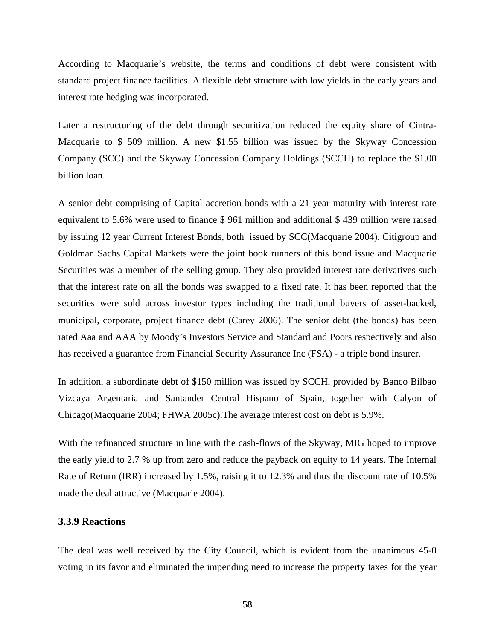According to Macquarie's website, the terms and conditions of debt were consistent with standard project finance facilities. A flexible debt structure with low yields in the early years and interest rate hedging was incorporated.

Later a restructuring of the debt through securitization reduced the equity share of Cintra-Macquarie to \$ 509 million. A new \$1.55 billion was issued by the Skyway Concession Company (SCC) and the Skyway Concession Company Holdings (SCCH) to replace the \$1.00 billion loan.

A senior debt comprising of Capital accretion bonds with a 21 year maturity with interest rate equivalent to 5.6% were used to finance \$ 961 million and additional \$ 439 million were raised by issuing 12 year Current Interest Bonds, both issued by SCC(Macquarie 2004). Citigroup and Goldman Sachs Capital Markets were the joint book runners of this bond issue and Macquarie Securities was a member of the selling group. They also provided interest rate derivatives such that the interest rate on all the bonds was swapped to a fixed rate. It has been reported that the securities were sold across investor types including the traditional buyers of asset-backed, municipal, corporate, project finance debt (Carey 2006). The senior debt (the bonds) has been rated Aaa and AAA by Moody's Investors Service and Standard and Poors respectively and also has received a guarantee from Financial Security Assurance Inc (FSA) - a triple bond insurer.

In addition, a subordinate debt of \$150 million was issued by SCCH, provided by Banco Bilbao Vizcaya Argentaria and Santander Central Hispano of Spain, together with Calyon of Chicago(Macquarie 2004; FHWA 2005c).The average interest cost on debt is 5.9%.

With the refinanced structure in line with the cash-flows of the Skyway, MIG hoped to improve the early yield to 2.7 % up from zero and reduce the payback on equity to 14 years. The Internal Rate of Return (IRR) increased by 1.5%, raising it to 12.3% and thus the discount rate of 10.5% made the deal attractive (Macquarie 2004).

#### **3.3.9 Reactions**

The deal was well received by the City Council, which is evident from the unanimous 45-0 voting in its favor and eliminated the impending need to increase the property taxes for the year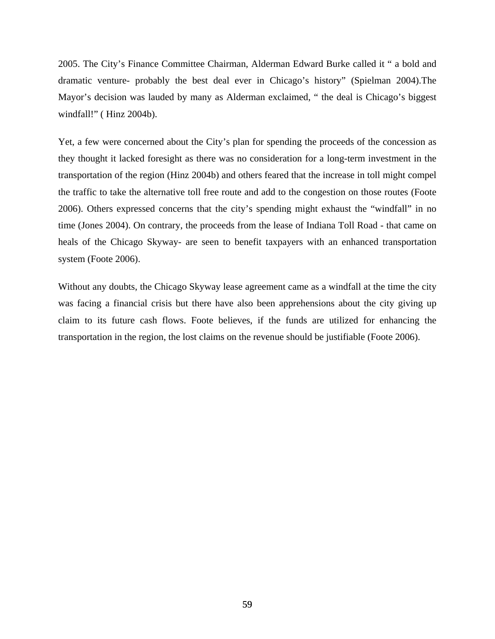2005. The City's Finance Committee Chairman, Alderman Edward Burke called it " a bold and dramatic venture- probably the best deal ever in Chicago's history" (Spielman 2004).The Mayor's decision was lauded by many as Alderman exclaimed, " the deal is Chicago's biggest windfall!" ( Hinz 2004b).

Yet, a few were concerned about the City's plan for spending the proceeds of the concession as they thought it lacked foresight as there was no consideration for a long-term investment in the transportation of the region (Hinz 2004b) and others feared that the increase in toll might compel the traffic to take the alternative toll free route and add to the congestion on those routes (Foote 2006). Others expressed concerns that the city's spending might exhaust the "windfall" in no time (Jones 2004). On contrary, the proceeds from the lease of Indiana Toll Road - that came on heals of the Chicago Skyway- are seen to benefit taxpayers with an enhanced transportation system (Foote 2006).

Without any doubts, the Chicago Skyway lease agreement came as a windfall at the time the city was facing a financial crisis but there have also been apprehensions about the city giving up claim to its future cash flows. Foote believes, if the funds are utilized for enhancing the transportation in the region, the lost claims on the revenue should be justifiable (Foote 2006).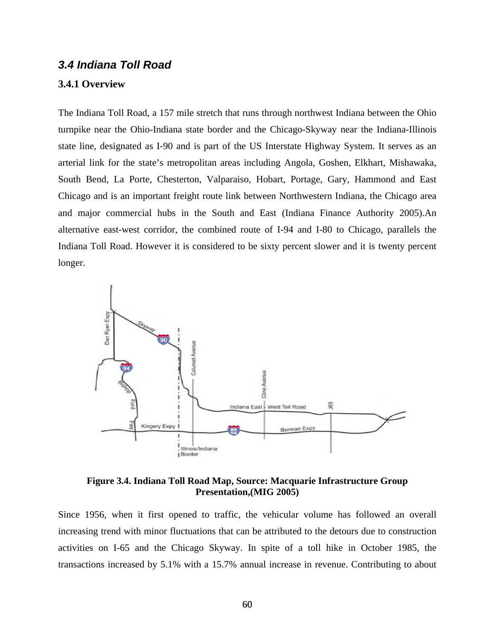# *3.4 Indiana Toll Road*

#### **3.4.1 Overview**

The Indiana Toll Road, a 157 mile stretch that runs through northwest Indiana between the Ohio turnpike near the Ohio-Indiana state border and the Chicago-Skyway near the Indiana-Illinois state line, designated as I-90 and is part of the US Interstate Highway System. It serves as an arterial link for the state's metropolitan areas including Angola, Goshen, Elkhart, Mishawaka, South Bend, La Porte, Chesterton, Valparaiso, Hobart, Portage, Gary, Hammond and East Chicago and is an important freight route link between Northwestern Indiana, the Chicago area and major commercial hubs in the South and East (Indiana Finance Authority 2005).An alternative east-west corridor, the combined route of I-94 and I-80 to Chicago, parallels the Indiana Toll Road. However it is considered to be sixty percent slower and it is twenty percent longer.



**Figure 3.4. Indiana Toll Road Map, Source: Macquarie Infrastructure Group Presentation,(MIG 2005)** 

Since 1956, when it first opened to traffic, the vehicular volume has followed an overall increasing trend with minor fluctuations that can be attributed to the detours due to construction activities on I-65 and the Chicago Skyway. In spite of a toll hike in October 1985, the transactions increased by 5.1% with a 15.7% annual increase in revenue. Contributing to about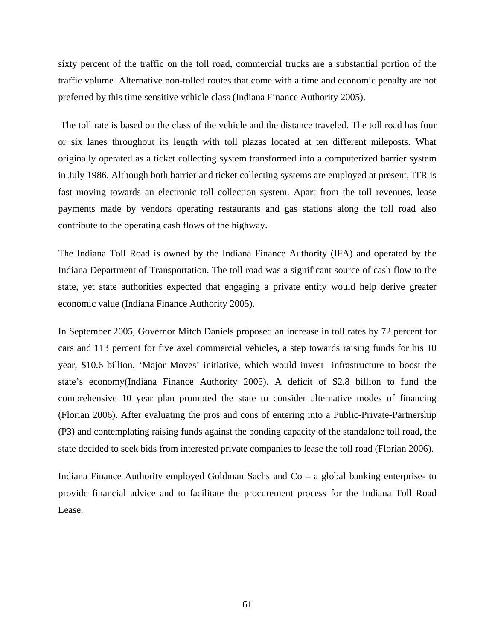sixty percent of the traffic on the toll road, commercial trucks are a substantial portion of the traffic volume Alternative non-tolled routes that come with a time and economic penalty are not preferred by this time sensitive vehicle class (Indiana Finance Authority 2005).

 The toll rate is based on the class of the vehicle and the distance traveled. The toll road has four or six lanes throughout its length with toll plazas located at ten different mileposts. What originally operated as a ticket collecting system transformed into a computerized barrier system in July 1986. Although both barrier and ticket collecting systems are employed at present, ITR is fast moving towards an electronic toll collection system. Apart from the toll revenues, lease payments made by vendors operating restaurants and gas stations along the toll road also contribute to the operating cash flows of the highway.

The Indiana Toll Road is owned by the Indiana Finance Authority (IFA) and operated by the Indiana Department of Transportation. The toll road was a significant source of cash flow to the state, yet state authorities expected that engaging a private entity would help derive greater economic value (Indiana Finance Authority 2005).

In September 2005, Governor Mitch Daniels proposed an increase in toll rates by 72 percent for cars and 113 percent for five axel commercial vehicles, a step towards raising funds for his 10 year, \$10.6 billion, 'Major Moves' initiative, which would invest infrastructure to boost the state's economy(Indiana Finance Authority 2005). A deficit of \$2.8 billion to fund the comprehensive 10 year plan prompted the state to consider alternative modes of financing (Florian 2006). After evaluating the pros and cons of entering into a Public-Private-Partnership (P3) and contemplating raising funds against the bonding capacity of the standalone toll road, the state decided to seek bids from interested private companies to lease the toll road (Florian 2006).

Indiana Finance Authority employed Goldman Sachs and Co – a global banking enterprise- to provide financial advice and to facilitate the procurement process for the Indiana Toll Road Lease.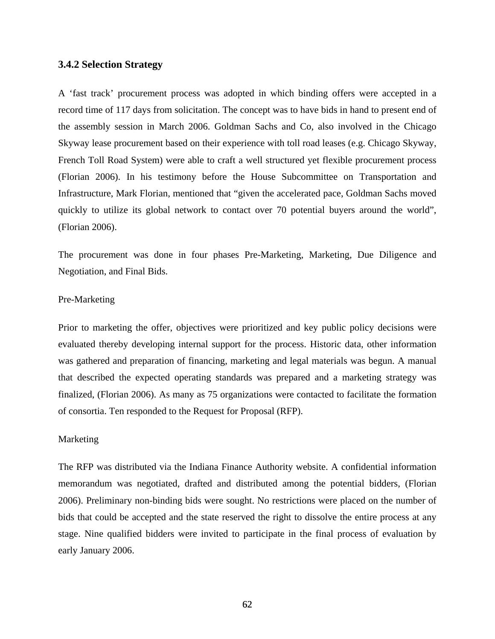### **3.4.2 Selection Strategy**

A 'fast track' procurement process was adopted in which binding offers were accepted in a record time of 117 days from solicitation. The concept was to have bids in hand to present end of the assembly session in March 2006. Goldman Sachs and Co, also involved in the Chicago Skyway lease procurement based on their experience with toll road leases (e.g. Chicago Skyway, French Toll Road System) were able to craft a well structured yet flexible procurement process (Florian 2006). In his testimony before the House Subcommittee on Transportation and Infrastructure, Mark Florian, mentioned that "given the accelerated pace, Goldman Sachs moved quickly to utilize its global network to contact over 70 potential buyers around the world", (Florian 2006).

The procurement was done in four phases Pre-Marketing, Marketing, Due Diligence and Negotiation, and Final Bids.

### Pre-Marketing

Prior to marketing the offer, objectives were prioritized and key public policy decisions were evaluated thereby developing internal support for the process. Historic data, other information was gathered and preparation of financing, marketing and legal materials was begun. A manual that described the expected operating standards was prepared and a marketing strategy was finalized, (Florian 2006). As many as 75 organizations were contacted to facilitate the formation of consortia. Ten responded to the Request for Proposal (RFP).

#### Marketing

The RFP was distributed via the Indiana Finance Authority website. A confidential information memorandum was negotiated, drafted and distributed among the potential bidders, (Florian 2006). Preliminary non-binding bids were sought. No restrictions were placed on the number of bids that could be accepted and the state reserved the right to dissolve the entire process at any stage. Nine qualified bidders were invited to participate in the final process of evaluation by early January 2006.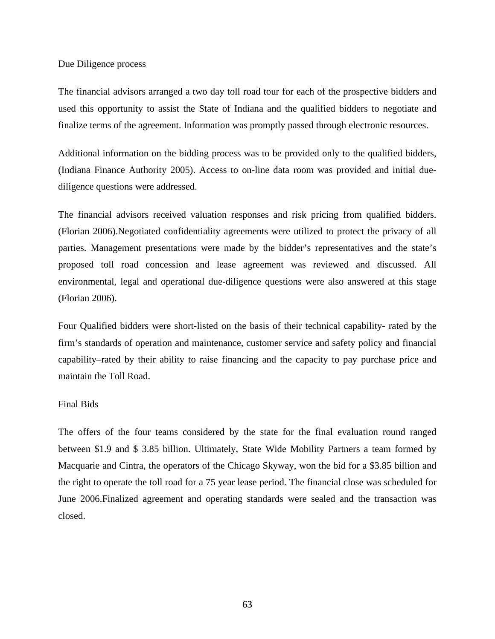#### Due Diligence process

The financial advisors arranged a two day toll road tour for each of the prospective bidders and used this opportunity to assist the State of Indiana and the qualified bidders to negotiate and finalize terms of the agreement. Information was promptly passed through electronic resources.

Additional information on the bidding process was to be provided only to the qualified bidders, (Indiana Finance Authority 2005). Access to on-line data room was provided and initial duediligence questions were addressed.

The financial advisors received valuation responses and risk pricing from qualified bidders. (Florian 2006).Negotiated confidentiality agreements were utilized to protect the privacy of all parties. Management presentations were made by the bidder's representatives and the state's proposed toll road concession and lease agreement was reviewed and discussed. All environmental, legal and operational due-diligence questions were also answered at this stage (Florian 2006).

Four Qualified bidders were short-listed on the basis of their technical capability- rated by the firm's standards of operation and maintenance, customer service and safety policy and financial capability–rated by their ability to raise financing and the capacity to pay purchase price and maintain the Toll Road.

## Final Bids

The offers of the four teams considered by the state for the final evaluation round ranged between \$1.9 and \$ 3.85 billion. Ultimately, State Wide Mobility Partners a team formed by Macquarie and Cintra, the operators of the Chicago Skyway, won the bid for a \$3.85 billion and the right to operate the toll road for a 75 year lease period. The financial close was scheduled for June 2006.Finalized agreement and operating standards were sealed and the transaction was closed.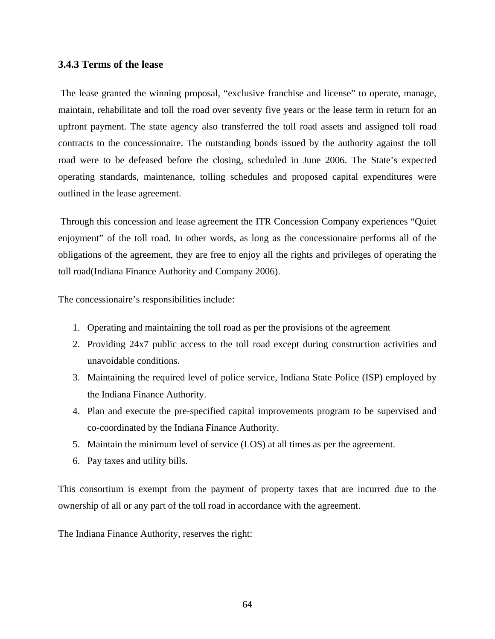# **3.4.3 Terms of the lease**

 The lease granted the winning proposal, "exclusive franchise and license" to operate, manage, maintain, rehabilitate and toll the road over seventy five years or the lease term in return for an upfront payment. The state agency also transferred the toll road assets and assigned toll road contracts to the concessionaire. The outstanding bonds issued by the authority against the toll road were to be defeased before the closing, scheduled in June 2006. The State's expected operating standards, maintenance, tolling schedules and proposed capital expenditures were outlined in the lease agreement.

 Through this concession and lease agreement the ITR Concession Company experiences "Quiet enjoyment" of the toll road. In other words, as long as the concessionaire performs all of the obligations of the agreement, they are free to enjoy all the rights and privileges of operating the toll road(Indiana Finance Authority and Company 2006).

The concessionaire's responsibilities include:

- 1. Operating and maintaining the toll road as per the provisions of the agreement
- 2. Providing 24x7 public access to the toll road except during construction activities and unavoidable conditions.
- 3. Maintaining the required level of police service, Indiana State Police (ISP) employed by the Indiana Finance Authority.
- 4. Plan and execute the pre-specified capital improvements program to be supervised and co-coordinated by the Indiana Finance Authority.
- 5. Maintain the minimum level of service (LOS) at all times as per the agreement.
- 6. Pay taxes and utility bills.

This consortium is exempt from the payment of property taxes that are incurred due to the ownership of all or any part of the toll road in accordance with the agreement.

The Indiana Finance Authority, reserves the right: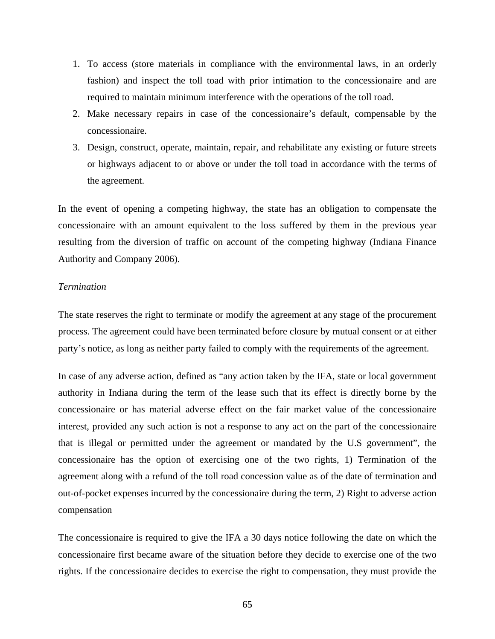- 1. To access (store materials in compliance with the environmental laws, in an orderly fashion) and inspect the toll toad with prior intimation to the concessionaire and are required to maintain minimum interference with the operations of the toll road.
- 2. Make necessary repairs in case of the concessionaire's default, compensable by the concessionaire.
- 3. Design, construct, operate, maintain, repair, and rehabilitate any existing or future streets or highways adjacent to or above or under the toll toad in accordance with the terms of the agreement.

In the event of opening a competing highway, the state has an obligation to compensate the concessionaire with an amount equivalent to the loss suffered by them in the previous year resulting from the diversion of traffic on account of the competing highway (Indiana Finance Authority and Company 2006).

#### *Termination*

The state reserves the right to terminate or modify the agreement at any stage of the procurement process. The agreement could have been terminated before closure by mutual consent or at either party's notice, as long as neither party failed to comply with the requirements of the agreement.

In case of any adverse action, defined as "any action taken by the IFA, state or local government authority in Indiana during the term of the lease such that its effect is directly borne by the concessionaire or has material adverse effect on the fair market value of the concessionaire interest, provided any such action is not a response to any act on the part of the concessionaire that is illegal or permitted under the agreement or mandated by the U.S government", the concessionaire has the option of exercising one of the two rights, 1) Termination of the agreement along with a refund of the toll road concession value as of the date of termination and out-of-pocket expenses incurred by the concessionaire during the term, 2) Right to adverse action compensation

The concessionaire is required to give the IFA a 30 days notice following the date on which the concessionaire first became aware of the situation before they decide to exercise one of the two rights. If the concessionaire decides to exercise the right to compensation, they must provide the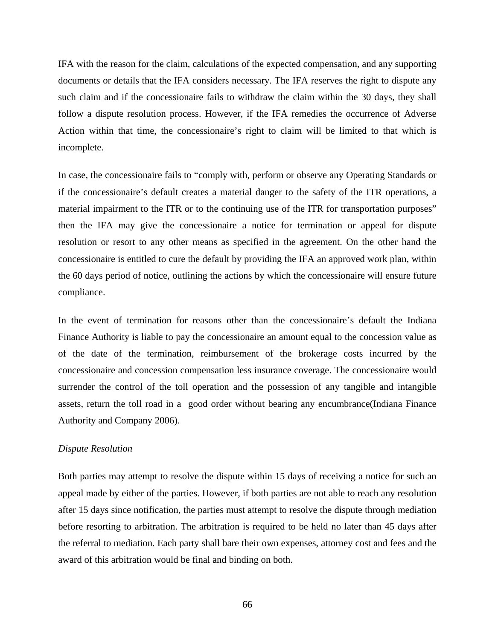IFA with the reason for the claim, calculations of the expected compensation, and any supporting documents or details that the IFA considers necessary. The IFA reserves the right to dispute any such claim and if the concessionaire fails to withdraw the claim within the 30 days, they shall follow a dispute resolution process. However, if the IFA remedies the occurrence of Adverse Action within that time, the concessionaire's right to claim will be limited to that which is incomplete.

In case, the concessionaire fails to "comply with, perform or observe any Operating Standards or if the concessionaire's default creates a material danger to the safety of the ITR operations, a material impairment to the ITR or to the continuing use of the ITR for transportation purposes" then the IFA may give the concessionaire a notice for termination or appeal for dispute resolution or resort to any other means as specified in the agreement. On the other hand the concessionaire is entitled to cure the default by providing the IFA an approved work plan, within the 60 days period of notice, outlining the actions by which the concessionaire will ensure future compliance.

In the event of termination for reasons other than the concessionaire's default the Indiana Finance Authority is liable to pay the concessionaire an amount equal to the concession value as of the date of the termination, reimbursement of the brokerage costs incurred by the concessionaire and concession compensation less insurance coverage. The concessionaire would surrender the control of the toll operation and the possession of any tangible and intangible assets, return the toll road in a good order without bearing any encumbrance(Indiana Finance Authority and Company 2006).

#### *Dispute Resolution*

Both parties may attempt to resolve the dispute within 15 days of receiving a notice for such an appeal made by either of the parties. However, if both parties are not able to reach any resolution after 15 days since notification, the parties must attempt to resolve the dispute through mediation before resorting to arbitration. The arbitration is required to be held no later than 45 days after the referral to mediation. Each party shall bare their own expenses, attorney cost and fees and the award of this arbitration would be final and binding on both.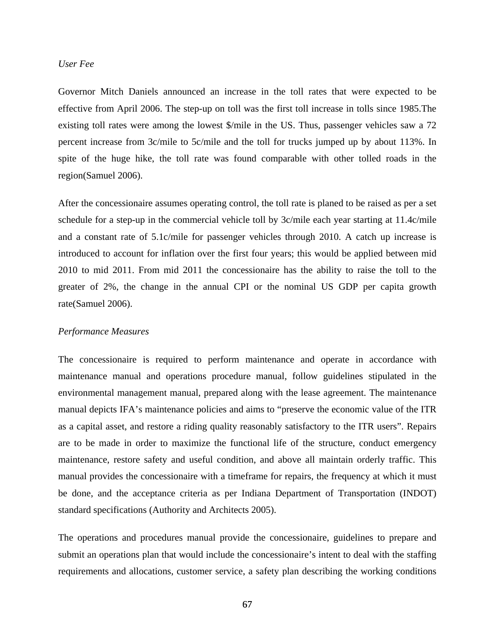#### *User Fee*

Governor Mitch Daniels announced an increase in the toll rates that were expected to be effective from April 2006. The step-up on toll was the first toll increase in tolls since 1985.The existing toll rates were among the lowest \$/mile in the US. Thus, passenger vehicles saw a 72 percent increase from 3c/mile to 5c/mile and the toll for trucks jumped up by about 113%. In spite of the huge hike, the toll rate was found comparable with other tolled roads in the region(Samuel 2006).

After the concessionaire assumes operating control, the toll rate is planed to be raised as per a set schedule for a step-up in the commercial vehicle toll by 3c/mile each year starting at 11.4c/mile and a constant rate of 5.1c/mile for passenger vehicles through 2010. A catch up increase is introduced to account for inflation over the first four years; this would be applied between mid 2010 to mid 2011. From mid 2011 the concessionaire has the ability to raise the toll to the greater of 2%, the change in the annual CPI or the nominal US GDP per capita growth rate(Samuel 2006).

#### *Performance Measures*

The concessionaire is required to perform maintenance and operate in accordance with maintenance manual and operations procedure manual, follow guidelines stipulated in the environmental management manual, prepared along with the lease agreement. The maintenance manual depicts IFA's maintenance policies and aims to "preserve the economic value of the ITR as a capital asset, and restore a riding quality reasonably satisfactory to the ITR users". Repairs are to be made in order to maximize the functional life of the structure, conduct emergency maintenance, restore safety and useful condition, and above all maintain orderly traffic. This manual provides the concessionaire with a timeframe for repairs, the frequency at which it must be done, and the acceptance criteria as per Indiana Department of Transportation (INDOT) standard specifications (Authority and Architects 2005).

The operations and procedures manual provide the concessionaire, guidelines to prepare and submit an operations plan that would include the concessionaire's intent to deal with the staffing requirements and allocations, customer service, a safety plan describing the working conditions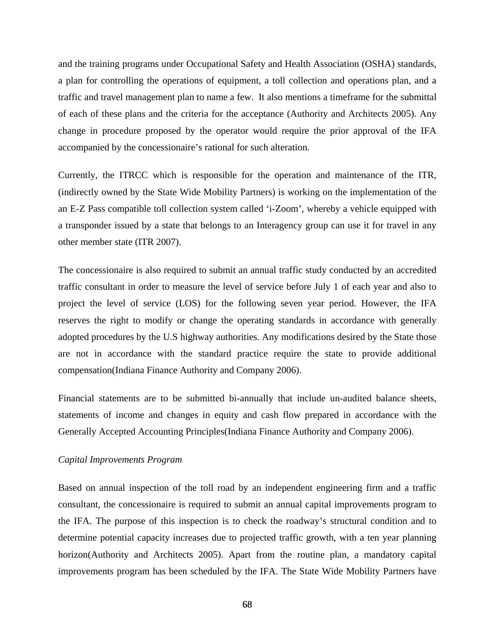and the training programs under Occupational Safety and Health Association (OSHA) standards, a plan for controlling the operations of equipment, a toll collection and operations plan, and a traffic and travel management plan to name a few. It also mentions a timeframe for the submittal of each of these plans and the criteria for the acceptance (Authority and Architects 2005). Any change in procedure proposed by the operator would require the prior approval of the IFA accompanied by the concessionaire's rational for such alteration.

Currently, the ITRCC which is responsible for the operation and maintenance of the ITR, (indirectly owned by the State Wide Mobility Partners) is working on the implementation of the an E-Z Pass compatible toll collection system called 'i-Zoom', whereby a vehicle equipped with a transponder issued by a state that belongs to an Interagency group can use it for travel in any other member state (ITR 2007).

The concessionaire is also required to submit an annual traffic study conducted by an accredited traffic consultant in order to measure the level of service before July 1 of each year and also to project the level of service (LOS) for the following seven year period. However, the IFA reserves the right to modify or change the operating standards in accordance with generally adopted procedures by the U.S highway authorities. Any modifications desired by the State those are not in accordance with the standard practice require the state to provide additional compensation(Indiana Finance Authority and Company 2006).

Financial statements are to be submitted bi-annually that include un-audited balance sheets, statements of income and changes in equity and cash flow prepared in accordance with the Generally Accepted Accounting Principles(Indiana Finance Authority and Company 2006).

#### *Capital Improvements Program*

Based on annual inspection of the toll road by an independent engineering firm and a traffic consultant, the concessionaire is required to submit an annual capital improvements program to the IFA. The purpose of this inspection is to check the roadway's structural condition and to determine potential capacity increases due to projected traffic growth, with a ten year planning horizon(Authority and Architects 2005). Apart from the routine plan, a mandatory capital improvements program has been scheduled by the IFA. The State Wide Mobility Partners have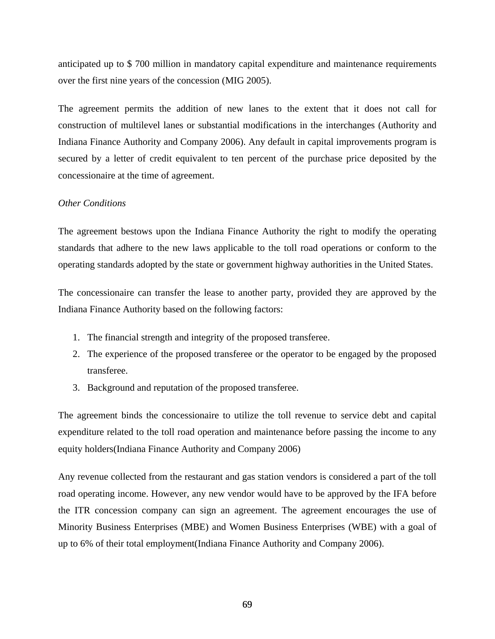anticipated up to \$ 700 million in mandatory capital expenditure and maintenance requirements over the first nine years of the concession (MIG 2005).

The agreement permits the addition of new lanes to the extent that it does not call for construction of multilevel lanes or substantial modifications in the interchanges (Authority and Indiana Finance Authority and Company 2006). Any default in capital improvements program is secured by a letter of credit equivalent to ten percent of the purchase price deposited by the concessionaire at the time of agreement.

#### *Other Conditions*

The agreement bestows upon the Indiana Finance Authority the right to modify the operating standards that adhere to the new laws applicable to the toll road operations or conform to the operating standards adopted by the state or government highway authorities in the United States.

The concessionaire can transfer the lease to another party, provided they are approved by the Indiana Finance Authority based on the following factors:

- 1. The financial strength and integrity of the proposed transferee.
- 2. The experience of the proposed transferee or the operator to be engaged by the proposed transferee.
- 3. Background and reputation of the proposed transferee.

The agreement binds the concessionaire to utilize the toll revenue to service debt and capital expenditure related to the toll road operation and maintenance before passing the income to any equity holders(Indiana Finance Authority and Company 2006)

Any revenue collected from the restaurant and gas station vendors is considered a part of the toll road operating income. However, any new vendor would have to be approved by the IFA before the ITR concession company can sign an agreement. The agreement encourages the use of Minority Business Enterprises (MBE) and Women Business Enterprises (WBE) with a goal of up to 6% of their total employment(Indiana Finance Authority and Company 2006).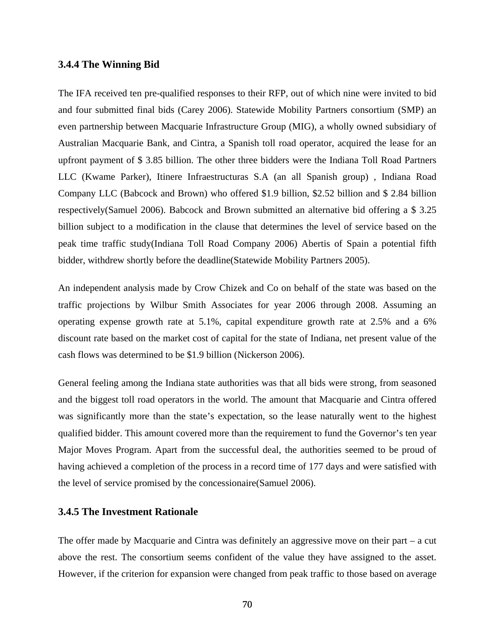#### **3.4.4 The Winning Bid**

The IFA received ten pre-qualified responses to their RFP, out of which nine were invited to bid and four submitted final bids (Carey 2006). Statewide Mobility Partners consortium (SMP) an even partnership between Macquarie Infrastructure Group (MIG), a wholly owned subsidiary of Australian Macquarie Bank, and Cintra, a Spanish toll road operator, acquired the lease for an upfront payment of \$ 3.85 billion. The other three bidders were the Indiana Toll Road Partners LLC (Kwame Parker), Itinere Infraestructuras S.A (an all Spanish group) , Indiana Road Company LLC (Babcock and Brown) who offered \$1.9 billion, \$2.52 billion and \$ 2.84 billion respectively(Samuel 2006). Babcock and Brown submitted an alternative bid offering a \$ 3.25 billion subject to a modification in the clause that determines the level of service based on the peak time traffic study(Indiana Toll Road Company 2006) Abertis of Spain a potential fifth bidder, withdrew shortly before the deadline(Statewide Mobility Partners 2005).

An independent analysis made by Crow Chizek and Co on behalf of the state was based on the traffic projections by Wilbur Smith Associates for year 2006 through 2008. Assuming an operating expense growth rate at 5.1%, capital expenditure growth rate at 2.5% and a 6% discount rate based on the market cost of capital for the state of Indiana, net present value of the cash flows was determined to be \$1.9 billion (Nickerson 2006).

General feeling among the Indiana state authorities was that all bids were strong, from seasoned and the biggest toll road operators in the world. The amount that Macquarie and Cintra offered was significantly more than the state's expectation, so the lease naturally went to the highest qualified bidder. This amount covered more than the requirement to fund the Governor's ten year Major Moves Program. Apart from the successful deal, the authorities seemed to be proud of having achieved a completion of the process in a record time of 177 days and were satisfied with the level of service promised by the concessionaire(Samuel 2006).

# **3.4.5 The Investment Rationale**

The offer made by Macquarie and Cintra was definitely an aggressive move on their part – a cut above the rest. The consortium seems confident of the value they have assigned to the asset. However, if the criterion for expansion were changed from peak traffic to those based on average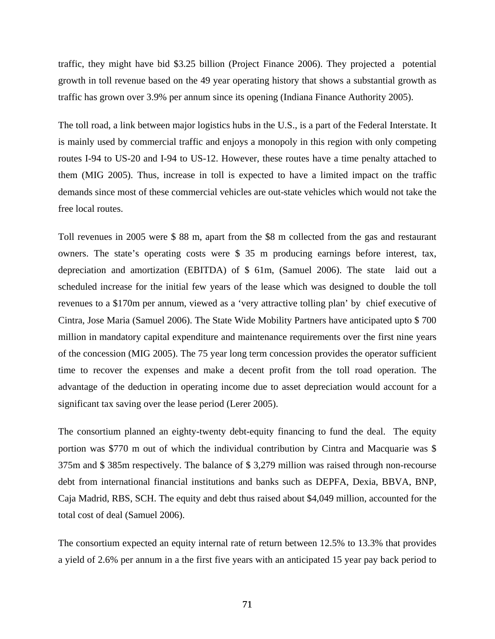traffic, they might have bid \$3.25 billion (Project Finance 2006). They projected a potential growth in toll revenue based on the 49 year operating history that shows a substantial growth as traffic has grown over 3.9% per annum since its opening (Indiana Finance Authority 2005).

The toll road, a link between major logistics hubs in the U.S., is a part of the Federal Interstate. It is mainly used by commercial traffic and enjoys a monopoly in this region with only competing routes I-94 to US-20 and I-94 to US-12. However, these routes have a time penalty attached to them (MIG 2005). Thus, increase in toll is expected to have a limited impact on the traffic demands since most of these commercial vehicles are out-state vehicles which would not take the free local routes.

Toll revenues in 2005 were \$ 88 m, apart from the \$8 m collected from the gas and restaurant owners. The state's operating costs were \$ 35 m producing earnings before interest, tax, depreciation and amortization (EBITDA) of \$ 61m, (Samuel 2006). The state laid out a scheduled increase for the initial few years of the lease which was designed to double the toll revenues to a \$170m per annum, viewed as a 'very attractive tolling plan' by chief executive of Cintra, Jose Maria (Samuel 2006). The State Wide Mobility Partners have anticipated upto \$ 700 million in mandatory capital expenditure and maintenance requirements over the first nine years of the concession (MIG 2005). The 75 year long term concession provides the operator sufficient time to recover the expenses and make a decent profit from the toll road operation. The advantage of the deduction in operating income due to asset depreciation would account for a significant tax saving over the lease period (Lerer 2005).

The consortium planned an eighty-twenty debt-equity financing to fund the deal. The equity portion was \$770 m out of which the individual contribution by Cintra and Macquarie was \$ 375m and \$ 385m respectively. The balance of \$ 3,279 million was raised through non-recourse debt from international financial institutions and banks such as DEPFA, Dexia, BBVA, BNP, Caja Madrid, RBS, SCH. The equity and debt thus raised about \$4,049 million, accounted for the total cost of deal (Samuel 2006).

The consortium expected an equity internal rate of return between 12.5% to 13.3% that provides a yield of 2.6% per annum in a the first five years with an anticipated 15 year pay back period to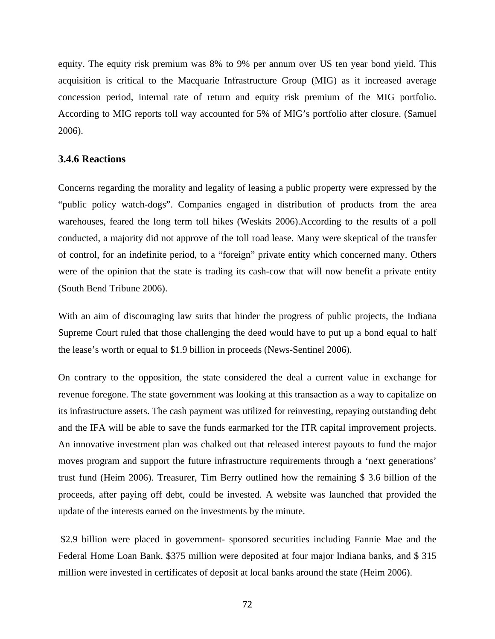equity. The equity risk premium was 8% to 9% per annum over US ten year bond yield. This acquisition is critical to the Macquarie Infrastructure Group (MIG) as it increased average concession period, internal rate of return and equity risk premium of the MIG portfolio. According to MIG reports toll way accounted for 5% of MIG's portfolio after closure. (Samuel 2006).

# **3.4.6 Reactions**

Concerns regarding the morality and legality of leasing a public property were expressed by the "public policy watch-dogs". Companies engaged in distribution of products from the area warehouses, feared the long term toll hikes (Weskits 2006).According to the results of a poll conducted, a majority did not approve of the toll road lease. Many were skeptical of the transfer of control, for an indefinite period, to a "foreign" private entity which concerned many. Others were of the opinion that the state is trading its cash-cow that will now benefit a private entity (South Bend Tribune 2006).

With an aim of discouraging law suits that hinder the progress of public projects, the Indiana Supreme Court ruled that those challenging the deed would have to put up a bond equal to half the lease's worth or equal to \$1.9 billion in proceeds (News-Sentinel 2006).

On contrary to the opposition, the state considered the deal a current value in exchange for revenue foregone. The state government was looking at this transaction as a way to capitalize on its infrastructure assets. The cash payment was utilized for reinvesting, repaying outstanding debt and the IFA will be able to save the funds earmarked for the ITR capital improvement projects. An innovative investment plan was chalked out that released interest payouts to fund the major moves program and support the future infrastructure requirements through a 'next generations' trust fund (Heim 2006). Treasurer, Tim Berry outlined how the remaining \$ 3.6 billion of the proceeds, after paying off debt, could be invested. A website was launched that provided the update of the interests earned on the investments by the minute.

 \$2.9 billion were placed in government- sponsored securities including Fannie Mae and the Federal Home Loan Bank. \$375 million were deposited at four major Indiana banks, and \$ 315 million were invested in certificates of deposit at local banks around the state (Heim 2006).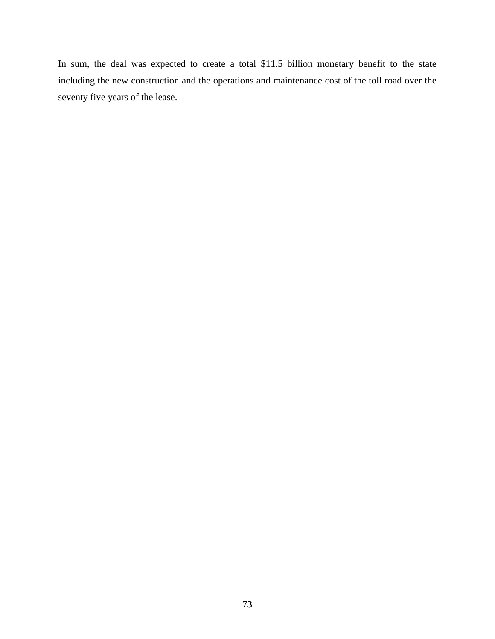In sum, the deal was expected to create a total \$11.5 billion monetary benefit to the state including the new construction and the operations and maintenance cost of the toll road over the seventy five years of the lease.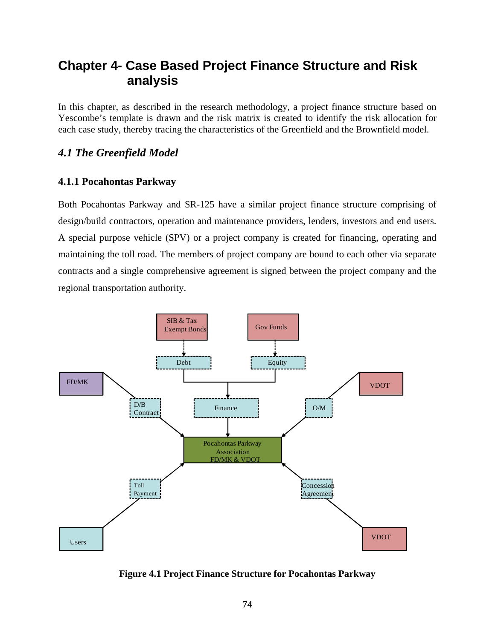# **Chapter 4- Case Based Project Finance Structure and Risk analysis**

In this chapter, as described in the research methodology, a project finance structure based on Yescombe's template is drawn and the risk matrix is created to identify the risk allocation for each case study, thereby tracing the characteristics of the Greenfield and the Brownfield model.

# *4.1 The Greenfield Model*

# **4.1.1 Pocahontas Parkway**

Both Pocahontas Parkway and SR-125 have a similar project finance structure comprising of design/build contractors, operation and maintenance providers, lenders, investors and end users. A special purpose vehicle (SPV) or a project company is created for financing, operating and maintaining the toll road. The members of project company are bound to each other via separate contracts and a single comprehensive agreement is signed between the project company and the regional transportation authority.



**Figure 4.1 Project Finance Structure for Pocahontas Parkway**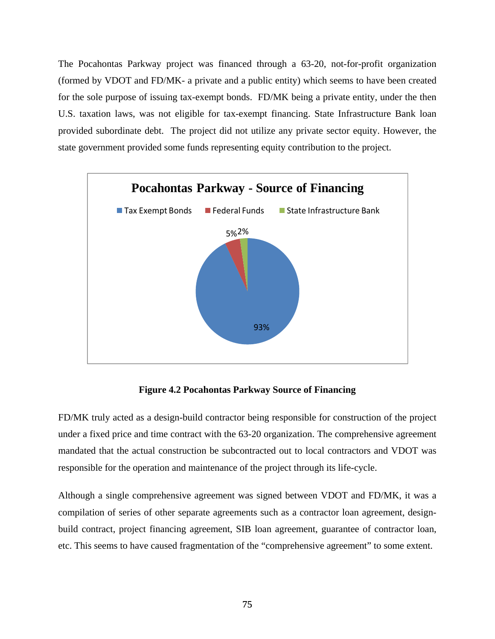The Pocahontas Parkway project was financed through a 63-20, not-for-profit organization (formed by VDOT and FD/MK- a private and a public entity) which seems to have been created for the sole purpose of issuing tax-exempt bonds. FD/MK being a private entity, under the then U.S. taxation laws, was not eligible for tax-exempt financing. State Infrastructure Bank loan provided subordinate debt. The project did not utilize any private sector equity. However, the state government provided some funds representing equity contribution to the project.



**Figure 4.2 Pocahontas Parkway Source of Financing** 

FD/MK truly acted as a design-build contractor being responsible for construction of the project under a fixed price and time contract with the 63-20 organization. The comprehensive agreement mandated that the actual construction be subcontracted out to local contractors and VDOT was responsible for the operation and maintenance of the project through its life-cycle.

Although a single comprehensive agreement was signed between VDOT and FD/MK, it was a compilation of series of other separate agreements such as a contractor loan agreement, designbuild contract, project financing agreement, SIB loan agreement, guarantee of contractor loan, etc. This seems to have caused fragmentation of the "comprehensive agreement" to some extent.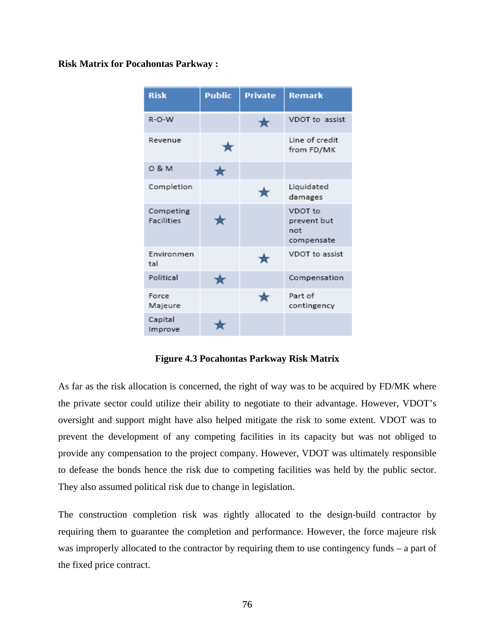### **Risk Matrix for Pocahontas Parkway :**

| <b>Risk</b>                    | <b>Public</b> | <b>Private</b> | <b>Remark</b>                               |
|--------------------------------|---------------|----------------|---------------------------------------------|
| $R-O-W$                        |               | 女              | VDOT to assist                              |
| Revenue                        | ★             |                | Line of credit<br>from FD/MK                |
| 0 & M                          | ★             |                |                                             |
| Completion                     |               | ∗              | Liquidated<br>damages                       |
| Competing<br><b>Facilities</b> |               |                | VDOT to<br>prevent but<br>not<br>compensate |
| Environmen<br>tal              |               | $\mathbf{r}$   | VDOT to assist                              |
| Political                      | ★             |                | Compensation                                |
| Force<br>Majeure               |               | ∗              | Part of<br>contingency                      |
| Capital<br>Improve             |               |                |                                             |

**Figure 4.3 Pocahontas Parkway Risk Matrix** 

As far as the risk allocation is concerned, the right of way was to be acquired by FD/MK where the private sector could utilize their ability to negotiate to their advantage. However, VDOT's oversight and support might have also helped mitigate the risk to some extent. VDOT was to prevent the development of any competing facilities in its capacity but was not obliged to provide any compensation to the project company. However, VDOT was ultimately responsible to defease the bonds hence the risk due to competing facilities was held by the public sector. They also assumed political risk due to change in legislation.

The construction completion risk was rightly allocated to the design-build contractor by requiring them to guarantee the completion and performance. However, the force majeure risk was improperly allocated to the contractor by requiring them to use contingency funds – a part of the fixed price contract.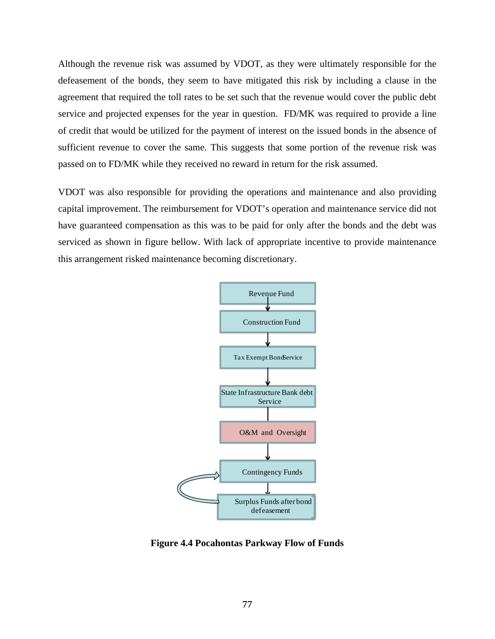Although the revenue risk was assumed by VDOT, as they were ultimately responsible for the defeasement of the bonds, they seem to have mitigated this risk by including a clause in the agreement that required the toll rates to be set such that the revenue would cover the public debt service and projected expenses for the year in question. FD/MK was required to provide a line of credit that would be utilized for the payment of interest on the issued bonds in the absence of sufficient revenue to cover the same. This suggests that some portion of the revenue risk was passed on to FD/MK while they received no reward in return for the risk assumed.

VDOT was also responsible for providing the operations and maintenance and also providing capital improvement. The reimbursement for VDOT's operation and maintenance service did not have guaranteed compensation as this was to be paid for only after the bonds and the debt was serviced as shown in figure bellow. With lack of appropriate incentive to provide maintenance this arrangement risked maintenance becoming discretionary.



**Figure 4.4 Pocahontas Parkway Flow of Funds**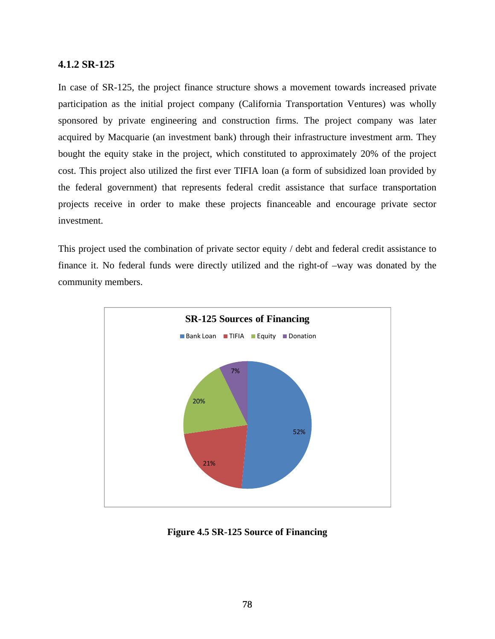# **4.1.2 SR-125**

In case of SR-125, the project finance structure shows a movement towards increased private participation as the initial project company (California Transportation Ventures) was wholly sponsored by private engineering and construction firms. The project company was later acquired by Macquarie (an investment bank) through their infrastructure investment arm. They bought the equity stake in the project, which constituted to approximately 20% of the project cost. This project also utilized the first ever TIFIA loan (a form of subsidized loan provided by the federal government) that represents federal credit assistance that surface transportation projects receive in order to make these projects financeable and encourage private sector investment.

This project used the combination of private sector equity / debt and federal credit assistance to finance it. No federal funds were directly utilized and the right-of –way was donated by the community members.



**Figure 4.5 SR-125 Source of Financing**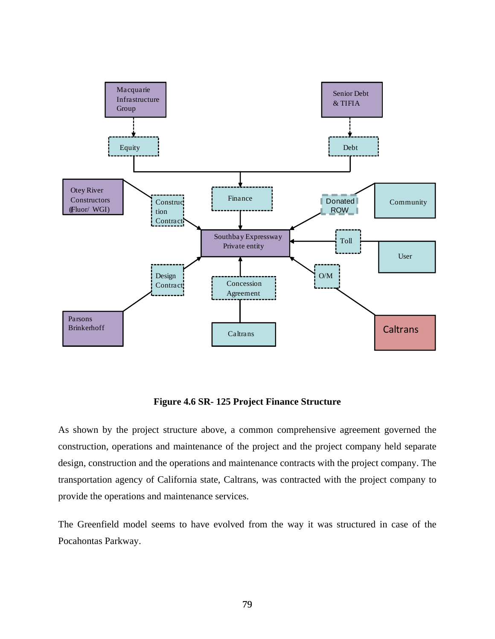

**Figure 4.6 SR- 125 Project Finance Structure** 

As shown by the project structure above, a common comprehensive agreement governed the construction, operations and maintenance of the project and the project company held separate design, construction and the operations and maintenance contracts with the project company. The transportation agency of California state, Caltrans, was contracted with the project company to provide the operations and maintenance services.

The Greenfield model seems to have evolved from the way it was structured in case of the Pocahontas Parkway.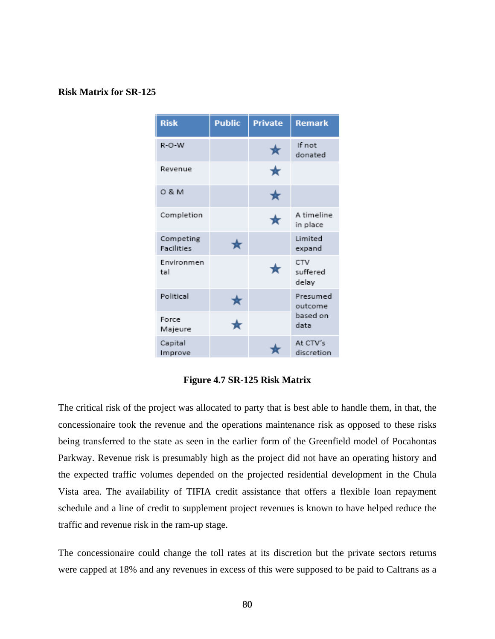#### **Risk Matrix for SR-125**

| <b>Risk</b>                    | <b>Public</b> | <b>Private</b> | <b>Remark</b>            |
|--------------------------------|---------------|----------------|--------------------------|
| R-O-W                          |               | ★              | If not<br>donated        |
| Revenue                        |               | ★              |                          |
| 0 & M                          |               | ★              |                          |
| Completion                     |               | ★              | A timeline<br>in place   |
| Competing<br><b>Facilities</b> | ★             |                | Limited<br>expand        |
| Environmen<br>tal              |               |                | CTV<br>suffered<br>delay |
| Political                      |               |                | Presumed<br>outcome      |
| Force<br>Majeure               | ★             |                | based on<br>data         |
| Capital<br>Improve             |               |                | At CTV's<br>discretion   |

**Figure 4.7 SR-125 Risk Matrix** 

The critical risk of the project was allocated to party that is best able to handle them, in that, the concessionaire took the revenue and the operations maintenance risk as opposed to these risks being transferred to the state as seen in the earlier form of the Greenfield model of Pocahontas Parkway. Revenue risk is presumably high as the project did not have an operating history and the expected traffic volumes depended on the projected residential development in the Chula Vista area. The availability of TIFIA credit assistance that offers a flexible loan repayment schedule and a line of credit to supplement project revenues is known to have helped reduce the traffic and revenue risk in the ram-up stage.

The concessionaire could change the toll rates at its discretion but the private sectors returns were capped at 18% and any revenues in excess of this were supposed to be paid to Caltrans as a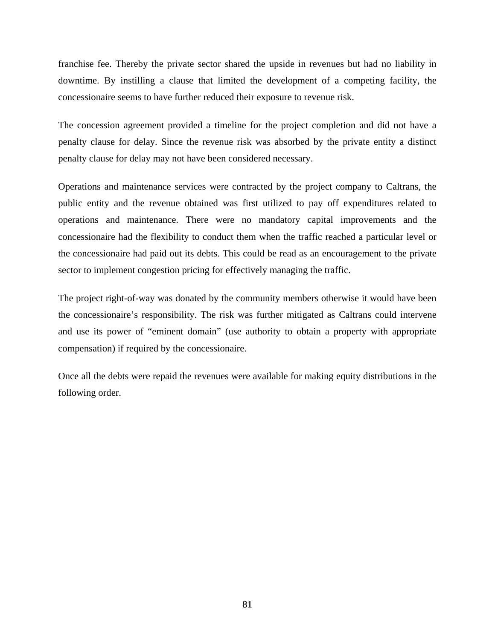franchise fee. Thereby the private sector shared the upside in revenues but had no liability in downtime. By instilling a clause that limited the development of a competing facility, the concessionaire seems to have further reduced their exposure to revenue risk.

The concession agreement provided a timeline for the project completion and did not have a penalty clause for delay. Since the revenue risk was absorbed by the private entity a distinct penalty clause for delay may not have been considered necessary.

Operations and maintenance services were contracted by the project company to Caltrans, the public entity and the revenue obtained was first utilized to pay off expenditures related to operations and maintenance. There were no mandatory capital improvements and the concessionaire had the flexibility to conduct them when the traffic reached a particular level or the concessionaire had paid out its debts. This could be read as an encouragement to the private sector to implement congestion pricing for effectively managing the traffic.

The project right-of-way was donated by the community members otherwise it would have been the concessionaire's responsibility. The risk was further mitigated as Caltrans could intervene and use its power of "eminent domain" (use authority to obtain a property with appropriate compensation) if required by the concessionaire.

Once all the debts were repaid the revenues were available for making equity distributions in the following order.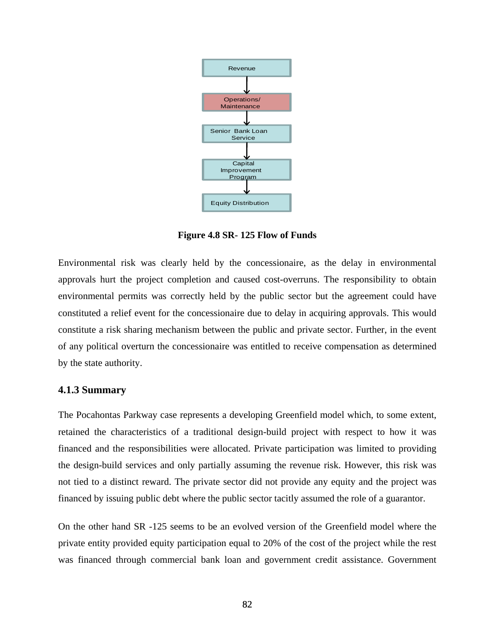

**Figure 4.8 SR- 125 Flow of Funds** 

Environmental risk was clearly held by the concessionaire, as the delay in environmental approvals hurt the project completion and caused cost-overruns. The responsibility to obtain environmental permits was correctly held by the public sector but the agreement could have constituted a relief event for the concessionaire due to delay in acquiring approvals. This would constitute a risk sharing mechanism between the public and private sector. Further, in the event of any political overturn the concessionaire was entitled to receive compensation as determined by the state authority.

# **4.1.3 Summary**

The Pocahontas Parkway case represents a developing Greenfield model which, to some extent, retained the characteristics of a traditional design-build project with respect to how it was financed and the responsibilities were allocated. Private participation was limited to providing the design-build services and only partially assuming the revenue risk. However, this risk was not tied to a distinct reward. The private sector did not provide any equity and the project was financed by issuing public debt where the public sector tacitly assumed the role of a guarantor.

On the other hand SR -125 seems to be an evolved version of the Greenfield model where the private entity provided equity participation equal to 20% of the cost of the project while the rest was financed through commercial bank loan and government credit assistance. Government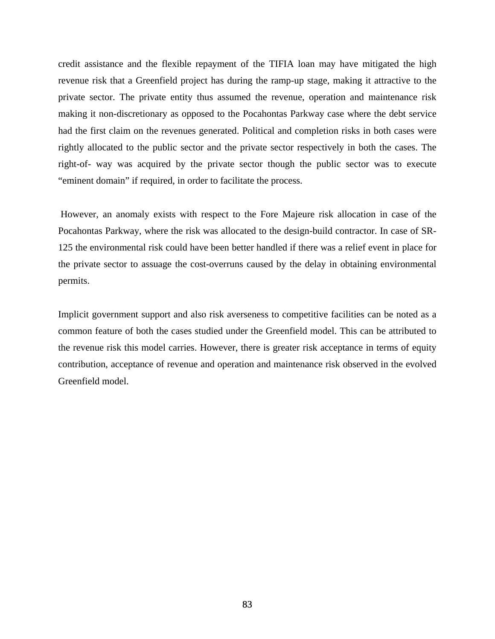credit assistance and the flexible repayment of the TIFIA loan may have mitigated the high revenue risk that a Greenfield project has during the ramp-up stage, making it attractive to the private sector. The private entity thus assumed the revenue, operation and maintenance risk making it non-discretionary as opposed to the Pocahontas Parkway case where the debt service had the first claim on the revenues generated. Political and completion risks in both cases were rightly allocated to the public sector and the private sector respectively in both the cases. The right-of- way was acquired by the private sector though the public sector was to execute "eminent domain" if required, in order to facilitate the process.

 However, an anomaly exists with respect to the Fore Majeure risk allocation in case of the Pocahontas Parkway, where the risk was allocated to the design-build contractor. In case of SR-125 the environmental risk could have been better handled if there was a relief event in place for the private sector to assuage the cost-overruns caused by the delay in obtaining environmental permits.

Implicit government support and also risk averseness to competitive facilities can be noted as a common feature of both the cases studied under the Greenfield model. This can be attributed to the revenue risk this model carries. However, there is greater risk acceptance in terms of equity contribution, acceptance of revenue and operation and maintenance risk observed in the evolved Greenfield model.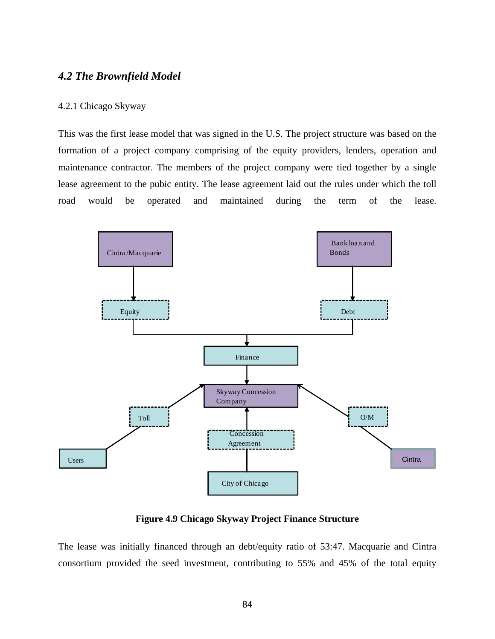# *4.2 The Brownfield Model*

#### 4.2.1 Chicago Skyway

This was the first lease model that was signed in the U.S. The project structure was based on the formation of a project company comprising of the equity providers, lenders, operation and maintenance contractor. The members of the project company were tied together by a single lease agreement to the pubic entity. The lease agreement laid out the rules under which the toll road would be operated and maintained during the term of the lease.



**Figure 4.9 Chicago Skyway Project Finance Structure** 

The lease was initially financed through an debt/equity ratio of 53:47. Macquarie and Cintra consortium provided the seed investment, contributing to 55% and 45% of the total equity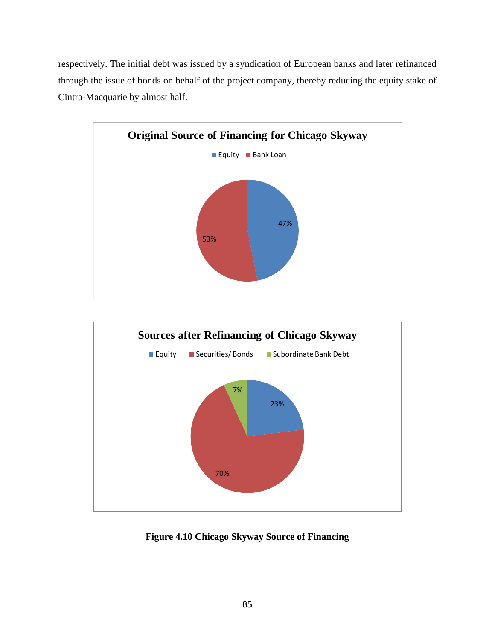respectively. The initial debt was issued by a syndication of European banks and later refinanced through the issue of bonds on behalf of the project company, thereby reducing the equity stake of Cintra-Macquarie by almost half.





**Figure 4.10 Chicago Skyway Source of Financing**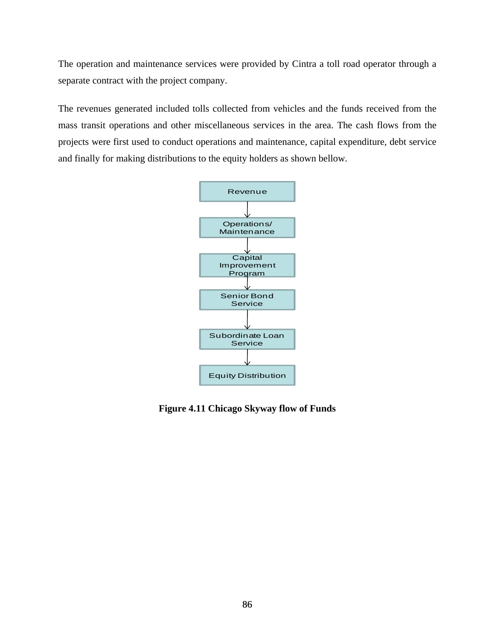The operation and maintenance services were provided by Cintra a toll road operator through a separate contract with the project company.

The revenues generated included tolls collected from vehicles and the funds received from the mass transit operations and other miscellaneous services in the area. The cash flows from the projects were first used to conduct operations and maintenance, capital expenditure, debt service and finally for making distributions to the equity holders as shown bellow.



**Figure 4.11 Chicago Skyway flow of Funds**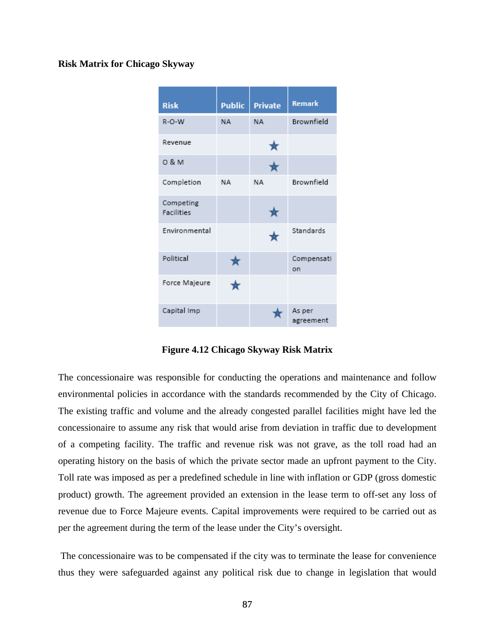#### **Risk Matrix for Chicago Skyway**



**Figure 4.12 Chicago Skyway Risk Matrix** 

The concessionaire was responsible for conducting the operations and maintenance and follow environmental policies in accordance with the standards recommended by the City of Chicago. The existing traffic and volume and the already congested parallel facilities might have led the concessionaire to assume any risk that would arise from deviation in traffic due to development of a competing facility. The traffic and revenue risk was not grave, as the toll road had an operating history on the basis of which the private sector made an upfront payment to the City. Toll rate was imposed as per a predefined schedule in line with inflation or GDP (gross domestic product) growth. The agreement provided an extension in the lease term to off-set any loss of revenue due to Force Majeure events. Capital improvements were required to be carried out as per the agreement during the term of the lease under the City's oversight.

 The concessionaire was to be compensated if the city was to terminate the lease for convenience thus they were safeguarded against any political risk due to change in legislation that would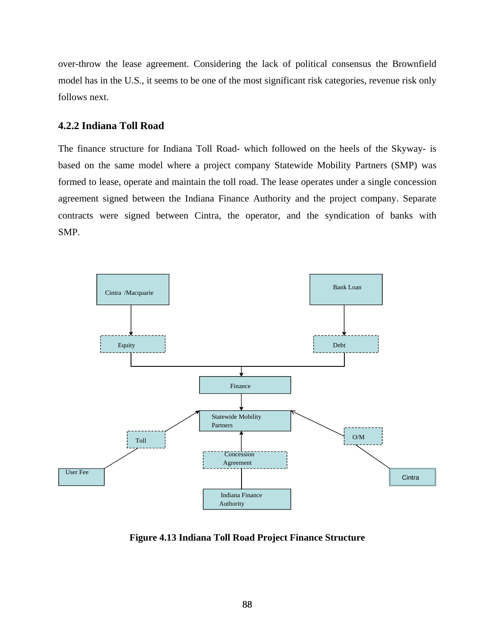over-throw the lease agreement. Considering the lack of political consensus the Brownfield model has in the U.S., it seems to be one of the most significant risk categories, revenue risk only follows next.

# **4.2.2 Indiana Toll Road**

The finance structure for Indiana Toll Road- which followed on the heels of the Skyway- is based on the same model where a project company Statewide Mobility Partners (SMP) was formed to lease, operate and maintain the toll road. The lease operates under a single concession agreement signed between the Indiana Finance Authority and the project company. Separate contracts were signed between Cintra, the operator, and the syndication of banks with SMP.



**Figure 4.13 Indiana Toll Road Project Finance Structure**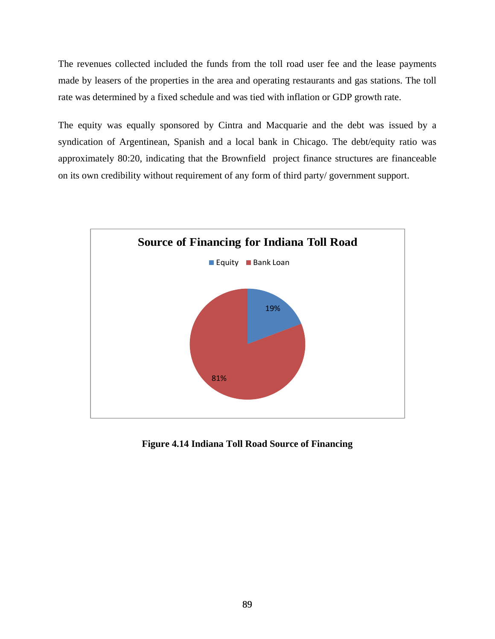The revenues collected included the funds from the toll road user fee and the lease payments made by leasers of the properties in the area and operating restaurants and gas stations. The toll rate was determined by a fixed schedule and was tied with inflation or GDP growth rate.

The equity was equally sponsored by Cintra and Macquarie and the debt was issued by a syndication of Argentinean, Spanish and a local bank in Chicago. The debt/equity ratio was approximately 80:20, indicating that the Brownfield project finance structures are financeable on its own credibility without requirement of any form of third party/ government support.



**Figure 4.14 Indiana Toll Road Source of Financing**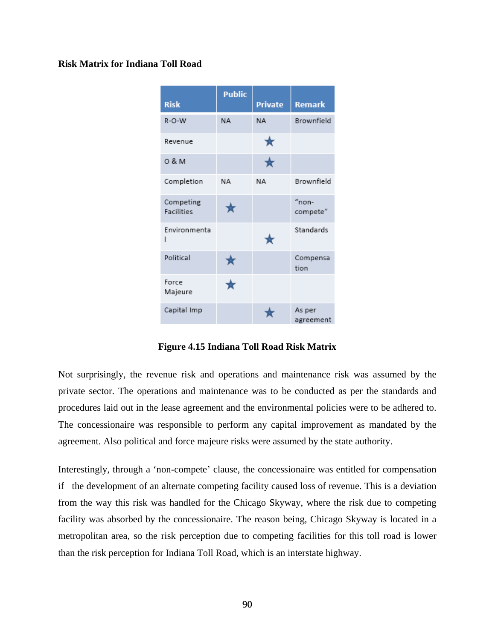#### **Risk Matrix for Indiana Toll Road**

| <b>Risk</b>                    | <b>Public</b> | <b>Private</b> | <b>Remark</b>        |
|--------------------------------|---------------|----------------|----------------------|
| $R-O-W$                        | <b>NA</b>     | <b>NA</b>      | Brownfield           |
| Revenue                        |               | ★              |                      |
| 0 & M                          |               | ★              |                      |
| Completion                     | <b>ΝΑ</b>     | NA             | Brownfield           |
| Competing<br><b>Facilities</b> |               |                | $"$ non-<br>compete" |
| Environmenta<br>ı              |               |                | Standards            |
| Political                      |               |                | Compensa<br>tion     |
| Force<br>Majeure               |               |                |                      |
| Capital Imp                    |               |                | As per<br>agreement  |

**Figure 4.15 Indiana Toll Road Risk Matrix** 

Not surprisingly, the revenue risk and operations and maintenance risk was assumed by the private sector. The operations and maintenance was to be conducted as per the standards and procedures laid out in the lease agreement and the environmental policies were to be adhered to. The concessionaire was responsible to perform any capital improvement as mandated by the agreement. Also political and force majeure risks were assumed by the state authority.

Interestingly, through a 'non-compete' clause, the concessionaire was entitled for compensation if the development of an alternate competing facility caused loss of revenue. This is a deviation from the way this risk was handled for the Chicago Skyway, where the risk due to competing facility was absorbed by the concessionaire. The reason being, Chicago Skyway is located in a metropolitan area, so the risk perception due to competing facilities for this toll road is lower than the risk perception for Indiana Toll Road, which is an interstate highway.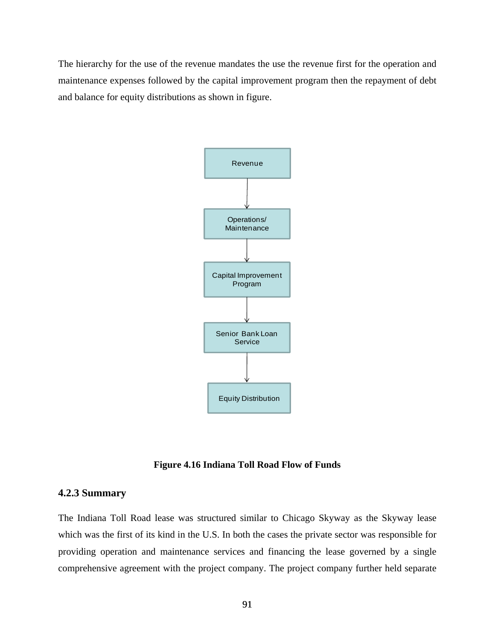The hierarchy for the use of the revenue mandates the use the revenue first for the operation and maintenance expenses followed by the capital improvement program then the repayment of debt and balance for equity distributions as shown in figure.



**Figure 4.16 Indiana Toll Road Flow of Funds** 

### **4.2.3 Summary**

The Indiana Toll Road lease was structured similar to Chicago Skyway as the Skyway lease which was the first of its kind in the U.S. In both the cases the private sector was responsible for providing operation and maintenance services and financing the lease governed by a single comprehensive agreement with the project company. The project company further held separate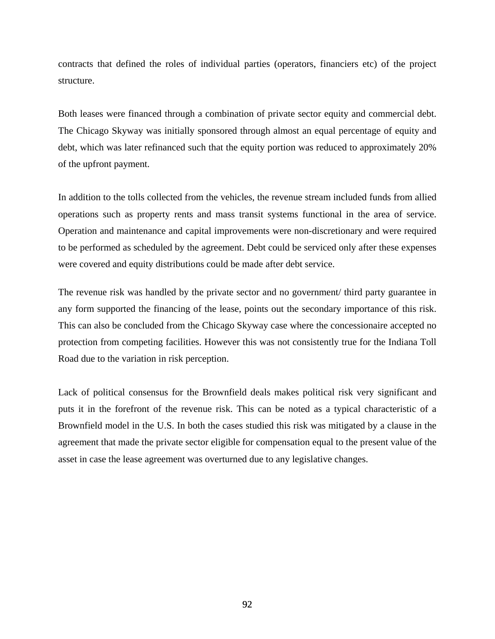contracts that defined the roles of individual parties (operators, financiers etc) of the project structure.

Both leases were financed through a combination of private sector equity and commercial debt. The Chicago Skyway was initially sponsored through almost an equal percentage of equity and debt, which was later refinanced such that the equity portion was reduced to approximately 20% of the upfront payment.

In addition to the tolls collected from the vehicles, the revenue stream included funds from allied operations such as property rents and mass transit systems functional in the area of service. Operation and maintenance and capital improvements were non-discretionary and were required to be performed as scheduled by the agreement. Debt could be serviced only after these expenses were covered and equity distributions could be made after debt service.

The revenue risk was handled by the private sector and no government/ third party guarantee in any form supported the financing of the lease, points out the secondary importance of this risk. This can also be concluded from the Chicago Skyway case where the concessionaire accepted no protection from competing facilities. However this was not consistently true for the Indiana Toll Road due to the variation in risk perception.

Lack of political consensus for the Brownfield deals makes political risk very significant and puts it in the forefront of the revenue risk. This can be noted as a typical characteristic of a Brownfield model in the U.S. In both the cases studied this risk was mitigated by a clause in the agreement that made the private sector eligible for compensation equal to the present value of the asset in case the lease agreement was overturned due to any legislative changes.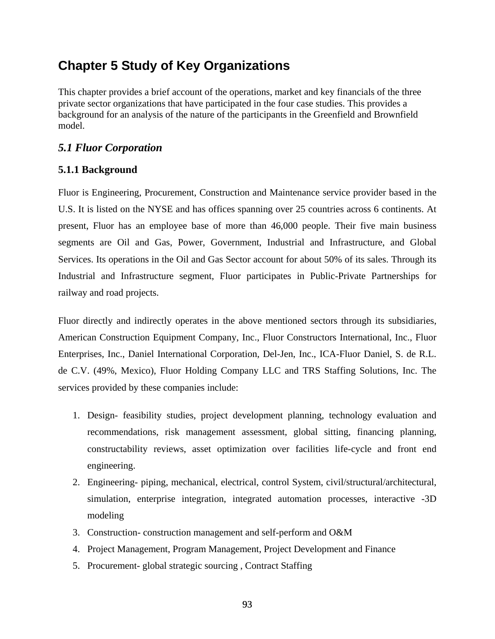# **Chapter 5 Study of Key Organizations**

This chapter provides a brief account of the operations, market and key financials of the three private sector organizations that have participated in the four case studies. This provides a background for an analysis of the nature of the participants in the Greenfield and Brownfield model.

# *5.1 Fluor Corporation*

# **5.1.1 Background**

Fluor is Engineering, Procurement, Construction and Maintenance service provider based in the U.S. It is listed on the NYSE and has offices spanning over 25 countries across 6 continents. At present, Fluor has an employee base of more than 46,000 people. Their five main business segments are Oil and Gas, Power, Government, Industrial and Infrastructure, and Global Services. Its operations in the Oil and Gas Sector account for about 50% of its sales. Through its Industrial and Infrastructure segment, Fluor participates in Public-Private Partnerships for railway and road projects.

Fluor directly and indirectly operates in the above mentioned sectors through its subsidiaries, American Construction Equipment Company, Inc., Fluor Constructors International, Inc., Fluor Enterprises, Inc., Daniel International Corporation, Del-Jen, Inc., ICA-Fluor Daniel, S. de R.L. de C.V. (49%, Mexico), Fluor Holding Company LLC and TRS Staffing Solutions, Inc. The services provided by these companies include:

- 1. Design- feasibility studies, project development planning, technology evaluation and recommendations, risk management assessment, global sitting, financing planning, constructability reviews, asset optimization over facilities life-cycle and front end engineering.
- 2. Engineering- piping, mechanical, electrical, control System, civil/structural/architectural, simulation, enterprise integration, integrated automation processes, interactive -3D modeling
- 3. Construction- construction management and self-perform and O&M
- 4. Project Management, Program Management, Project Development and Finance
- 5. Procurement- global strategic sourcing , Contract Staffing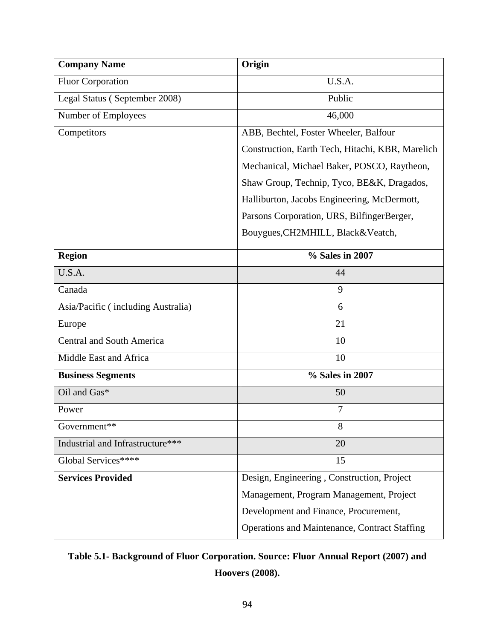| <b>Company Name</b>                | Origin                                           |  |  |  |
|------------------------------------|--------------------------------------------------|--|--|--|
| <b>Fluor Corporation</b>           | U.S.A.                                           |  |  |  |
| Legal Status (September 2008)      | Public                                           |  |  |  |
| Number of Employees                | 46,000                                           |  |  |  |
| Competitors                        | ABB, Bechtel, Foster Wheeler, Balfour            |  |  |  |
|                                    | Construction, Earth Tech, Hitachi, KBR, Marelich |  |  |  |
|                                    | Mechanical, Michael Baker, POSCO, Raytheon,      |  |  |  |
|                                    | Shaw Group, Technip, Tyco, BE&K, Dragados,       |  |  |  |
|                                    | Halliburton, Jacobs Engineering, McDermott,      |  |  |  |
|                                    | Parsons Corporation, URS, BilfingerBerger,       |  |  |  |
|                                    | Bouygues, CH2MHILL, Black&Veatch,                |  |  |  |
| <b>Region</b>                      | % Sales in 2007                                  |  |  |  |
| U.S.A.                             | 44                                               |  |  |  |
| Canada                             | 9                                                |  |  |  |
| Asia/Pacific (including Australia) | 6                                                |  |  |  |
| Europe                             | 21                                               |  |  |  |
| <b>Central and South America</b>   | 10                                               |  |  |  |
| Middle East and Africa             | 10                                               |  |  |  |
| <b>Business Segments</b>           | % Sales in 2007                                  |  |  |  |
| Oil and Gas*                       | 50                                               |  |  |  |
| Power                              | $\tau$                                           |  |  |  |
| Government**                       | 8                                                |  |  |  |
| Industrial and Infrastructure***   | 20                                               |  |  |  |
| Global Services****                | 15                                               |  |  |  |
| <b>Services Provided</b>           | Design, Engineering, Construction, Project       |  |  |  |
|                                    | Management, Program Management, Project          |  |  |  |
|                                    | Development and Finance, Procurement,            |  |  |  |
|                                    | Operations and Maintenance, Contract Staffing    |  |  |  |

# **Table 5.1- Background of Fluor Corporation. Source: Fluor Annual Report (2007) and Hoovers (2008).**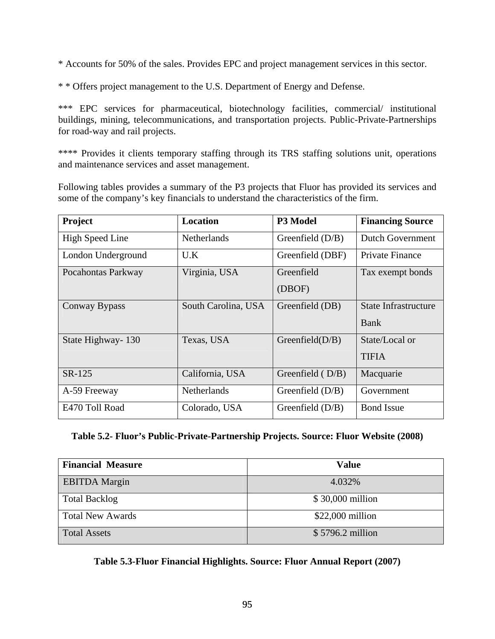\* Accounts for 50% of the sales. Provides EPC and project management services in this sector.

\* \* Offers project management to the U.S. Department of Energy and Defense.

\*\*\* EPC services for pharmaceutical, biotechnology facilities, commercial/ institutional buildings, mining, telecommunications, and transportation projects. Public-Private-Partnerships for road-way and rail projects.

\*\*\*\* Provides it clients temporary staffing through its TRS staffing solutions unit, operations and maintenance services and asset management.

Following tables provides a summary of the P3 projects that Fluor has provided its services and some of the company's key financials to understand the characteristics of the firm.

| Project                | <b>Location</b>     | P3 Model           | <b>Financing Source</b> |
|------------------------|---------------------|--------------------|-------------------------|
| <b>High Speed Line</b> | <b>Netherlands</b>  | Greenfield $(D/B)$ | <b>Dutch Government</b> |
| London Underground     | U.K                 | Greenfield (DBF)   | Private Finance         |
| Pocahontas Parkway     | Virginia, USA       | Greenfield         | Tax exempt bonds        |
|                        |                     | (DBOF)             |                         |
| Conway Bypass          | South Carolina, USA | Greenfield (DB)    | State Infrastructure    |
|                        |                     |                    | Bank                    |
| State Highway - 130    | Texas, USA          | Greenfield $(D/B)$ | State/Local or          |
|                        |                     |                    | <b>TIFIA</b>            |
| SR-125                 | California, USA     | Greenfield $(D/B)$ | Macquarie               |
| A-59 Freeway           | <b>Netherlands</b>  | Greenfield $(D/B)$ | Government              |
| E470 Toll Road         | Colorado, USA       | Greenfield $(D/B)$ | <b>Bond Issue</b>       |

# **Table 5.2- Fluor's Public-Private-Partnership Projects. Source: Fluor Website (2008)**

| <b>Financial Measure</b> | <b>Value</b>      |
|--------------------------|-------------------|
| <b>EBITDA Margin</b>     | 4.032%            |
| <b>Total Backlog</b>     | \$30,000 million  |
| <b>Total New Awards</b>  | $$22,000$ million |
| <b>Total Assets</b>      | $$5796.2$ million |

**Table 5.3-Fluor Financial Highlights. Source: Fluor Annual Report (2007)**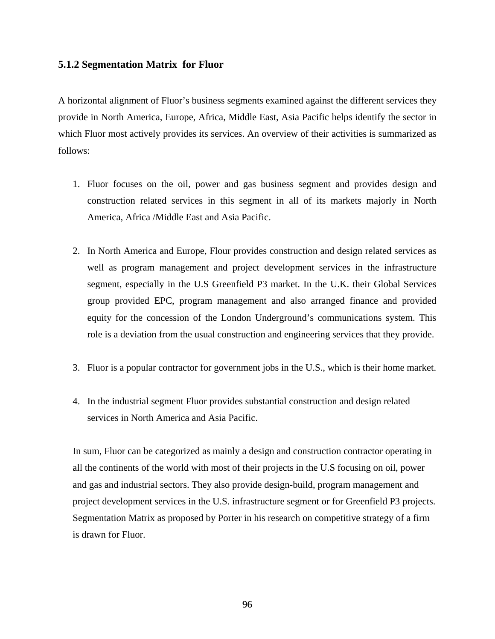## **5.1.2 Segmentation Matrix for Fluor**

A horizontal alignment of Fluor's business segments examined against the different services they provide in North America, Europe, Africa, Middle East, Asia Pacific helps identify the sector in which Fluor most actively provides its services. An overview of their activities is summarized as follows:

- 1. Fluor focuses on the oil, power and gas business segment and provides design and construction related services in this segment in all of its markets majorly in North America, Africa /Middle East and Asia Pacific.
- 2. In North America and Europe, Flour provides construction and design related services as well as program management and project development services in the infrastructure segment, especially in the U.S Greenfield P3 market. In the U.K. their Global Services group provided EPC, program management and also arranged finance and provided equity for the concession of the London Underground's communications system. This role is a deviation from the usual construction and engineering services that they provide.
- 3. Fluor is a popular contractor for government jobs in the U.S., which is their home market.
- 4. In the industrial segment Fluor provides substantial construction and design related services in North America and Asia Pacific.

In sum, Fluor can be categorized as mainly a design and construction contractor operating in all the continents of the world with most of their projects in the U.S focusing on oil, power and gas and industrial sectors. They also provide design-build, program management and project development services in the U.S. infrastructure segment or for Greenfield P3 projects. Segmentation Matrix as proposed by Porter in his research on competitive strategy of a firm is drawn for Fluor.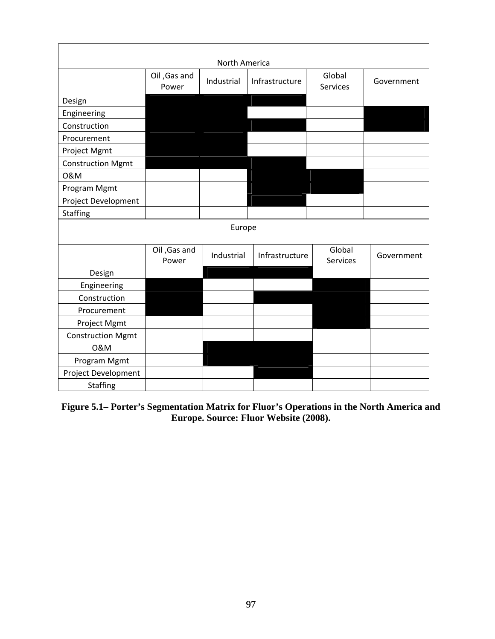| North America            |                       |            |                |                    |            |
|--------------------------|-----------------------|------------|----------------|--------------------|------------|
|                          | Oil, Gas and<br>Power | Industrial | Infrastructure | Global<br>Services | Government |
| Design                   |                       |            |                |                    |            |
| Engineering              |                       |            |                |                    |            |
| Construction             |                       |            |                |                    |            |
| Procurement              |                       |            |                |                    |            |
| Project Mgmt             |                       |            |                |                    |            |
| <b>Construction Mgmt</b> |                       |            |                |                    |            |
| 0&M                      |                       |            |                |                    |            |
| Program Mgmt             |                       |            |                |                    |            |
| Project Development      |                       |            |                |                    |            |
| <b>Staffing</b>          |                       |            |                |                    |            |
|                          |                       | Europe     |                |                    |            |
|                          | Oil, Gas and<br>Power | Industrial | Infrastructure | Global<br>Services | Government |
| Design                   |                       |            |                |                    |            |
| Engineering              |                       |            |                |                    |            |
| Construction             |                       |            |                |                    |            |
| Procurement              |                       |            |                |                    |            |
| Project Mgmt             |                       |            |                |                    |            |
| <b>Construction Mgmt</b> |                       |            |                |                    |            |
| 0&M                      |                       |            |                |                    |            |
| Program Mgmt             |                       |            |                |                    |            |
| Project Development      |                       |            |                |                    |            |
| <b>Staffing</b>          |                       |            |                |                    |            |

**Figure 5.1– Porter's Segmentation Matrix for Fluor's Operations in the North America and Europe. Source: Fluor Website (2008).**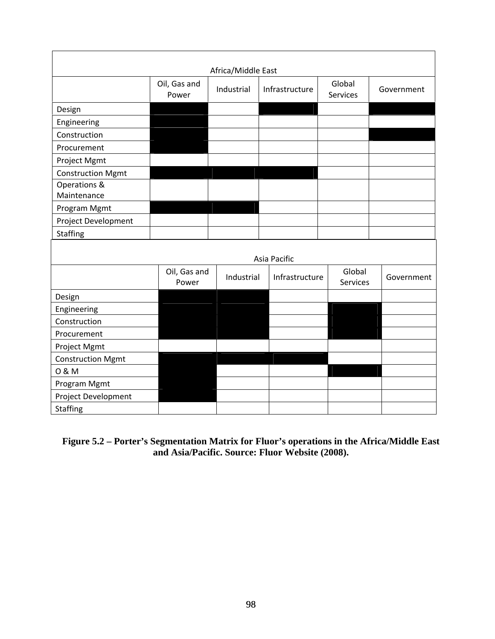| Africa/Middle East       |                       |            |                |                    |            |  |
|--------------------------|-----------------------|------------|----------------|--------------------|------------|--|
|                          | Oil, Gas and<br>Power | Industrial | Infrastructure | Global<br>Services | Government |  |
| Design                   |                       |            |                |                    |            |  |
| Engineering              |                       |            |                |                    |            |  |
| Construction             |                       |            |                |                    |            |  |
| Procurement              |                       |            |                |                    |            |  |
| Project Mgmt             |                       |            |                |                    |            |  |
| <b>Construction Mgmt</b> |                       |            |                |                    |            |  |
| Operations &             |                       |            |                |                    |            |  |
| Maintenance              |                       |            |                |                    |            |  |
| Program Mgmt             |                       |            |                |                    |            |  |
| Project Development      |                       |            |                |                    |            |  |
| <b>Staffing</b>          |                       |            |                |                    |            |  |
|                          |                       |            | Asia Pacific   |                    |            |  |
|                          | Oil, Gas and<br>Power | Industrial | Infrastructure | Global<br>Services | Government |  |
| Design                   |                       |            |                |                    |            |  |
| Engineering              |                       |            |                |                    |            |  |
| Construction             |                       |            |                |                    |            |  |
| Procurement              |                       |            |                |                    |            |  |
| Project Mgmt             |                       |            |                |                    |            |  |
| <b>Construction Mgmt</b> |                       |            |                |                    |            |  |
| 0 & M                    |                       |            |                |                    |            |  |
| Program Mgmt             |                       |            |                |                    |            |  |
| Project Development      |                       |            |                |                    |            |  |
| <b>Staffing</b>          |                       |            |                |                    |            |  |

# **Figure 5.2 – Porter's Segmentation Matrix for Fluor's operations in the Africa/Middle East and Asia/Pacific. Source: Fluor Website (2008).**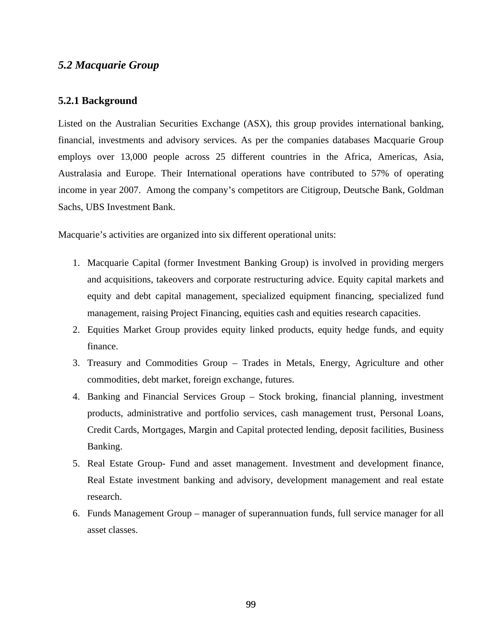# *5.2 Macquarie Group*

### **5.2.1 Background**

Listed on the Australian Securities Exchange (ASX), this group provides international banking, financial, investments and advisory services. As per the companies databases Macquarie Group employs over 13,000 people across 25 different countries in the Africa, Americas, Asia, Australasia and Europe. Their International operations have contributed to 57% of operating income in year 2007. Among the company's competitors are Citigroup, Deutsche Bank, Goldman Sachs, UBS Investment Bank.

Macquarie's activities are organized into six different operational units:

- 1. Macquarie Capital (former Investment Banking Group) is involved in providing mergers and acquisitions, takeovers and corporate restructuring advice. Equity capital markets and equity and debt capital management, specialized equipment financing, specialized fund management, raising Project Financing, equities cash and equities research capacities.
- 2. Equities Market Group provides equity linked products, equity hedge funds, and equity finance.
- 3. Treasury and Commodities Group Trades in Metals, Energy, Agriculture and other commodities, debt market, foreign exchange, futures.
- 4. Banking and Financial Services Group Stock broking, financial planning, investment products, administrative and portfolio services, cash management trust, Personal Loans, Credit Cards, Mortgages, Margin and Capital protected lending, deposit facilities, Business Banking.
- 5. Real Estate Group- Fund and asset management. Investment and development finance, Real Estate investment banking and advisory, development management and real estate research.
- 6. Funds Management Group manager of superannuation funds, full service manager for all asset classes.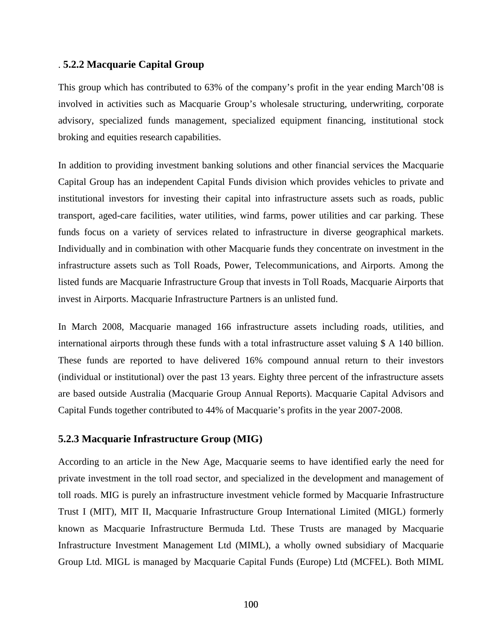#### . **5.2.2 Macquarie Capital Group**

This group which has contributed to 63% of the company's profit in the year ending March'08 is involved in activities such as Macquarie Group's wholesale structuring, underwriting, corporate advisory, specialized funds management, specialized equipment financing, institutional stock broking and equities research capabilities.

In addition to providing investment banking solutions and other financial services the Macquarie Capital Group has an independent Capital Funds division which provides vehicles to private and institutional investors for investing their capital into infrastructure assets such as roads, public transport, aged-care facilities, water utilities, wind farms, power utilities and car parking. These funds focus on a variety of services related to infrastructure in diverse geographical markets. Individually and in combination with other Macquarie funds they concentrate on investment in the infrastructure assets such as Toll Roads, Power, Telecommunications, and Airports. Among the listed funds are Macquarie Infrastructure Group that invests in Toll Roads, Macquarie Airports that invest in Airports. Macquarie Infrastructure Partners is an unlisted fund.

In March 2008, Macquarie managed 166 infrastructure assets including roads, utilities, and international airports through these funds with a total infrastructure asset valuing \$ A 140 billion. These funds are reported to have delivered 16% compound annual return to their investors (individual or institutional) over the past 13 years. Eighty three percent of the infrastructure assets are based outside Australia (Macquarie Group Annual Reports). Macquarie Capital Advisors and Capital Funds together contributed to 44% of Macquarie's profits in the year 2007-2008.

# **5.2.3 Macquarie Infrastructure Group (MIG)**

According to an article in the New Age, Macquarie seems to have identified early the need for private investment in the toll road sector, and specialized in the development and management of toll roads. MIG is purely an infrastructure investment vehicle formed by Macquarie Infrastructure Trust I (MIT), MIT II, Macquarie Infrastructure Group International Limited (MIGL) formerly known as Macquarie Infrastructure Bermuda Ltd. These Trusts are managed by Macquarie Infrastructure Investment Management Ltd (MIML), a wholly owned subsidiary of Macquarie Group Ltd. MIGL is managed by Macquarie Capital Funds (Europe) Ltd (MCFEL). Both MIML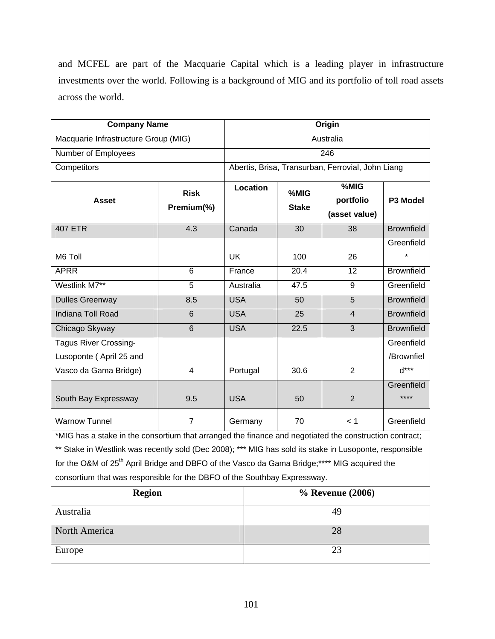and MCFEL are part of the Macquarie Capital which is a leading player in infrastructure investments over the world. Following is a background of MIG and its portfolio of toll road assets across the world.

| <b>Company Name</b>                                                                                     |                | Origin                                            |      |                                    |                   |  |
|---------------------------------------------------------------------------------------------------------|----------------|---------------------------------------------------|------|------------------------------------|-------------------|--|
| Macquarie Infrastructure Group (MIG)                                                                    |                | Australia                                         |      |                                    |                   |  |
| Number of Employees                                                                                     |                | 246                                               |      |                                    |                   |  |
| Competitors                                                                                             |                | Abertis, Brisa, Transurban, Ferrovial, John Liang |      |                                    |                   |  |
| <b>Risk</b><br><b>Asset</b><br>Premium(%)                                                               |                | Location<br>%MIG<br><b>Stake</b>                  |      | %MIG<br>portfolio<br>(asset value) | P3 Model          |  |
| <b>407 ETR</b>                                                                                          | 4.3            | Canada                                            | 30   | 38                                 | <b>Brownfield</b> |  |
|                                                                                                         |                |                                                   |      |                                    | Greenfield        |  |
| M6 Toll                                                                                                 |                | <b>UK</b>                                         | 100  | 26                                 |                   |  |
| <b>APRR</b>                                                                                             | 6              | France                                            | 20.4 | 12                                 | <b>Brownfield</b> |  |
| Westlink M7**                                                                                           | 5              | Australia                                         | 47.5 | 9                                  | Greenfield        |  |
| <b>Dulles Greenway</b>                                                                                  | 8.5            | <b>USA</b>                                        | 50   | $\overline{5}$                     | <b>Brownfield</b> |  |
| <b>Indiana Toll Road</b>                                                                                | 6              | <b>USA</b>                                        | 25   | $\overline{4}$                     | <b>Brownfield</b> |  |
| Chicago Skyway                                                                                          | 6              | <b>USA</b>                                        | 22.5 | 3                                  | <b>Brownfield</b> |  |
| <b>Tagus River Crossing-</b>                                                                            |                |                                                   |      |                                    | Greenfield        |  |
| Lusoponte (April 25 and                                                                                 |                |                                                   |      |                                    | /Brownfiel        |  |
| Vasco da Gama Bridge)                                                                                   | 4              | Portugal                                          | 30.6 | $\overline{2}$                     | $A***$            |  |
|                                                                                                         |                |                                                   |      |                                    | Greenfield        |  |
| South Bay Expressway                                                                                    | 9.5            | <b>USA</b>                                        | 50   | $\overline{2}$                     | ****              |  |
| <b>Warnow Tunnel</b>                                                                                    | $\overline{7}$ | Germany                                           | 70   | < 1                                | Greenfield        |  |
| *MIG has a stake in the consortium that arranged the finance and negotiated the construction contract;  |                |                                                   |      |                                    |                   |  |
| ** Stake in Westlink was recently sold (Dec 2008): *** MIG has sold its stake in Lusoponte, responsible |                |                                                   |      |                                    |                   |  |

\*\* Stake in Westlink was recently sold (Dec 2008); \*\*\* MIG has sold its stake in Lusoponte, responsible for the O&M of 25<sup>th</sup> April Bridge and DBFO of the Vasco da Gama Bridge;\*\*\*\* MIG acquired the consortium that was responsible for the DBFO of the Southbay Expressway.

| <b>Region</b> | % Revenue (2006) |
|---------------|------------------|
| Australia     | 49               |
| North America | 28               |
| Europe        | 23               |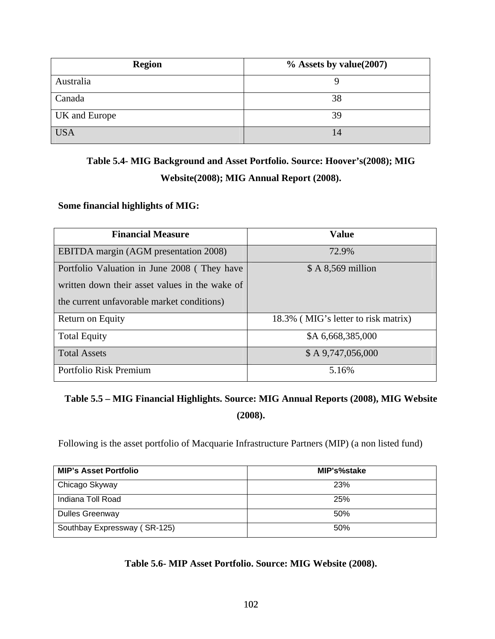| <b>Region</b> | $\%$ Assets by value(2007) |
|---------------|----------------------------|
| Australia     |                            |
| Canada        | 38                         |
| UK and Europe | 39                         |
| <b>USA</b>    | 14                         |

## **Table 5.4- MIG Background and Asset Portfolio. Source: Hoover's(2008); MIG Website(2008); MIG Annual Report (2008).**

### **Some financial highlights of MIG:**

| <b>Financial Measure</b>                       | <b>Value</b>                        |
|------------------------------------------------|-------------------------------------|
| <b>EBITDA</b> margin (AGM presentation 2008)   | 72.9%                               |
| Portfolio Valuation in June 2008 (They have    | $$A 8,569$ million                  |
| written down their asset values in the wake of |                                     |
| the current unfavorable market conditions)     |                                     |
| Return on Equity                               | 18.3% (MIG's letter to risk matrix) |
| <b>Total Equity</b>                            | \$A 6,668,385,000                   |
| <b>Total Assets</b>                            | $$A\,9,747,056,000$                 |
| Portfolio Risk Premium                         | 5.16%                               |

## **Table 5.5 – MIG Financial Highlights. Source: MIG Annual Reports (2008), MIG Website (2008).**

Following is the asset portfolio of Macquarie Infrastructure Partners (MIP) (a non listed fund)

| <b>MIP's Asset Portfolio</b> | MIP's%stake |
|------------------------------|-------------|
| Chicago Skyway               | <b>23%</b>  |
| Indiana Toll Road            | 25%         |
| <b>Dulles Greenway</b>       | 50%         |
| Southbay Expressway (SR-125) | 50%         |

**Table 5.6- MIP Asset Portfolio. Source: MIG Website (2008).**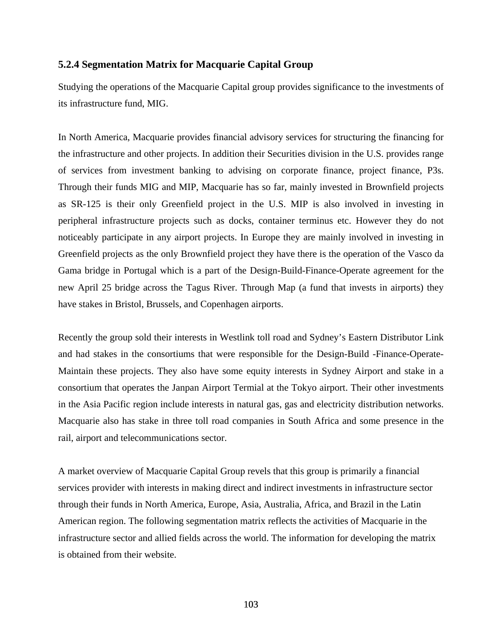#### **5.2.4 Segmentation Matrix for Macquarie Capital Group**

Studying the operations of the Macquarie Capital group provides significance to the investments of its infrastructure fund, MIG.

In North America, Macquarie provides financial advisory services for structuring the financing for the infrastructure and other projects. In addition their Securities division in the U.S. provides range of services from investment banking to advising on corporate finance, project finance, P3s. Through their funds MIG and MIP, Macquarie has so far, mainly invested in Brownfield projects as SR-125 is their only Greenfield project in the U.S. MIP is also involved in investing in peripheral infrastructure projects such as docks, container terminus etc. However they do not noticeably participate in any airport projects. In Europe they are mainly involved in investing in Greenfield projects as the only Brownfield project they have there is the operation of the Vasco da Gama bridge in Portugal which is a part of the Design-Build-Finance-Operate agreement for the new April 25 bridge across the Tagus River. Through Map (a fund that invests in airports) they have stakes in Bristol, Brussels, and Copenhagen airports.

Recently the group sold their interests in Westlink toll road and Sydney's Eastern Distributor Link and had stakes in the consortiums that were responsible for the Design-Build -Finance-Operate-Maintain these projects. They also have some equity interests in Sydney Airport and stake in a consortium that operates the Janpan Airport Termial at the Tokyo airport. Their other investments in the Asia Pacific region include interests in natural gas, gas and electricity distribution networks. Macquarie also has stake in three toll road companies in South Africa and some presence in the rail, airport and telecommunications sector.

A market overview of Macquarie Capital Group revels that this group is primarily a financial services provider with interests in making direct and indirect investments in infrastructure sector through their funds in North America, Europe, Asia, Australia, Africa, and Brazil in the Latin American region. The following segmentation matrix reflects the activities of Macquarie in the infrastructure sector and allied fields across the world. The information for developing the matrix is obtained from their website.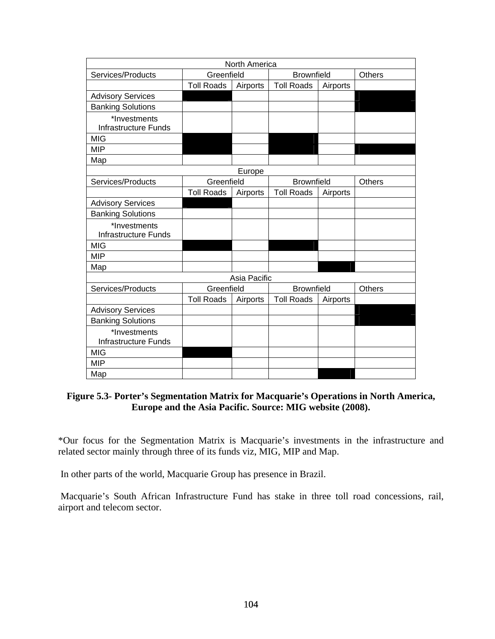| North America                               |                   |              |                   |          |               |  |  |
|---------------------------------------------|-------------------|--------------|-------------------|----------|---------------|--|--|
| Services/Products                           | Greenfield        |              | <b>Brownfield</b> |          | <b>Others</b> |  |  |
|                                             | <b>Toll Roads</b> | Airports     | <b>Toll Roads</b> | Airports |               |  |  |
| <b>Advisory Services</b>                    |                   |              |                   |          |               |  |  |
| <b>Banking Solutions</b>                    |                   |              |                   |          |               |  |  |
| *Investments                                |                   |              |                   |          |               |  |  |
| <b>Infrastructure Funds</b>                 |                   |              |                   |          |               |  |  |
| <b>MIG</b>                                  |                   |              |                   |          |               |  |  |
| <b>MIP</b>                                  |                   |              |                   |          |               |  |  |
| Map                                         |                   |              |                   |          |               |  |  |
|                                             |                   | Europe       |                   |          |               |  |  |
| Services/Products                           | Greenfield        |              | <b>Brownfield</b> |          | <b>Others</b> |  |  |
|                                             | <b>Toll Roads</b> | Airports     | <b>Toll Roads</b> | Airports |               |  |  |
| <b>Advisory Services</b>                    |                   |              |                   |          |               |  |  |
| <b>Banking Solutions</b>                    |                   |              |                   |          |               |  |  |
| *Investments<br><b>Infrastructure Funds</b> |                   |              |                   |          |               |  |  |
| <b>MIG</b>                                  |                   |              |                   |          |               |  |  |
| <b>MIP</b>                                  |                   |              |                   |          |               |  |  |
| Map                                         |                   |              |                   |          |               |  |  |
|                                             |                   | Asia Pacific |                   |          |               |  |  |
| Services/Products                           | Greenfield        |              | <b>Brownfield</b> |          | <b>Others</b> |  |  |
|                                             | <b>Toll Roads</b> | Airports     | <b>Toll Roads</b> | Airports |               |  |  |
| <b>Advisory Services</b>                    |                   |              |                   |          |               |  |  |
| <b>Banking Solutions</b>                    |                   |              |                   |          |               |  |  |
| *Investments<br><b>Infrastructure Funds</b> |                   |              |                   |          |               |  |  |
| <b>MIG</b>                                  |                   |              |                   |          |               |  |  |
| <b>MIP</b>                                  |                   |              |                   |          |               |  |  |
| Map                                         |                   |              |                   |          |               |  |  |

### **Figure 5.3- Porter's Segmentation Matrix for Macquarie's Operations in North America, Europe and the Asia Pacific. Source: MIG website (2008).**

\*Our focus for the Segmentation Matrix is Macquarie's investments in the infrastructure and related sector mainly through three of its funds viz, MIG, MIP and Map.

In other parts of the world, Macquarie Group has presence in Brazil.

 Macquarie's South African Infrastructure Fund has stake in three toll road concessions, rail, airport and telecom sector.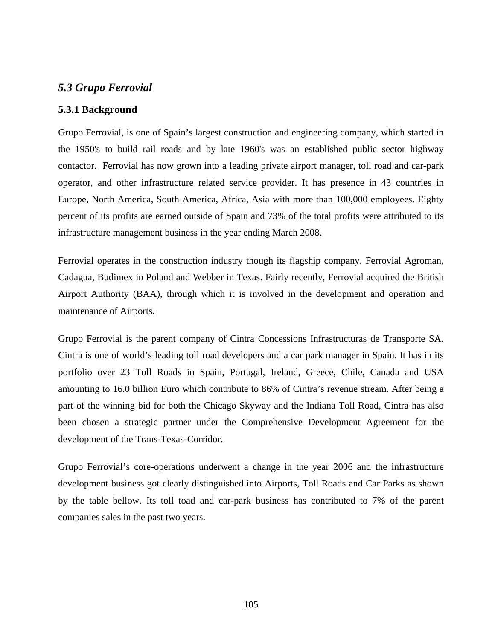### *5.3 Grupo Ferrovial*

### **5.3.1 Background**

Grupo Ferrovial, is one of Spain's largest construction and engineering company, which started in the 1950's to build rail roads and by late 1960's was an established public sector highway contactor. Ferrovial has now grown into a leading private airport manager, toll road and car-park operator, and other infrastructure related service provider. It has presence in 43 countries in Europe, North America, South America, Africa, Asia with more than 100,000 employees. Eighty percent of its profits are earned outside of Spain and 73% of the total profits were attributed to its infrastructure management business in the year ending March 2008.

Ferrovial operates in the construction industry though its flagship company, Ferrovial Agroman, Cadagua, Budimex in Poland and Webber in Texas. Fairly recently, Ferrovial acquired the British Airport Authority (BAA), through which it is involved in the development and operation and maintenance of Airports.

Grupo Ferrovial is the parent company of Cintra Concessions Infrastructuras de Transporte SA. Cintra is one of world's leading toll road developers and a car park manager in Spain. It has in its portfolio over 23 Toll Roads in Spain, Portugal, Ireland, Greece, Chile, Canada and USA amounting to 16.0 billion Euro which contribute to 86% of Cintra's revenue stream. After being a part of the winning bid for both the Chicago Skyway and the Indiana Toll Road, Cintra has also been chosen a strategic partner under the Comprehensive Development Agreement for the development of the Trans-Texas-Corridor.

Grupo Ferrovial's core-operations underwent a change in the year 2006 and the infrastructure development business got clearly distinguished into Airports, Toll Roads and Car Parks as shown by the table bellow. Its toll toad and car-park business has contributed to 7% of the parent companies sales in the past two years.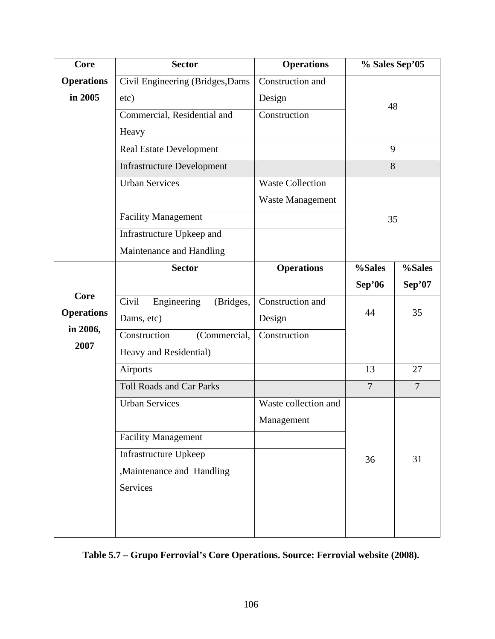| 48             |  |
|----------------|--|
|                |  |
|                |  |
|                |  |
| 8              |  |
|                |  |
|                |  |
| 35             |  |
|                |  |
|                |  |
| %Sales         |  |
| Sep'07         |  |
|                |  |
| 35             |  |
|                |  |
|                |  |
| 27             |  |
| $\overline{7}$ |  |
|                |  |
|                |  |
|                |  |
| 31             |  |
|                |  |
|                |  |
|                |  |
|                |  |
|                |  |

# **Table 5.7 – Grupo Ferrovial's Core Operations. Source: Ferrovial website (2008).**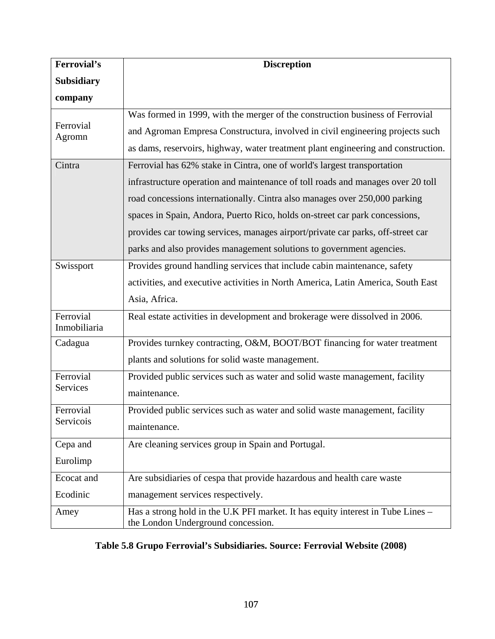| <b>Ferrovial's</b>        | <b>Discreption</b>                                                                                                                                                                                                                                                                                                                                                                                                                                                                  |
|---------------------------|-------------------------------------------------------------------------------------------------------------------------------------------------------------------------------------------------------------------------------------------------------------------------------------------------------------------------------------------------------------------------------------------------------------------------------------------------------------------------------------|
| <b>Subsidiary</b>         |                                                                                                                                                                                                                                                                                                                                                                                                                                                                                     |
| company                   |                                                                                                                                                                                                                                                                                                                                                                                                                                                                                     |
| Ferrovial<br>Agromn       | Was formed in 1999, with the merger of the construction business of Ferrovial<br>and Agroman Empresa Constructura, involved in civil engineering projects such<br>as dams, reservoirs, highway, water treatment plant engineering and construction.                                                                                                                                                                                                                                 |
| Cintra                    | Ferrovial has 62% stake in Cintra, one of world's largest transportation<br>infrastructure operation and maintenance of toll roads and manages over 20 toll<br>road concessions internationally. Cintra also manages over 250,000 parking<br>spaces in Spain, Andora, Puerto Rico, holds on-street car park concessions,<br>provides car towing services, manages airport/private car parks, off-street car<br>parks and also provides management solutions to government agencies. |
| Swissport                 | Provides ground handling services that include cabin maintenance, safety<br>activities, and executive activities in North America, Latin America, South East<br>Asia, Africa.                                                                                                                                                                                                                                                                                                       |
| Ferrovial<br>Inmobiliaria | Real estate activities in development and brokerage were dissolved in 2006.                                                                                                                                                                                                                                                                                                                                                                                                         |
| Cadagua                   | Provides turnkey contracting, O&M, BOOT/BOT financing for water treatment<br>plants and solutions for solid waste management.                                                                                                                                                                                                                                                                                                                                                       |
| Ferrovial<br>Services     | Provided public services such as water and solid waste management, facility<br>maintenance.                                                                                                                                                                                                                                                                                                                                                                                         |
| Ferrovial<br>Servicois    | Provided public services such as water and solid waste management, facility<br>maintenance.                                                                                                                                                                                                                                                                                                                                                                                         |
| Cepa and<br>Eurolimp      | Are cleaning services group in Spain and Portugal.                                                                                                                                                                                                                                                                                                                                                                                                                                  |
| Ecocat and<br>Ecodinic    | Are subsidiaries of cespa that provide hazardous and health care waste<br>management services respectively.                                                                                                                                                                                                                                                                                                                                                                         |
| Amey                      | Has a strong hold in the U.K PFI market. It has equity interest in Tube Lines –<br>the London Underground concession.                                                                                                                                                                                                                                                                                                                                                               |

## **Table 5.8 Grupo Ferrovial's Subsidiaries. Source: Ferrovial Website (2008)**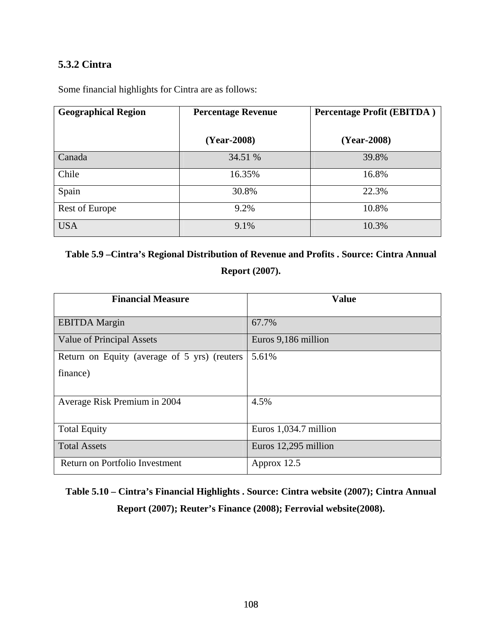## **5.3.2 Cintra**

| <b>Geographical Region</b> | <b>Percentage Revenue</b> | <b>Percentage Profit (EBITDA)</b> |  |  |
|----------------------------|---------------------------|-----------------------------------|--|--|
|                            | (Year-2008)               | (Year-2008)                       |  |  |
| Canada                     | 34.51 %                   | 39.8%                             |  |  |
| Chile                      | 16.35%                    | 16.8%                             |  |  |
| Spain                      | 30.8%                     | 22.3%                             |  |  |
| Rest of Europe             | 9.2%                      | 10.8%                             |  |  |
| <b>USA</b>                 | 9.1%                      | 10.3%                             |  |  |

Some financial highlights for Cintra are as follows:

**Table 5.9 –Cintra's Regional Distribution of Revenue and Profits . Source: Cintra Annual Report (2007).** 

| <b>Financial Measure</b>                     | <b>Value</b>          |
|----------------------------------------------|-----------------------|
| <b>EBITDA</b> Margin                         | 67.7%                 |
| Value of Principal Assets                    | Euros 9,186 million   |
| Return on Equity (average of 5 yrs) (reuters | 5.61%                 |
| finance)                                     |                       |
| Average Risk Premium in 2004                 | 4.5%                  |
| <b>Total Equity</b>                          | Euros 1,034.7 million |
| <b>Total Assets</b>                          | Euros 12,295 million  |
| Return on Portfolio Investment               | Approx $12.5$         |

**Table 5.10 – Cintra's Financial Highlights . Source: Cintra website (2007); Cintra Annual Report (2007); Reuter's Finance (2008); Ferrovial website(2008).**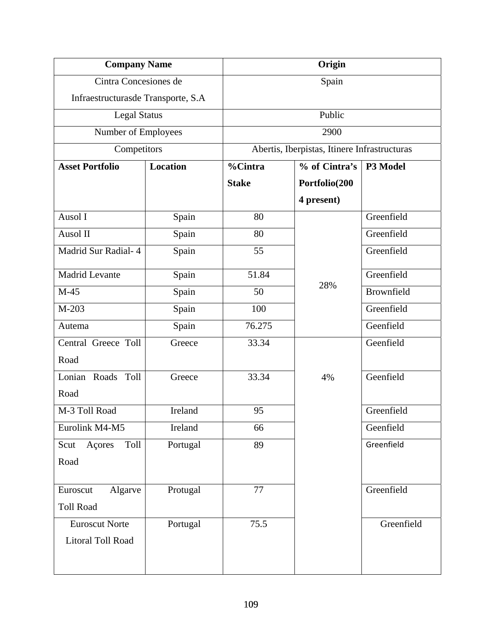| <b>Company Name</b>                |          | Origin       |                                              |            |  |  |
|------------------------------------|----------|--------------|----------------------------------------------|------------|--|--|
| Cintra Concesiones de              |          |              | Spain                                        |            |  |  |
| Infraestructurasde Transporte, S.A |          |              |                                              |            |  |  |
| <b>Legal Status</b>                |          | Public       |                                              |            |  |  |
| Number of Employees                |          | 2900         |                                              |            |  |  |
| Competitors                        |          |              | Abertis, Iberpistas, Itinere Infrastructuras |            |  |  |
| <b>Asset Portfolio</b>             | Location | %Cintra      | % of Cintra's                                | P3 Model   |  |  |
|                                    |          | <b>Stake</b> | Portfolio(200                                |            |  |  |
|                                    |          |              | 4 present)                                   |            |  |  |
| Ausol I                            | Spain    | 80           |                                              | Greenfield |  |  |
| Ausol II                           | Spain    | 80           |                                              | Greenfield |  |  |
| Madrid Sur Radial- 4               | Spain    | 55           |                                              | Greenfield |  |  |
| <b>Madrid Levante</b>              | Spain    | 51.84        |                                              | Greenfield |  |  |
| $M-45$                             | Spain    | 50           | 28%                                          | Brownfield |  |  |
| $M-203$                            | Spain    | 100          |                                              | Greenfield |  |  |
| Autema                             | Spain    | 76.275       |                                              | Geenfield  |  |  |
| Central Greece Toll                | Greece   | 33.34        |                                              | Geenfield  |  |  |
| Road                               |          |              |                                              |            |  |  |
| Lonian Roads Toll                  | Greece   | 33.34        | 4%                                           | Geenfield  |  |  |
| Road                               |          |              |                                              |            |  |  |
| M-3 Toll Road                      | Ireland  | 95           |                                              | Greenfield |  |  |
| Eurolink M4-M5                     | Ireland  | 66           |                                              | Geenfield  |  |  |
| Açores<br>Toll<br>Scut             | Portugal | 89           |                                              | Greenfield |  |  |
| Road                               |          |              |                                              |            |  |  |
| Euroscut<br>Algarve                | Protugal | 77           |                                              | Greenfield |  |  |
| <b>Toll Road</b>                   |          |              |                                              |            |  |  |
| <b>Euroscut Norte</b>              | Portugal | 75.5         |                                              | Greenfield |  |  |
| Litoral Toll Road                  |          |              |                                              |            |  |  |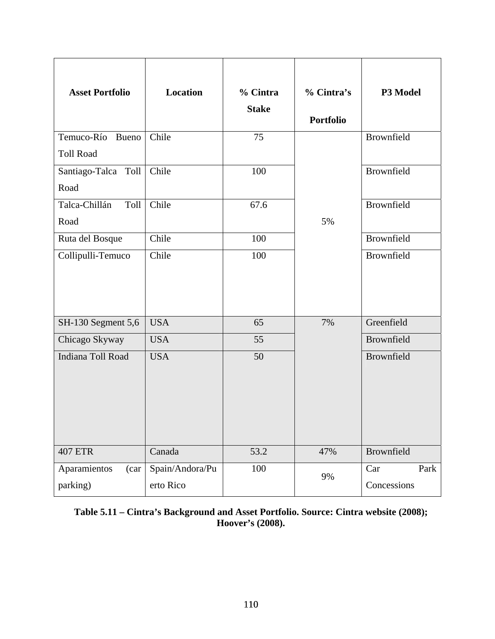| <b>Asset Portfolio</b> | Location        | % Cintra<br><b>Stake</b> | % Cintra's<br><b>Portfolio</b> | P3 Model    |
|------------------------|-----------------|--------------------------|--------------------------------|-------------|
| Temuco-Río Bueno       | Chile           | 75                       |                                | Brownfield  |
| <b>Toll Road</b>       |                 |                          |                                |             |
| Santiago-Talca Toll    | Chile           | 100                      |                                | Brownfield  |
| Road                   |                 |                          |                                |             |
| Talca-Chillán<br>Toll  | Chile           | 67.6                     |                                | Brownfield  |
| Road                   |                 |                          | 5%                             |             |
| Ruta del Bosque        | Chile           | 100                      |                                | Brownfield  |
| Collipulli-Temuco      | Chile           | 100                      |                                | Brownfield  |
| SH-130 Segment 5,6     | <b>USA</b>      | 65                       | 7%                             | Greenfield  |
| Chicago Skyway         | <b>USA</b>      | 55                       |                                | Brownfield  |
| Indiana Toll Road      |                 |                          |                                |             |
|                        | <b>USA</b>      | 50                       |                                | Brownfield  |
| <b>407 ETR</b>         | Canada          | 53.2                     | 47%                            | Brownfield  |
| Aparamientos<br>(car)  | Spain/Andora/Pu | 100                      | 9%                             | Park<br>Car |
| parking)               | erto Rico       |                          |                                | Concessions |

**Table 5.11 – Cintra's Background and Asset Portfolio. Source: Cintra website (2008); Hoover's (2008).**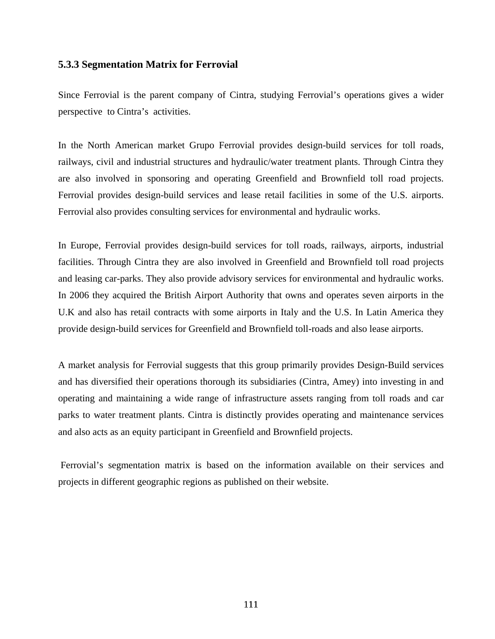### **5.3.3 Segmentation Matrix for Ferrovial**

Since Ferrovial is the parent company of Cintra, studying Ferrovial's operations gives a wider perspective to Cintra's activities.

In the North American market Grupo Ferrovial provides design-build services for toll roads, railways, civil and industrial structures and hydraulic/water treatment plants. Through Cintra they are also involved in sponsoring and operating Greenfield and Brownfield toll road projects. Ferrovial provides design-build services and lease retail facilities in some of the U.S. airports. Ferrovial also provides consulting services for environmental and hydraulic works.

In Europe, Ferrovial provides design-build services for toll roads, railways, airports, industrial facilities. Through Cintra they are also involved in Greenfield and Brownfield toll road projects and leasing car-parks. They also provide advisory services for environmental and hydraulic works. In 2006 they acquired the British Airport Authority that owns and operates seven airports in the U.K and also has retail contracts with some airports in Italy and the U.S. In Latin America they provide design-build services for Greenfield and Brownfield toll-roads and also lease airports.

A market analysis for Ferrovial suggests that this group primarily provides Design-Build services and has diversified their operations thorough its subsidiaries (Cintra, Amey) into investing in and operating and maintaining a wide range of infrastructure assets ranging from toll roads and car parks to water treatment plants. Cintra is distinctly provides operating and maintenance services and also acts as an equity participant in Greenfield and Brownfield projects.

 Ferrovial's segmentation matrix is based on the information available on their services and projects in different geographic regions as published on their website.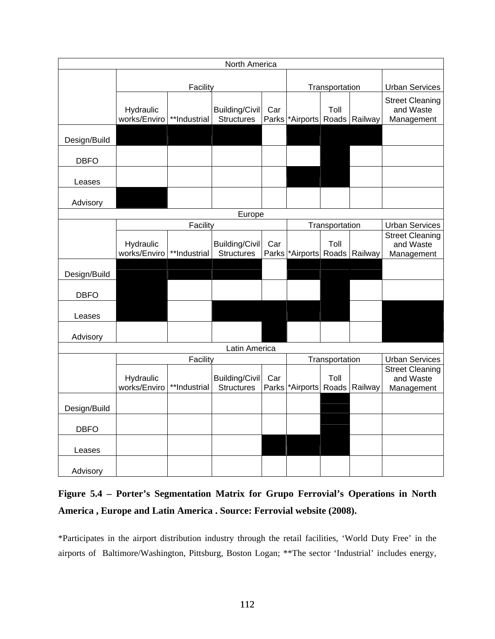| North America |                           |              |                                            |                |                         |                |                                                 |                                                   |
|---------------|---------------------------|--------------|--------------------------------------------|----------------|-------------------------|----------------|-------------------------------------------------|---------------------------------------------------|
|               |                           |              |                                            |                |                         |                |                                                 |                                                   |
|               | Facility                  |              |                                            | Transportation |                         |                | <b>Urban Services</b>                           |                                                   |
|               | Hydraulic<br>works/Enviro | **Industrial | <b>Building/Civil</b><br><b>Structures</b> | Car<br>Parks   | *Airports Roads Railway | Toll           |                                                 | <b>Street Cleaning</b><br>and Waste<br>Management |
| Design/Build  |                           |              |                                            |                |                         |                |                                                 |                                                   |
| <b>DBFO</b>   |                           |              |                                            |                |                         |                |                                                 |                                                   |
| Leases        |                           |              |                                            |                |                         |                |                                                 |                                                   |
| Advisory      |                           |              |                                            |                |                         |                |                                                 |                                                   |
| Europe        |                           |              |                                            |                |                         |                |                                                 |                                                   |
|               | Facility                  |              |                                            |                |                         | Transportation |                                                 | <b>Urban Services</b>                             |
|               | Hydraulic<br>works/Enviro | **Industrial | <b>Building/Civil</b><br><b>Structures</b> | Car<br>Parks   | *Airports Roads Railway | Toll           |                                                 | <b>Street Cleaning</b><br>and Waste<br>Management |
| Design/Build  |                           |              |                                            |                |                         |                |                                                 |                                                   |
| <b>DBFO</b>   |                           |              |                                            |                |                         |                |                                                 |                                                   |
| Leases        |                           |              |                                            |                |                         |                |                                                 |                                                   |
| Advisory      |                           |              |                                            |                |                         |                |                                                 |                                                   |
|               | Latin America             |              |                                            |                |                         |                |                                                 |                                                   |
|               | Facility                  |              |                                            | Transportation |                         |                | <b>Urban Services</b><br><b>Street Cleaning</b> |                                                   |
|               | Hydraulic<br>works/Enviro | **Industrial | Building/Civil<br><b>Structures</b>        | Car<br>Parks   | *Airports               | Toll           | Roads Railway                                   | and Waste<br>Management                           |
| Design/Build  |                           |              |                                            |                |                         |                |                                                 |                                                   |
| <b>DBFO</b>   |                           |              |                                            |                |                         |                |                                                 |                                                   |
| Leases        |                           |              |                                            |                |                         |                |                                                 |                                                   |
| Advisory      |                           |              |                                            |                |                         |                |                                                 |                                                   |

## **Figure 5.4 – Porter's Segmentation Matrix for Grupo Ferrovial's Operations in North America , Europe and Latin America . Source: Ferrovial website (2008).**

\*Participates in the airport distribution industry through the retail facilities, 'World Duty Free' in the airports of Baltimore/Washington, Pittsburg, Boston Logan; \*\*The sector 'Industrial' includes energy,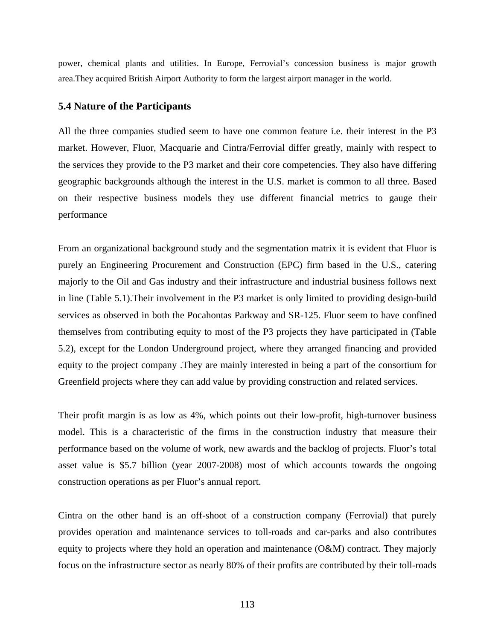power, chemical plants and utilities. In Europe, Ferrovial's concession business is major growth area.They acquired British Airport Authority to form the largest airport manager in the world.

#### **5.4 Nature of the Participants**

All the three companies studied seem to have one common feature i.e. their interest in the P3 market. However, Fluor, Macquarie and Cintra/Ferrovial differ greatly, mainly with respect to the services they provide to the P3 market and their core competencies. They also have differing geographic backgrounds although the interest in the U.S. market is common to all three. Based on their respective business models they use different financial metrics to gauge their performance

From an organizational background study and the segmentation matrix it is evident that Fluor is purely an Engineering Procurement and Construction (EPC) firm based in the U.S., catering majorly to the Oil and Gas industry and their infrastructure and industrial business follows next in line (Table 5.1).Their involvement in the P3 market is only limited to providing design-build services as observed in both the Pocahontas Parkway and SR-125. Fluor seem to have confined themselves from contributing equity to most of the P3 projects they have participated in (Table 5.2), except for the London Underground project, where they arranged financing and provided equity to the project company .They are mainly interested in being a part of the consortium for Greenfield projects where they can add value by providing construction and related services.

Their profit margin is as low as 4%, which points out their low-profit, high-turnover business model. This is a characteristic of the firms in the construction industry that measure their performance based on the volume of work, new awards and the backlog of projects. Fluor's total asset value is \$5.7 billion (year 2007-2008) most of which accounts towards the ongoing construction operations as per Fluor's annual report.

Cintra on the other hand is an off-shoot of a construction company (Ferrovial) that purely provides operation and maintenance services to toll-roads and car-parks and also contributes equity to projects where they hold an operation and maintenance (O&M) contract. They majorly focus on the infrastructure sector as nearly 80% of their profits are contributed by their toll-roads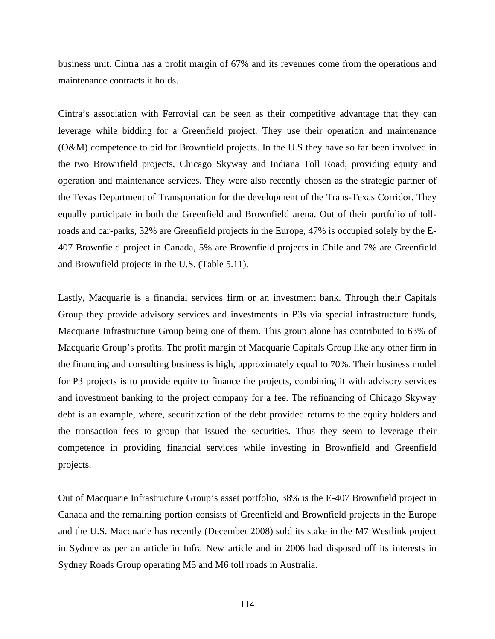business unit. Cintra has a profit margin of 67% and its revenues come from the operations and maintenance contracts it holds.

Cintra's association with Ferrovial can be seen as their competitive advantage that they can leverage while bidding for a Greenfield project. They use their operation and maintenance (O&M) competence to bid for Brownfield projects. In the U.S they have so far been involved in the two Brownfield projects, Chicago Skyway and Indiana Toll Road, providing equity and operation and maintenance services. They were also recently chosen as the strategic partner of the Texas Department of Transportation for the development of the Trans-Texas Corridor. They equally participate in both the Greenfield and Brownfield arena. Out of their portfolio of tollroads and car-parks, 32% are Greenfield projects in the Europe, 47% is occupied solely by the E-407 Brownfield project in Canada, 5% are Brownfield projects in Chile and 7% are Greenfield and Brownfield projects in the U.S. (Table 5.11).

Lastly, Macquarie is a financial services firm or an investment bank. Through their Capitals Group they provide advisory services and investments in P3s via special infrastructure funds, Macquarie Infrastructure Group being one of them. This group alone has contributed to 63% of Macquarie Group's profits. The profit margin of Macquarie Capitals Group like any other firm in the financing and consulting business is high, approximately equal to 70%. Their business model for P3 projects is to provide equity to finance the projects, combining it with advisory services and investment banking to the project company for a fee. The refinancing of Chicago Skyway debt is an example, where, securitization of the debt provided returns to the equity holders and the transaction fees to group that issued the securities. Thus they seem to leverage their competence in providing financial services while investing in Brownfield and Greenfield projects.

Out of Macquarie Infrastructure Group's asset portfolio, 38% is the E-407 Brownfield project in Canada and the remaining portion consists of Greenfield and Brownfield projects in the Europe and the U.S. Macquarie has recently (December 2008) sold its stake in the M7 Westlink project in Sydney as per an article in Infra New article and in 2006 had disposed off its interests in Sydney Roads Group operating M5 and M6 toll roads in Australia.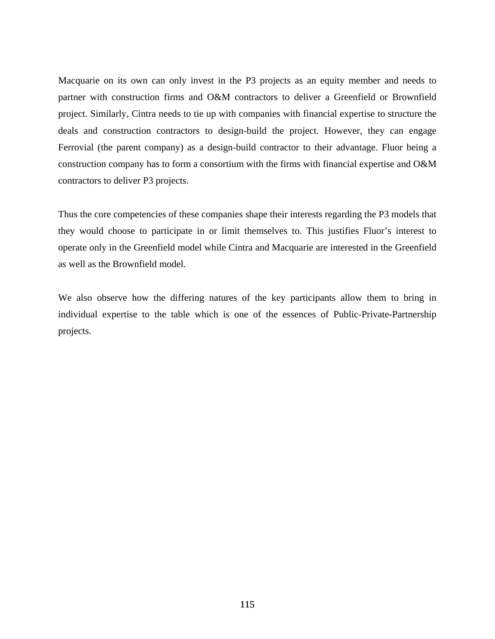Macquarie on its own can only invest in the P3 projects as an equity member and needs to partner with construction firms and O&M contractors to deliver a Greenfield or Brownfield project. Similarly, Cintra needs to tie up with companies with financial expertise to structure the deals and construction contractors to design-build the project. However, they can engage Ferrovial (the parent company) as a design-build contractor to their advantage. Fluor being a construction company has to form a consortium with the firms with financial expertise and O&M contractors to deliver P3 projects.

Thus the core competencies of these companies shape their interests regarding the P3 models that they would choose to participate in or limit themselves to. This justifies Fluor's interest to operate only in the Greenfield model while Cintra and Macquarie are interested in the Greenfield as well as the Brownfield model.

We also observe how the differing natures of the key participants allow them to bring in individual expertise to the table which is one of the essences of Public-Private-Partnership projects.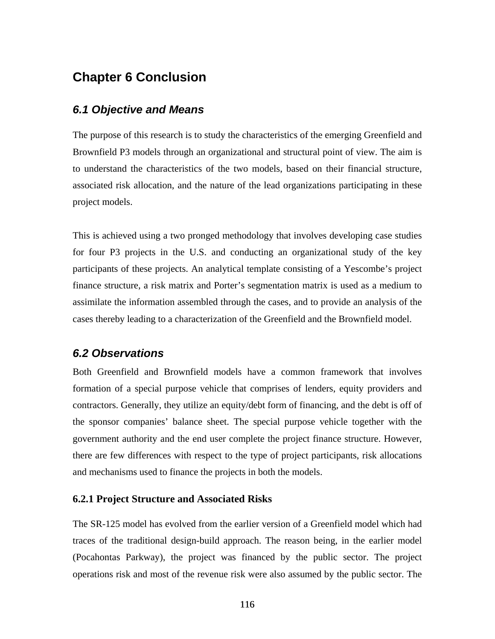## **Chapter 6 Conclusion**

### *6.1 Objective and Means*

The purpose of this research is to study the characteristics of the emerging Greenfield and Brownfield P3 models through an organizational and structural point of view. The aim is to understand the characteristics of the two models, based on their financial structure, associated risk allocation, and the nature of the lead organizations participating in these project models.

This is achieved using a two pronged methodology that involves developing case studies for four P3 projects in the U.S. and conducting an organizational study of the key participants of these projects. An analytical template consisting of a Yescombe's project finance structure, a risk matrix and Porter's segmentation matrix is used as a medium to assimilate the information assembled through the cases, and to provide an analysis of the cases thereby leading to a characterization of the Greenfield and the Brownfield model.

### *6.2 Observations*

Both Greenfield and Brownfield models have a common framework that involves formation of a special purpose vehicle that comprises of lenders, equity providers and contractors. Generally, they utilize an equity/debt form of financing, and the debt is off of the sponsor companies' balance sheet. The special purpose vehicle together with the government authority and the end user complete the project finance structure. However, there are few differences with respect to the type of project participants, risk allocations and mechanisms used to finance the projects in both the models.

#### **6.2.1 Project Structure and Associated Risks**

The SR-125 model has evolved from the earlier version of a Greenfield model which had traces of the traditional design-build approach. The reason being, in the earlier model (Pocahontas Parkway), the project was financed by the public sector. The project operations risk and most of the revenue risk were also assumed by the public sector. The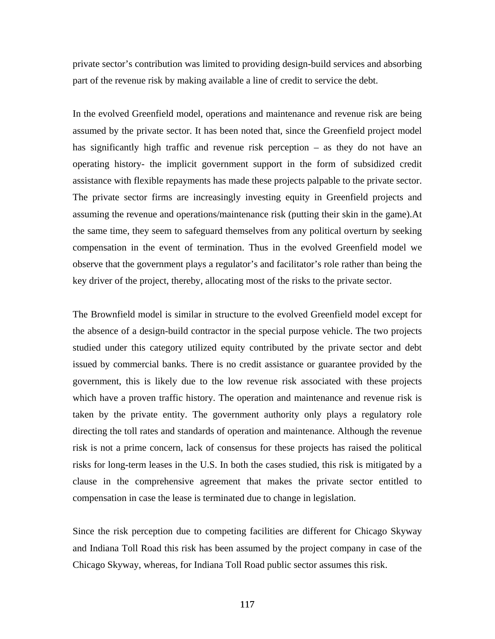private sector's contribution was limited to providing design-build services and absorbing part of the revenue risk by making available a line of credit to service the debt.

In the evolved Greenfield model, operations and maintenance and revenue risk are being assumed by the private sector. It has been noted that, since the Greenfield project model has significantly high traffic and revenue risk perception – as they do not have an operating history- the implicit government support in the form of subsidized credit assistance with flexible repayments has made these projects palpable to the private sector. The private sector firms are increasingly investing equity in Greenfield projects and assuming the revenue and operations/maintenance risk (putting their skin in the game).At the same time, they seem to safeguard themselves from any political overturn by seeking compensation in the event of termination. Thus in the evolved Greenfield model we observe that the government plays a regulator's and facilitator's role rather than being the key driver of the project, thereby, allocating most of the risks to the private sector.

The Brownfield model is similar in structure to the evolved Greenfield model except for the absence of a design-build contractor in the special purpose vehicle. The two projects studied under this category utilized equity contributed by the private sector and debt issued by commercial banks. There is no credit assistance or guarantee provided by the government, this is likely due to the low revenue risk associated with these projects which have a proven traffic history. The operation and maintenance and revenue risk is taken by the private entity. The government authority only plays a regulatory role directing the toll rates and standards of operation and maintenance. Although the revenue risk is not a prime concern, lack of consensus for these projects has raised the political risks for long-term leases in the U.S. In both the cases studied, this risk is mitigated by a clause in the comprehensive agreement that makes the private sector entitled to compensation in case the lease is terminated due to change in legislation.

Since the risk perception due to competing facilities are different for Chicago Skyway and Indiana Toll Road this risk has been assumed by the project company in case of the Chicago Skyway, whereas, for Indiana Toll Road public sector assumes this risk.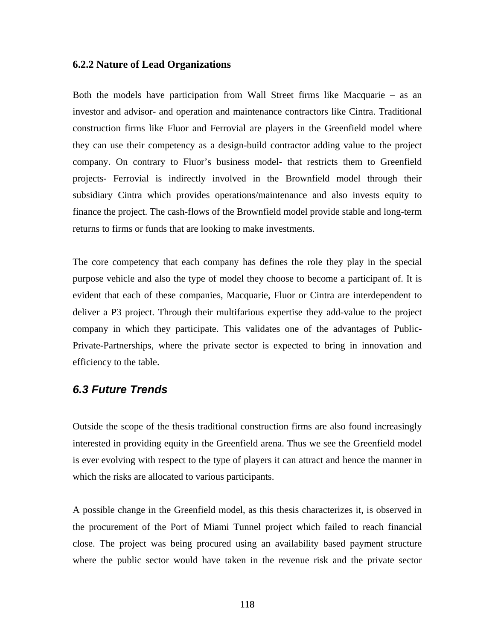#### **6.2.2 Nature of Lead Organizations**

Both the models have participation from Wall Street firms like Macquarie – as an investor and advisor- and operation and maintenance contractors like Cintra. Traditional construction firms like Fluor and Ferrovial are players in the Greenfield model where they can use their competency as a design-build contractor adding value to the project company. On contrary to Fluor's business model- that restricts them to Greenfield projects- Ferrovial is indirectly involved in the Brownfield model through their subsidiary Cintra which provides operations/maintenance and also invests equity to finance the project. The cash-flows of the Brownfield model provide stable and long-term returns to firms or funds that are looking to make investments.

The core competency that each company has defines the role they play in the special purpose vehicle and also the type of model they choose to become a participant of. It is evident that each of these companies, Macquarie, Fluor or Cintra are interdependent to deliver a P3 project. Through their multifarious expertise they add-value to the project company in which they participate. This validates one of the advantages of Public-Private-Partnerships, where the private sector is expected to bring in innovation and efficiency to the table.

### *6.3 Future Trends*

Outside the scope of the thesis traditional construction firms are also found increasingly interested in providing equity in the Greenfield arena. Thus we see the Greenfield model is ever evolving with respect to the type of players it can attract and hence the manner in which the risks are allocated to various participants.

A possible change in the Greenfield model, as this thesis characterizes it, is observed in the procurement of the Port of Miami Tunnel project which failed to reach financial close. The project was being procured using an availability based payment structure where the public sector would have taken in the revenue risk and the private sector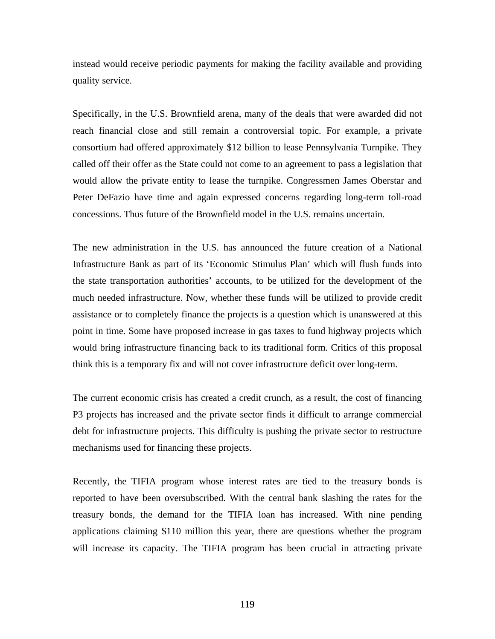instead would receive periodic payments for making the facility available and providing quality service.

Specifically, in the U.S. Brownfield arena, many of the deals that were awarded did not reach financial close and still remain a controversial topic. For example, a private consortium had offered approximately \$12 billion to lease Pennsylvania Turnpike. They called off their offer as the State could not come to an agreement to pass a legislation that would allow the private entity to lease the turnpike. Congressmen James Oberstar and Peter DeFazio have time and again expressed concerns regarding long-term toll-road concessions. Thus future of the Brownfield model in the U.S. remains uncertain.

The new administration in the U.S. has announced the future creation of a National Infrastructure Bank as part of its 'Economic Stimulus Plan' which will flush funds into the state transportation authorities' accounts, to be utilized for the development of the much needed infrastructure. Now, whether these funds will be utilized to provide credit assistance or to completely finance the projects is a question which is unanswered at this point in time. Some have proposed increase in gas taxes to fund highway projects which would bring infrastructure financing back to its traditional form. Critics of this proposal think this is a temporary fix and will not cover infrastructure deficit over long-term.

The current economic crisis has created a credit crunch, as a result, the cost of financing P3 projects has increased and the private sector finds it difficult to arrange commercial debt for infrastructure projects. This difficulty is pushing the private sector to restructure mechanisms used for financing these projects.

Recently, the TIFIA program whose interest rates are tied to the treasury bonds is reported to have been oversubscribed. With the central bank slashing the rates for the treasury bonds, the demand for the TIFIA loan has increased. With nine pending applications claiming \$110 million this year, there are questions whether the program will increase its capacity. The TIFIA program has been crucial in attracting private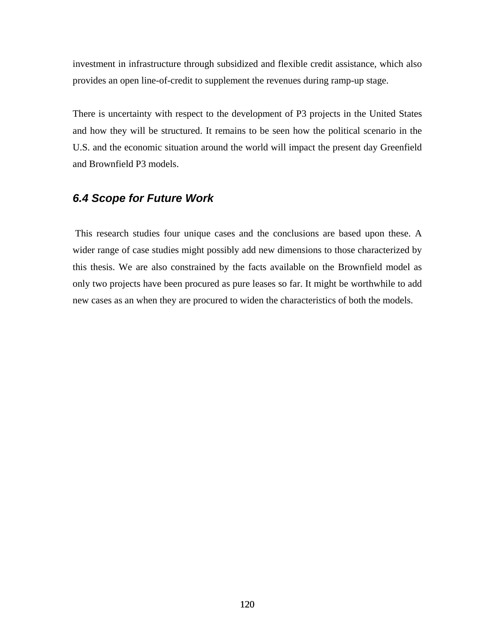investment in infrastructure through subsidized and flexible credit assistance, which also provides an open line-of-credit to supplement the revenues during ramp-up stage.

There is uncertainty with respect to the development of P3 projects in the United States and how they will be structured. It remains to be seen how the political scenario in the U.S. and the economic situation around the world will impact the present day Greenfield and Brownfield P3 models.

### *6.4 Scope for Future Work*

 This research studies four unique cases and the conclusions are based upon these. A wider range of case studies might possibly add new dimensions to those characterized by this thesis. We are also constrained by the facts available on the Brownfield model as only two projects have been procured as pure leases so far. It might be worthwhile to add new cases as an when they are procured to widen the characteristics of both the models.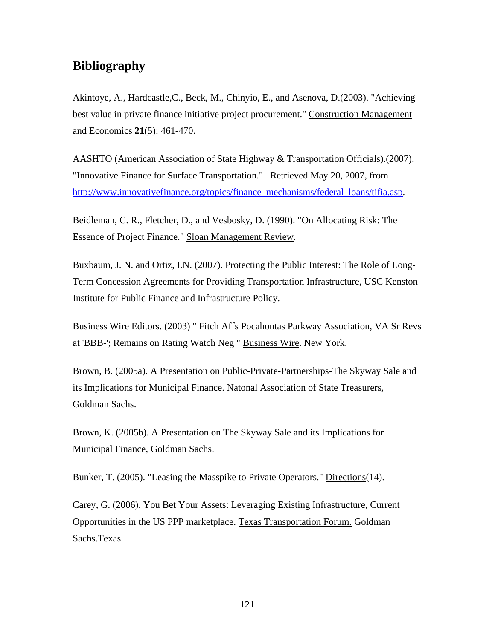## **Bibliography**

Akintoye, A., Hardcastle,C., Beck, M., Chinyio, E., and Asenova, D.(2003). "Achieving best value in private finance initiative project procurement." Construction Management and Economics **21**(5): 461-470.

AASHTO (American Association of State Highway & Transportation Officials).(2007). "Innovative Finance for Surface Transportation." Retrieved May 20, 2007, from http://www.innovativefinance.org/topics/finance\_mechanisms/federal\_loans/tifia.asp.

Beidleman, C. R., Fletcher, D., and Vesbosky, D. (1990). "On Allocating Risk: The Essence of Project Finance." Sloan Management Review.

Buxbaum, J. N. and Ortiz, I.N. (2007). Protecting the Public Interest: The Role of Long-Term Concession Agreements for Providing Transportation Infrastructure, USC Kenston Institute for Public Finance and Infrastructure Policy.

Business Wire Editors. (2003) " Fitch Affs Pocahontas Parkway Association, VA Sr Revs at 'BBB-'; Remains on Rating Watch Neg " Business Wire. New York.

Brown, B. (2005a). A Presentation on Public-Private-Partnerships-The Skyway Sale and its Implications for Municipal Finance. Natonal Association of State Treasurers, Goldman Sachs.

Brown, K. (2005b). A Presentation on The Skyway Sale and its Implications for Municipal Finance, Goldman Sachs.

Bunker, T. (2005). "Leasing the Masspike to Private Operators." Directions (14).

Carey, G. (2006). You Bet Your Assets: Leveraging Existing Infrastructure, Current Opportunities in the US PPP marketplace. Texas Transportation Forum. Goldman Sachs.Texas.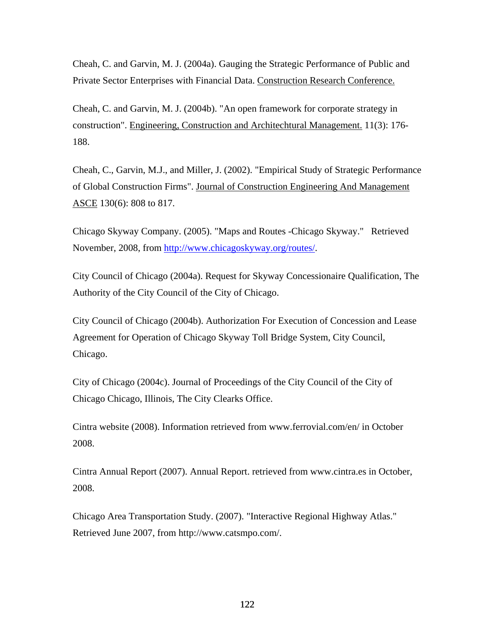Cheah, C. and Garvin, M. J. (2004a). Gauging the Strategic Performance of Public and Private Sector Enterprises with Financial Data. Construction Research Conference.

Cheah, C. and Garvin, M. J. (2004b). "An open framework for corporate strategy in construction". Engineering, Construction and Architechtural Management. 11(3): 176- 188.

Cheah, C., Garvin, M.J., and Miller, J. (2002). "Empirical Study of Strategic Performance of Global Construction Firms". Journal of Construction Engineering And Management ASCE 130(6): 808 to 817.

Chicago Skyway Company. (2005). "Maps and Routes -Chicago Skyway." Retrieved November, 2008, from http://www.chicagoskyway.org/routes/.

City Council of Chicago (2004a). Request for Skyway Concessionaire Qualification, The Authority of the City Council of the City of Chicago.

City Council of Chicago (2004b). Authorization For Execution of Concession and Lease Agreement for Operation of Chicago Skyway Toll Bridge System, City Council, Chicago.

City of Chicago (2004c). Journal of Proceedings of the City Council of the City of Chicago Chicago, Illinois, The City Clearks Office.

Cintra website (2008). Information retrieved from www.ferrovial.com/en/ in October 2008.

Cintra Annual Report (2007). Annual Report. retrieved from www.cintra.es in October, 2008.

Chicago Area Transportation Study. (2007). "Interactive Regional Highway Atlas." Retrieved June 2007, from http://www.catsmpo.com/.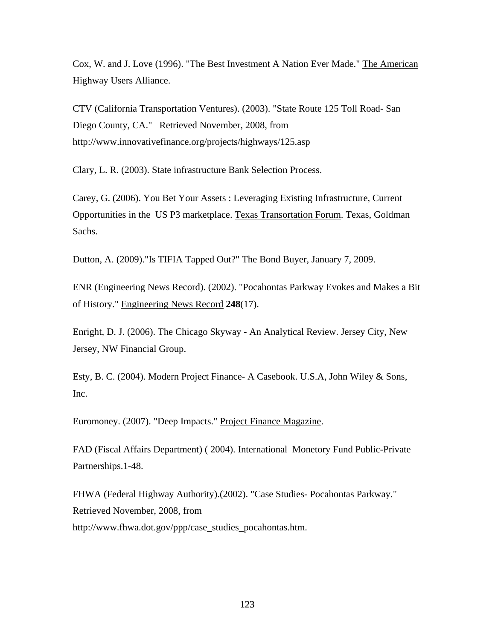Cox, W. and J. Love (1996). "The Best Investment A Nation Ever Made." The American Highway Users Alliance.

CTV (California Transportation Ventures). (2003). "State Route 125 Toll Road- San Diego County, CA." Retrieved November, 2008, from http://www.innovativefinance.org/projects/highways/125.asp

Clary, L. R. (2003). State infrastructure Bank Selection Process.

Carey, G. (2006). You Bet Your Assets : Leveraging Existing Infrastructure, Current Opportunities in the US P3 marketplace. Texas Transortation Forum. Texas, Goldman Sachs.

Dutton, A. (2009)."Is TIFIA Tapped Out?" The Bond Buyer, January 7, 2009.

ENR (Engineering News Record). (2002). "Pocahontas Parkway Evokes and Makes a Bit of History." Engineering News Record **248**(17).

Enright, D. J. (2006). The Chicago Skyway - An Analytical Review. Jersey City, New Jersey, NW Financial Group.

Esty, B. C. (2004). Modern Project Finance- A Casebook. U.S.A, John Wiley & Sons, Inc.

Euromoney. (2007). "Deep Impacts." Project Finance Magazine.

FAD (Fiscal Affairs Department) ( 2004). International Monetory Fund Public-Private Partnerships.1-48.

FHWA (Federal Highway Authority).(2002). "Case Studies- Pocahontas Parkway." Retrieved November, 2008, from http://www.fhwa.dot.gov/ppp/case\_studies\_pocahontas.htm.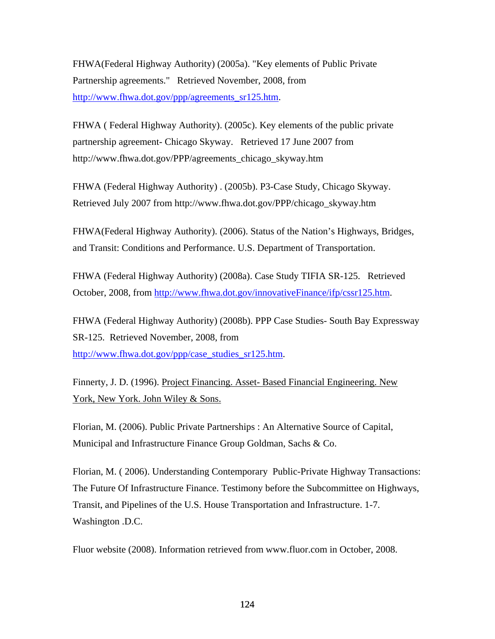FHWA(Federal Highway Authority) (2005a). "Key elements of Public Private Partnership agreements." Retrieved November, 2008, from http://www.fhwa.dot.gov/ppp/agreements\_sr125.htm.

FHWA ( Federal Highway Authority). (2005c). Key elements of the public private partnership agreement- Chicago Skyway. Retrieved 17 June 2007 from http://www.fhwa.dot.gov/PPP/agreements\_chicago\_skyway.htm

FHWA (Federal Highway Authority) . (2005b). P3-Case Study, Chicago Skyway. Retrieved July 2007 from http://www.fhwa.dot.gov/PPP/chicago\_skyway.htm

FHWA(Federal Highway Authority). (2006). Status of the Nation's Highways, Bridges, and Transit: Conditions and Performance. U.S. Department of Transportation.

FHWA (Federal Highway Authority) (2008a). Case Study TIFIA SR-125. Retrieved October, 2008, from http://www.fhwa.dot.gov/innovativeFinance/ifp/cssr125.htm.

FHWA (Federal Highway Authority) (2008b). PPP Case Studies- South Bay Expressway SR-125. Retrieved November, 2008, from http://www.fhwa.dot.gov/ppp/case\_studies\_sr125.htm.

Finnerty, J. D. (1996). Project Financing. Asset- Based Financial Engineering. New York, New York. John Wiley & Sons.

Florian, M. (2006). Public Private Partnerships : An Alternative Source of Capital, Municipal and Infrastructure Finance Group Goldman, Sachs & Co.

Florian, M. ( 2006). Understanding Contemporary Public-Private Highway Transactions: The Future Of Infrastructure Finance. Testimony before the Subcommittee on Highways, Transit, and Pipelines of the U.S. House Transportation and Infrastructure. 1-7. Washington .D.C.

Fluor website (2008). Information retrieved from www.fluor.com in October, 2008.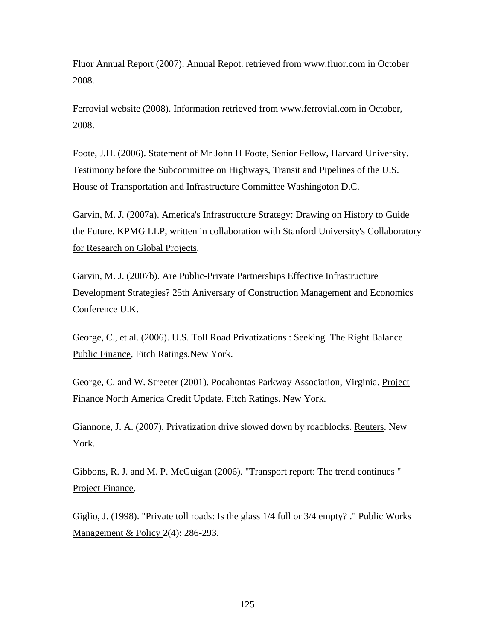Fluor Annual Report (2007). Annual Repot. retrieved from www.fluor.com in October 2008.

Ferrovial website (2008). Information retrieved from www.ferrovial.com in October, 2008.

Foote, J.H. (2006). Statement of Mr John H Foote, Senior Fellow, Harvard University. Testimony before the Subcommittee on Highways, Transit and Pipelines of the U.S. House of Transportation and Infrastructure Committee Washingoton D.C.

Garvin, M. J. (2007a). America's Infrastructure Strategy: Drawing on History to Guide the Future. KPMG LLP, written in collaboration with Stanford University's Collaboratory for Research on Global Projects.

Garvin, M. J. (2007b). Are Public-Private Partnerships Effective Infrastructure Development Strategies? 25th Aniversary of Construction Management and Economics Conference U.K.

George, C., et al. (2006). U.S. Toll Road Privatizations : Seeking The Right Balance Public Finance, Fitch Ratings.New York.

George, C. and W. Streeter (2001). Pocahontas Parkway Association, Virginia. Project Finance North America Credit Update. Fitch Ratings. New York.

Giannone, J. A. (2007). Privatization drive slowed down by roadblocks. Reuters. New York.

Gibbons, R. J. and M. P. McGuigan (2006). "Transport report: The trend continues " Project Finance.

Giglio, J. (1998). "Private toll roads: Is the glass 1/4 full or 3/4 empty? ." Public Works Management & Policy **2**(4): 286-293.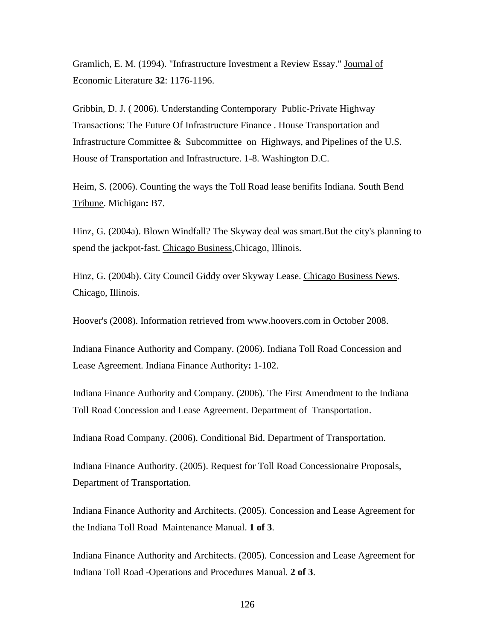Gramlich, E. M. (1994). "Infrastructure Investment a Review Essay." Journal of Economic Literature **32**: 1176-1196.

Gribbin, D. J. ( 2006). Understanding Contemporary Public-Private Highway Transactions: The Future Of Infrastructure Finance . House Transportation and Infrastructure Committee & Subcommittee on Highways, and Pipelines of the U.S. House of Transportation and Infrastructure. 1-8. Washington D.C.

Heim, S. (2006). Counting the ways the Toll Road lease benifits Indiana. South Bend Tribune. Michigan**:** B7.

Hinz, G. (2004a). Blown Windfall? The Skyway deal was smart.But the city's planning to spend the jackpot-fast. Chicago Business,Chicago, Illinois.

Hinz, G. (2004b). City Council Giddy over Skyway Lease. Chicago Business News. Chicago, Illinois.

Hoover's (2008). Information retrieved from www.hoovers.com in October 2008.

Indiana Finance Authority and Company. (2006). Indiana Toll Road Concession and Lease Agreement. Indiana Finance Authority**:** 1-102.

Indiana Finance Authority and Company. (2006). The First Amendment to the Indiana Toll Road Concession and Lease Agreement. Department of Transportation.

Indiana Road Company. (2006). Conditional Bid. Department of Transportation.

Indiana Finance Authority. (2005). Request for Toll Road Concessionaire Proposals, Department of Transportation.

Indiana Finance Authority and Architects. (2005). Concession and Lease Agreement for the Indiana Toll Road Maintenance Manual. **1 of 3**.

Indiana Finance Authority and Architects. (2005). Concession and Lease Agreement for Indiana Toll Road -Operations and Procedures Manual. **2 of 3**.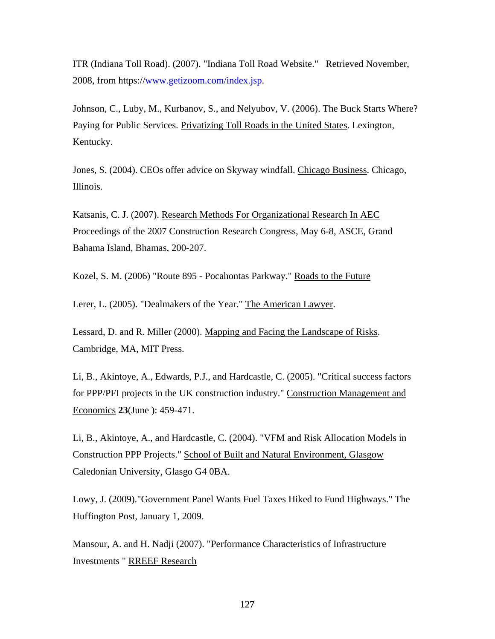ITR (Indiana Toll Road). (2007). "Indiana Toll Road Website." Retrieved November, 2008, from https://www.getizoom.com/index.jsp.

Johnson, C., Luby, M., Kurbanov, S., and Nelyubov, V. (2006). The Buck Starts Where? Paying for Public Services. Privatizing Toll Roads in the United States. Lexington, Kentucky.

Jones, S. (2004). CEOs offer advice on Skyway windfall. Chicago Business. Chicago, Illinois.

Katsanis, C. J. (2007). Research Methods For Organizational Research In AEC Proceedings of the 2007 Construction Research Congress, May 6-8, ASCE, Grand Bahama Island, Bhamas, 200-207.

Kozel, S. M. (2006) "Route 895 - Pocahontas Parkway." Roads to the Future

Lerer, L. (2005). "Dealmakers of the Year." The American Lawyer.

Lessard, D. and R. Miller (2000). Mapping and Facing the Landscape of Risks. Cambridge, MA, MIT Press.

Li, B., Akintoye, A., Edwards, P.J., and Hardcastle, C. (2005). "Critical success factors for PPP/PFI projects in the UK construction industry." Construction Management and Economics **23**(June ): 459-471.

Li, B., Akintoye, A., and Hardcastle, C. (2004). "VFM and Risk Allocation Models in Construction PPP Projects." School of Built and Natural Environment, Glasgow Caledonian University, Glasgo G4 0BA.

Lowy, J. (2009)."Government Panel Wants Fuel Taxes Hiked to Fund Highways." The Huffington Post, January 1, 2009.

Mansour, A. and H. Nadji (2007). "Performance Characteristics of Infrastructure Investments " RREEF Research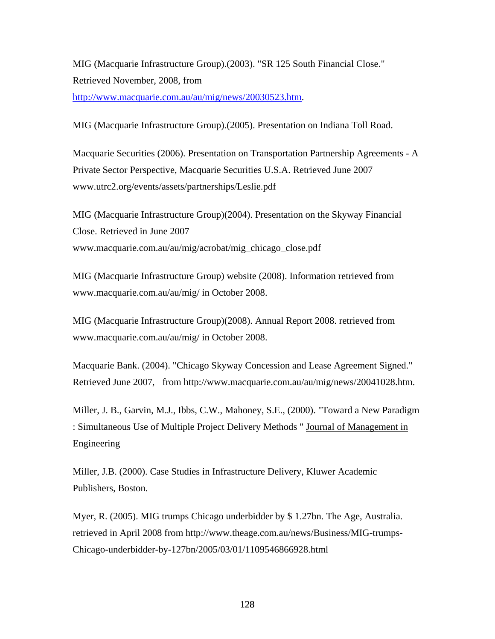MIG (Macquarie Infrastructure Group).(2003). "SR 125 South Financial Close." Retrieved November, 2008, from http://www.macquarie.com.au/au/mig/news/20030523.htm.

MIG (Macquarie Infrastructure Group).(2005). Presentation on Indiana Toll Road.

Macquarie Securities (2006). Presentation on Transportation Partnership Agreements - A Private Sector Perspective, Macquarie Securities U.S.A. Retrieved June 2007 www.utrc2.org/events/assets/partnerships/Leslie.pdf

MIG (Macquarie Infrastructure Group)(2004). Presentation on the Skyway Financial Close. Retrieved in June 2007 www.macquarie.com.au/au/mig/acrobat/mig\_chicago\_close.pdf

MIG (Macquarie Infrastructure Group) website (2008). Information retrieved from www.macquarie.com.au/au/mig/ in October 2008.

MIG (Macquarie Infrastructure Group)(2008). Annual Report 2008. retrieved from www.macquarie.com.au/au/mig/ in October 2008.

Macquarie Bank. (2004). "Chicago Skyway Concession and Lease Agreement Signed." Retrieved June 2007, from http://www.macquarie.com.au/au/mig/news/20041028.htm.

Miller, J. B., Garvin, M.J., Ibbs, C.W., Mahoney, S.E., (2000). "Toward a New Paradigm : Simultaneous Use of Multiple Project Delivery Methods " Journal of Management in Engineering

Miller, J.B. (2000). Case Studies in Infrastructure Delivery, Kluwer Academic Publishers, Boston.

Myer, R. (2005). MIG trumps Chicago underbidder by \$ 1.27bn. The Age, Australia. retrieved in April 2008 from http://www.theage.com.au/news/Business/MIG-trumps-Chicago-underbidder-by-127bn/2005/03/01/1109546866928.html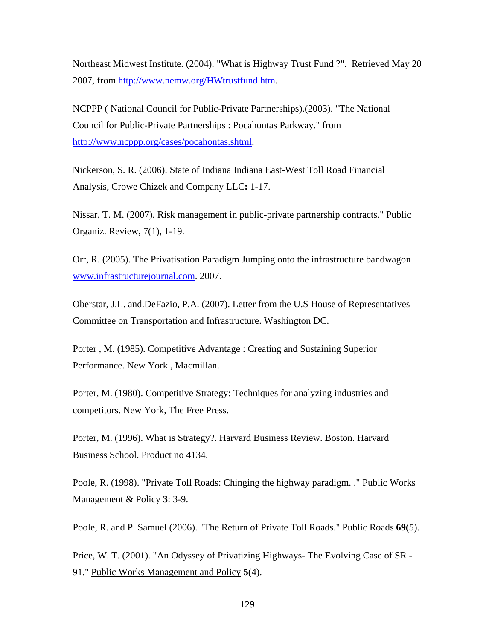Northeast Midwest Institute. (2004). "What is Highway Trust Fund ?". Retrieved May 20 2007, from http://www.nemw.org/HWtrustfund.htm.

NCPPP ( National Council for Public-Private Partnerships).(2003). "The National Council for Public-Private Partnerships : Pocahontas Parkway." from http://www.ncppp.org/cases/pocahontas.shtml.

Nickerson, S. R. (2006). State of Indiana Indiana East-West Toll Road Financial Analysis, Crowe Chizek and Company LLC**:** 1-17.

Nissar, T. M. (2007). Risk management in public-private partnership contracts." Public Organiz. Review, 7(1), 1-19.

Orr, R. (2005). The Privatisation Paradigm Jumping onto the infrastructure bandwagon www.infrastructurejournal.com. 2007.

Oberstar, J.L. and.DeFazio, P.A. (2007). Letter from the U.S House of Representatives Committee on Transportation and Infrastructure. Washington DC.

Porter , M. (1985). Competitive Advantage : Creating and Sustaining Superior Performance. New York , Macmillan.

Porter, M. (1980). Competitive Strategy: Techniques for analyzing industries and competitors. New York, The Free Press.

Porter, M. (1996). What is Strategy?. Harvard Business Review. Boston. Harvard Business School. Product no 4134.

Poole, R. (1998). "Private Toll Roads: Chinging the highway paradigm. ." Public Works Management & Policy **3**: 3-9.

Poole, R. and P. Samuel (2006). "The Return of Private Toll Roads." Public Roads 69(5).

Price, W. T. (2001). "An Odyssey of Privatizing Highways- The Evolving Case of SR - 91." Public Works Management and Policy **5**(4).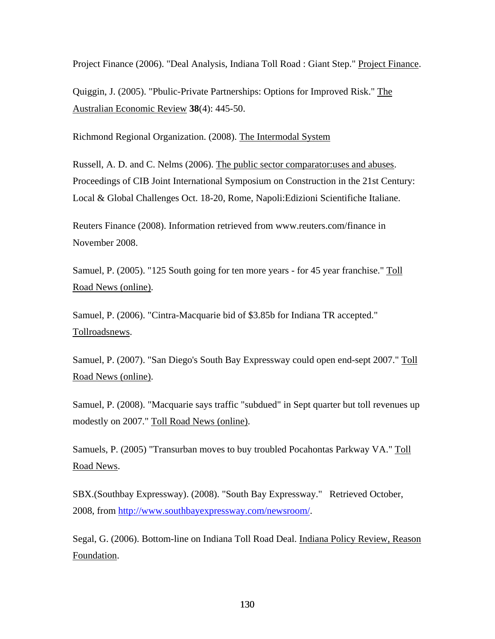Project Finance (2006). "Deal Analysis, Indiana Toll Road : Giant Step." Project Finance.

Quiggin, J. (2005). "Pbulic-Private Partnerships: Options for Improved Risk." The Australian Economic Review **38**(4): 445-50.

Richmond Regional Organization. (2008). The Intermodal System

Russell, A. D. and C. Nelms (2006). The public sector comparator:uses and abuses. Proceedings of CIB Joint International Symposium on Construction in the 21st Century: Local & Global Challenges Oct. 18-20, Rome, Napoli:Edizioni Scientifiche Italiane.

Reuters Finance (2008). Information retrieved from www.reuters.com/finance in November 2008.

Samuel, P. (2005). "125 South going for ten more years - for 45 year franchise." Toll Road News (online).

Samuel, P. (2006). "Cintra-Macquarie bid of \$3.85b for Indiana TR accepted." Tollroadsnews.

Samuel, P. (2007). "San Diego's South Bay Expressway could open end-sept 2007." Toll Road News (online).

Samuel, P. (2008). "Macquarie says traffic "subdued" in Sept quarter but toll revenues up modestly on 2007." Toll Road News (online).

Samuels, P. (2005) "Transurban moves to buy troubled Pocahontas Parkway VA." Toll Road News.

SBX.(Southbay Expressway). (2008). "South Bay Expressway." Retrieved October, 2008, from http://www.southbayexpressway.com/newsroom/.

Segal, G. (2006). Bottom-line on Indiana Toll Road Deal. Indiana Policy Review, Reason Foundation.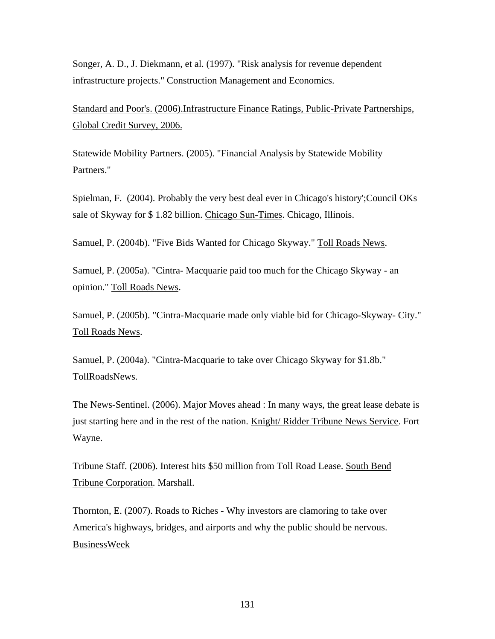Songer, A. D., J. Diekmann, et al. (1997). "Risk analysis for revenue dependent infrastructure projects." Construction Management and Economics.

Standard and Poor's. (2006).Infrastructure Finance Ratings, Public-Private Partnerships, Global Credit Survey, 2006.

Statewide Mobility Partners. (2005). "Financial Analysis by Statewide Mobility Partners."

Spielman, F. (2004). Probably the very best deal ever in Chicago's history';Council OKs sale of Skyway for \$ 1.82 billion. Chicago Sun-Times. Chicago, Illinois.

Samuel, P. (2004b). "Five Bids Wanted for Chicago Skyway." Toll Roads News.

Samuel, P. (2005a). "Cintra- Macquarie paid too much for the Chicago Skyway - an opinion." Toll Roads News.

Samuel, P. (2005b). "Cintra-Macquarie made only viable bid for Chicago-Skyway- City." Toll Roads News.

Samuel, P. (2004a). "Cintra-Macquarie to take over Chicago Skyway for \$1.8b." TollRoadsNews.

The News-Sentinel. (2006). Major Moves ahead : In many ways, the great lease debate is just starting here and in the rest of the nation. Knight/ Ridder Tribune News Service. Fort Wayne.

Tribune Staff. (2006). Interest hits \$50 million from Toll Road Lease. South Bend Tribune Corporation. Marshall.

Thornton, E. (2007). Roads to Riches - Why investors are clamoring to take over America's highways, bridges, and airports and why the public should be nervous. BusinessWeek